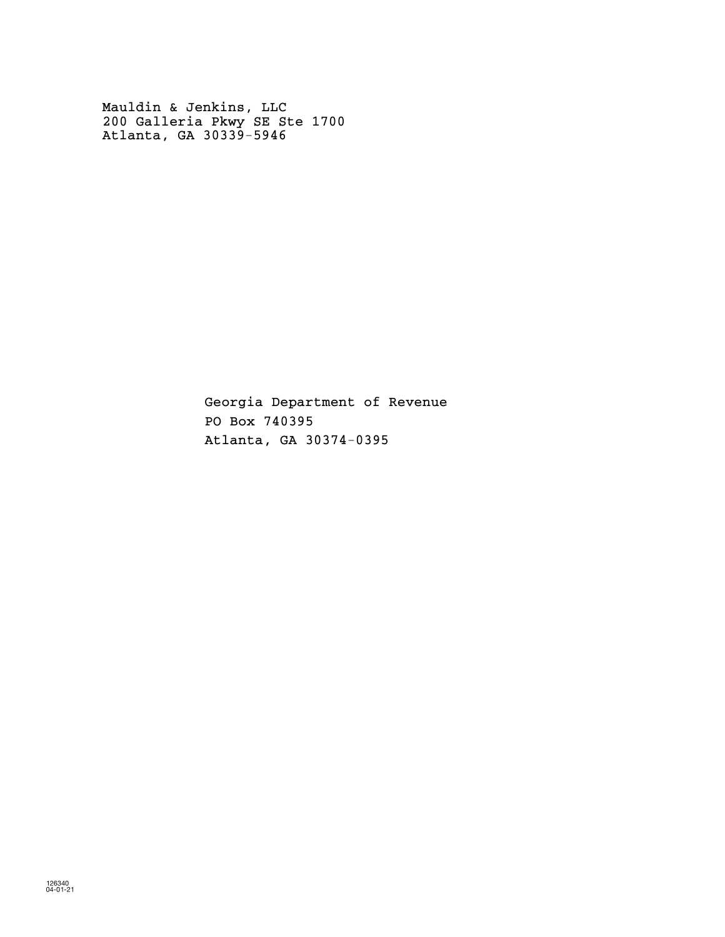Mauldin & Jenkins, LLC 200 Galleria Pkwy SE Ste 1700 Atlanta, GA 30339-5946

> Georgia Department of Revenue PO Box 740395 Atlanta, GA 30374-0395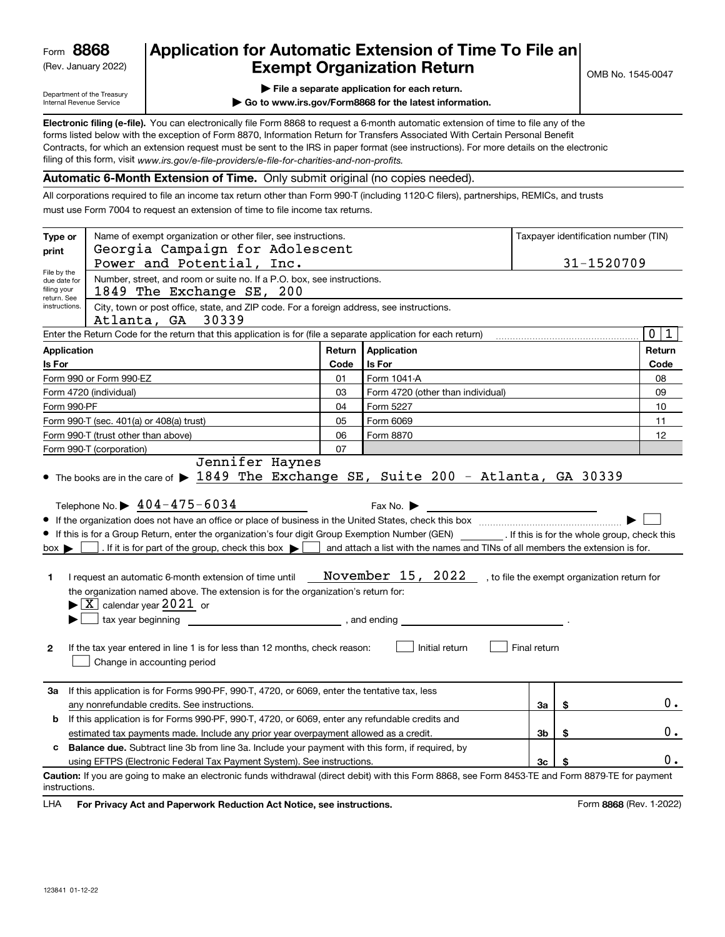(Rev. January 2022)

# **Application for Automatic Extension of Time To File an Exempt Organization Return**

Department of the Treasury Internal Revenue Service

|  |  |  | $\blacktriangleright$ File a separate application for each return. |  |
|--|--|--|--------------------------------------------------------------------|--|
|  |  |  |                                                                    |  |

**| Go to www.irs.gov/Form8868 for the latest information.**

**Electronic filing (e-file).**  You can electronically file Form 8868 to request a 6-month automatic extension of time to file any of the filing of this form, visit www*.irs.gov/e-file-providers/e-file-for-charities-and-non-profits.* forms listed below with the exception of Form 8870, Information Return for Transfers Associated With Certain Personal Benefit Contracts, for which an extension request must be sent to the IRS in paper format (see instructions). For more details on the electronic

**Automatic 6-Month Extension of Time.** Only submit original (no copies needed).

All corporations required to file an income tax return other than Form 990-T (including 1120-C filers), partnerships, REMICs, and trusts must use Form 7004 to request an extension of time to file income tax returns.

| Type or<br>print                                                                                                                                                                                                                                                       | Name of exempt organization or other filer, see instructions.<br>Taxpayer identification number (TIN)<br>Georgia Campaign for Adolescent<br>Power and Potential, Inc.<br>31-1520709                                                                                                                                                                                                                                                                                                                                                                                                                                                    |            |                                                                                                                                                                               |              |    |                  |  |
|------------------------------------------------------------------------------------------------------------------------------------------------------------------------------------------------------------------------------------------------------------------------|----------------------------------------------------------------------------------------------------------------------------------------------------------------------------------------------------------------------------------------------------------------------------------------------------------------------------------------------------------------------------------------------------------------------------------------------------------------------------------------------------------------------------------------------------------------------------------------------------------------------------------------|------------|-------------------------------------------------------------------------------------------------------------------------------------------------------------------------------|--------------|----|------------------|--|
| File by the<br>filing your                                                                                                                                                                                                                                             | Number, street, and room or suite no. If a P.O. box, see instructions.<br>due date for<br>1849 The Exchange SE, 200<br>return. See                                                                                                                                                                                                                                                                                                                                                                                                                                                                                                     |            |                                                                                                                                                                               |              |    |                  |  |
| instructions.                                                                                                                                                                                                                                                          | City, town or post office, state, and ZIP code. For a foreign address, see instructions.<br>30339<br>Atlanta, GA                                                                                                                                                                                                                                                                                                                                                                                                                                                                                                                       |            |                                                                                                                                                                               |              |    |                  |  |
|                                                                                                                                                                                                                                                                        | Enter the Return Code for the return that this application is for (file a separate application for each return)                                                                                                                                                                                                                                                                                                                                                                                                                                                                                                                        |            |                                                                                                                                                                               |              |    | $\mathbf 0$<br>1 |  |
| <b>Application</b>                                                                                                                                                                                                                                                     |                                                                                                                                                                                                                                                                                                                                                                                                                                                                                                                                                                                                                                        | Return     | Application                                                                                                                                                                   |              |    | Return           |  |
| Is For                                                                                                                                                                                                                                                                 |                                                                                                                                                                                                                                                                                                                                                                                                                                                                                                                                                                                                                                        | Code       | Is For                                                                                                                                                                        |              |    | Code             |  |
|                                                                                                                                                                                                                                                                        | Form 990 or Form 990-EZ                                                                                                                                                                                                                                                                                                                                                                                                                                                                                                                                                                                                                | 01         | Form 1041-A                                                                                                                                                                   |              |    | 08               |  |
|                                                                                                                                                                                                                                                                        | Form 4720 (individual)                                                                                                                                                                                                                                                                                                                                                                                                                                                                                                                                                                                                                 | 03         | Form 4720 (other than individual)                                                                                                                                             |              |    | 09               |  |
| Form 990-PF                                                                                                                                                                                                                                                            |                                                                                                                                                                                                                                                                                                                                                                                                                                                                                                                                                                                                                                        | 04         | Form 5227                                                                                                                                                                     |              |    | 10               |  |
|                                                                                                                                                                                                                                                                        | Form 990-T (sec. 401(a) or 408(a) trust)                                                                                                                                                                                                                                                                                                                                                                                                                                                                                                                                                                                               | 05         | Form 6069                                                                                                                                                                     |              |    | 11               |  |
|                                                                                                                                                                                                                                                                        | Form 990-T (trust other than above)                                                                                                                                                                                                                                                                                                                                                                                                                                                                                                                                                                                                    | 06         | Form 8870                                                                                                                                                                     |              |    | 12               |  |
|                                                                                                                                                                                                                                                                        | Form 990-T (corporation)                                                                                                                                                                                                                                                                                                                                                                                                                                                                                                                                                                                                               | 07         |                                                                                                                                                                               |              |    |                  |  |
| $box \blacktriangleright$<br>1.<br>2                                                                                                                                                                                                                                   | Telephone No. $\triangleright$ 404-475-6034<br>If this is for a Group Return, enter the organization's four digit Group Exemption Number (GEN) _________. If this is for the whole group, check this<br>. If it is for part of the group, check this box $\blacktriangleright$<br>I request an automatic 6-month extension of time until<br>the organization named above. The extension is for the organization's return for:<br>$\blacktriangleright$ $\lfloor$ X $\rfloor$ calendar year 2021 or<br>tax year beginning<br>If the tax year entered in line 1 is for less than 12 months, check reason:<br>Change in accounting period | and ending | Fax No.<br>and attach a list with the names and TINs of all members the extension is for.<br>November 15, 2022 , to file the exempt organization return for<br>Initial return | Final return |    |                  |  |
| If this application is for Forms 990-PF, 990-T, 4720, or 6069, enter the tentative tax, less<br>За<br>\$<br>any nonrefundable credits. See instructions.<br>За<br>If this application is for Forms 990-PF, 990-T, 4720, or 6069, enter any refundable credits and<br>b |                                                                                                                                                                                                                                                                                                                                                                                                                                                                                                                                                                                                                                        |            |                                                                                                                                                                               | 0.           |    |                  |  |
|                                                                                                                                                                                                                                                                        | estimated tax payments made. Include any prior year overpayment allowed as a credit.                                                                                                                                                                                                                                                                                                                                                                                                                                                                                                                                                   |            |                                                                                                                                                                               | 3b           | \$ | 0.               |  |
| c.                                                                                                                                                                                                                                                                     | <b>Balance due.</b> Subtract line 3b from line 3a. Include your payment with this form, if required, by                                                                                                                                                                                                                                                                                                                                                                                                                                                                                                                                |            |                                                                                                                                                                               |              |    | 0.               |  |
| instructions.                                                                                                                                                                                                                                                          | using EFTPS (Electronic Federal Tax Payment System). See instructions.<br>Caution: If you are going to make an electronic funds withdrawal (direct debit) with this Form 8868, see Form 8453-TE and Form 8879-TE for payment                                                                                                                                                                                                                                                                                                                                                                                                           |            |                                                                                                                                                                               | 3c           |    |                  |  |

**HA** For Privacy Act and Paperwork Reduction Act Notice, see instructions. **But a struction of the Community Community** Form 8868 (Rev. 1-2022) LHA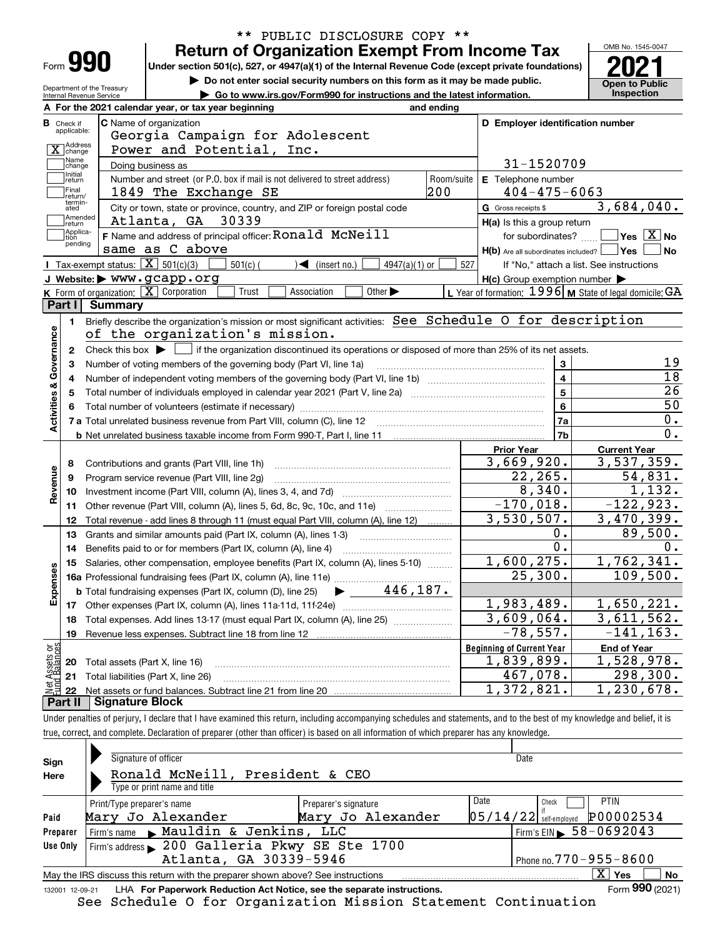| Form |  |
|------|--|

#### **Return of Organization Exempt From Income Tax** \*\* PUBLIC DISCLOSURE COPY \*\*

Under section 501(c), 527, or 4947(a)(1) of the Internal Revenue Code (except private foundations) **2021** 

**| Do not enter social security numbers on this form as it may be made public.**

Department of the Treasury

**Open to Public | Go to www.irs.gov/Form990 for instructions and the latest information. Inspection** Internal Revenue Service **For the 2021 calendar year, or tax year beginning and ending AC** Name of organization **C D Employer identification number B**Check if applicable:Georgia Campaign for Adolescent X change Power and Potential, Inc. Name<br>Change 31-1520709 Doing business as Initial<br>
return **E** Telephone number Number and street (or P.O. box if mail is not delivered to street address)  $\qquad \qquad \mid$  Room/suite  $\mid$  E Telephone number Final return/ 1849 The Exchange SE 200 404-475-6063 termin-atedG Gross receipts \$ 3,684,040.  $\overline{e}$  City or town, state or province, country, and ZIP or foreign postal code  $\overline{G}$  Gross receipts \$ **communisment**<br> **return** Atlanta, GA 30339 **H(a)** Is this a group return Applica-tion pending  $\Box$ <sup>Applica-</sup>  $|$  **F** Name and address of principal officer: **RONald**  $MCNe$ **ill**  $\Box$  tor subordinates?  $\Box$  Yes  $[X]$  No for subordinates?  $Yes \overline{X}$  No same as C above **H(b)** Are all subordinates included? **Yes No** Tax-exempt status:  $\boxed{\mathbf{X}}$  501(c)(3)  $\boxed{\phantom{0}}$  501(c)(  $\phantom{0}$  )  $\blacktriangleleft$  (insert no.)  $\boxed{\phantom{0}}$  4947(a)(1) or  $\boxed{\phantom{0}}$ 501(c) (301(c)  $\left(327\right)$  (insert no.)  $\left(3947(a)(1) \text{ or } 527\right)$ If "No," attach a list. See instructions **H(c)** Group exemption number **JWebsite: |** www.gcapp.org  $\overline{\text{ion: } \mathbf{X}}$  Corporation  $\qquad \qquad$  Trust  $\qquad$  Association Form of organization:  $\boxed{\textbf{X}}$  Corporation  $\boxed{\phantom{\textbf{X}}}$  Trust  $\boxed{\phantom{\textbf{X}}}$  Association  $\boxed{\phantom{\textbf{X}}}$  Other  $\blacktriangleright$   $\phantom{\textbf{X}}$  L Year of formation:  $1996$  **M** State of legal domicile: GA **KLPart I Summary** Briefly describe the organization's mission or most significant activities:  $\,$  See  $\,$  Sc $\,$ he $\,$ dule  $\,$  O  $\,$  fo $\,$ r  $\,$  de $\,$ s $\,$ c $\,$ r $\,$ p $\,$ t $\,$ o $\,$ **1Activities & Governance Activities & Governance** of the organization's mission. Check this box  $\blacktriangleright$  if the organization discontinued its operations or disposed of more than 25% of its net assets. **2**Check this box  $\blacktriangleright$ 19 Number of voting members of the governing body (Part VI, line 1a) **33**18 **4**Number of independent voting members of the governing body (Part VI, line 1b) www.community.community.com **4**26 **5**Total number of individuals employed in calendar year 2021 (Part V, line 2a) **56**50 **6**Total number of volunteers (estimate if necessary) 0. **7a7a**Total unrelated business revenue from Part VIII, column (C), line 12 **7b**0. **b** Net unrelated business taxable income from Form 990-T, Part I, line 11 **Prior Year Current Year** 3,669,920. 3,537,359. **8**Contributions and grants (Part VIII, line 1h) Revenue **Revenue** 22,265. 54,831. Program service revenue (Part VIII, line 2g) ~~~~~~~~~~~~~~~~~~~~~ **9**8,340. 1,132. **10**Investment income (Part VIII, column (A), lines 3, 4, and 7d) ~~~~~~~~~~~~~  $-170,018$ . -122,923. **11**Other revenue (Part VIII, column (A), lines 5, 6d, 8c, 9c, 10c, and 11e) *[[[[[[[[[[[[[[]]]]*] Total revenue - add lines 8 through 11 (must equal Part VIII, column (A), line 12) ........  $3,530,507.$  3,470,399. **12**89,500. 0. **13**Grants and similar amounts paid (Part IX, column (A), lines 1-3)  $0.$ 0. Benefits paid to or for members (Part IX, column (A), line 4) **14**1,600,275. 1,762,341. **15**Salaries, other compensation, employee benefits (Part IX, column (A), lines 5-10)  $\,$  , , , , , , , **Expenses** 109,500. 25,300. **16 a** Professional fundraising fees (Part IX, column (A), line 11e) ~~~~~~~~~~~~~~ | 446,187. **b**Total fundraising expenses (Part IX, column (D), line 25) 1,983,489. 1,650,221. **17**Other expenses (Part IX, column (A), lines 11a 11d, 11f 24e) ……………………………… 3,609,064. 3,611,562. **18**Total expenses. Add lines 13-17 (must equal Part IX, column (A), line 25) ~~~~~~~ $-78,557.$   $-141,163.$ **19**Revenue less expenses. Subtract line 18 from line 12 vet Assets or<br>und Balances **Beginning of Current Year End of Year** Total assets (Part X, line 16) 1,839,899. 1,528,978. **20**467,078. 298,300. **21**Total liabilities (Part X, line 26) **22**Net assets or fund balances. Subtract line 21 from line 20 1,372,821. 1,230,678. **Part II Signature Block**

Under penalties of perjury, I declare that I have examined this return, including accompanying schedules and statements, and to the best of my knowledge and belief, it is true, correct, and complete. Declaration of preparer (other than officer) is based on all information of which preparer has any knowledge.

| Sign<br>Here | Signature of officer<br>Ronald McNeill, President & CEO<br>Type or print name and title                      |                                           | Date                                                           |  |  |  |  |  |  |  |
|--------------|--------------------------------------------------------------------------------------------------------------|-------------------------------------------|----------------------------------------------------------------|--|--|--|--|--|--|--|
| Paid         | Print/Type preparer's name<br>Mary Jo Alexander                                                              | Preparer's signature<br>Mary Jo Alexander | Date<br>PTIN<br>Check<br>P00002534<br>$05/14/22$ self-employed |  |  |  |  |  |  |  |
| Preparer     | Firm's name Mauldin & Jenkins, LLC                                                                           |                                           | Firm's EIN $\triangleright$ 58-0692043                         |  |  |  |  |  |  |  |
| Use Only     | Firm's address 200 Galleria Pkwy SE Ste 1700                                                                 |                                           |                                                                |  |  |  |  |  |  |  |
|              | Atlanta, GA 30339-5946                                                                                       |                                           | Phone no. 770 - 955 - 8600                                     |  |  |  |  |  |  |  |
|              | $\mathbf{x}$<br>No<br>Yes<br>May the IRS discuss this return with the preparer shown above? See instructions |                                           |                                                                |  |  |  |  |  |  |  |
|              | Form 990 (2021)<br>LHA For Paperwork Reduction Act Notice, see the separate instructions.<br>132001 12-09-21 |                                           |                                                                |  |  |  |  |  |  |  |

See Schedule O for Organization Mission Statement Continuation

OMB No. 1545-0047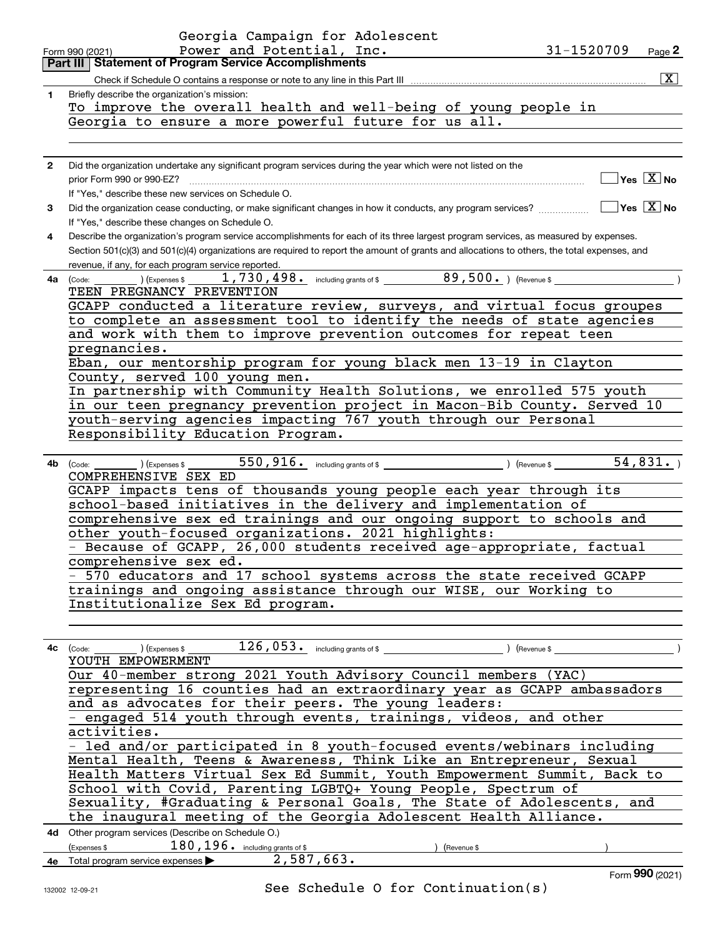|                | Georgia Campaign for Adolescent                                                                                                                                 |
|----------------|-----------------------------------------------------------------------------------------------------------------------------------------------------------------|
|                | Power and Potential, Inc.<br>31-1520709<br>Page $2$<br>Form 990 (2021)                                                                                          |
|                | Part III   Statement of Program Service Accomplishments                                                                                                         |
|                | $\sqrt{X}$<br>Check if Schedule O contains a response or note to any line in this Part III                                                                      |
| 1              | Briefly describe the organization's mission:                                                                                                                    |
|                | To improve the overall health and well-being of young people in                                                                                                 |
|                | Georgia to ensure a more powerful future for us all.                                                                                                            |
|                |                                                                                                                                                                 |
|                |                                                                                                                                                                 |
| $\overline{2}$ | Did the organization undertake any significant program services during the year which were not listed on the                                                    |
|                | $\sqrt{}$ Yes $\sqrt{}$ X $\sqrt{}$ No<br>prior Form 990 or 990-EZ?                                                                                             |
|                | If "Yes," describe these new services on Schedule O.                                                                                                            |
| 3              | $\boxed{\phantom{1}}$ Yes $\boxed{\text{X}}$ No<br>Did the organization cease conducting, or make significant changes in how it conducts, any program services? |
|                | If "Yes," describe these changes on Schedule O.                                                                                                                 |
| 4              | Describe the organization's program service accomplishments for each of its three largest program services, as measured by expenses.                            |
|                | Section 501(c)(3) and 501(c)(4) organizations are required to report the amount of grants and allocations to others, the total expenses, and                    |
|                | revenue, if any, for each program service reported.                                                                                                             |
|                | $\overline{\phantom{a}}$ ) (Expenses \$ $\overline{\phantom{a}}$<br>$4a$ (Code:                                                                                 |
|                | TEEN PREGNANCY PREVENTION                                                                                                                                       |
|                | GCAPP conducted a literature review, surveys, and virtual focus groupes                                                                                         |
|                | to complete an assessment tool to identify the needs of state agencies                                                                                          |
|                | and work with them to improve prevention outcomes for repeat teen                                                                                               |
|                | pregnancies.                                                                                                                                                    |
|                | Eban, our mentorship program for young black men 13-19 in Clayton                                                                                               |
|                | County, served 100 young men.                                                                                                                                   |
|                | In partnership with Community Health Solutions, we enrolled 575 youth                                                                                           |
|                | in our teen pregnancy prevention project in Macon-Bib County. Served 10                                                                                         |
|                | youth-serving agencies impacting 767 youth through our Personal                                                                                                 |
|                | Responsibility Education Program.                                                                                                                               |
|                |                                                                                                                                                                 |
|                | 550, 916. including grants of \$ (Revenue \$ 54, 831.)<br>4b (Code:<br>) (Expenses \$                                                                           |
|                | COMPREHENSIVE SEX ED                                                                                                                                            |
|                | GCAPP impacts tens of thousands young people each year through its                                                                                              |
|                | school-based initiatives in the delivery and implementation of                                                                                                  |
|                | comprehensive sex ed trainings and our ongoing support to schools and                                                                                           |
|                | other youth-focused organizations. 2021 highlights:                                                                                                             |
|                | - Because of GCAPP, 26,000 students received age-appropriate, factual                                                                                           |
|                | comprehensive sex ed.                                                                                                                                           |
|                | - 570 educators and 17 school systems across the state received GCAPP                                                                                           |
|                | trainings and ongoing assistance through our WISE, our Working to                                                                                               |
|                | Institutionalize Sex Ed program.                                                                                                                                |
|                |                                                                                                                                                                 |
|                |                                                                                                                                                                 |
|                | $126,053$ a including grants of \$ (Revenue \$)<br>$4c$ (Code: $\_\_\_\_\_\_\_\_\_\$ ) (Expenses \$<br>YOUTH EMPOWERMENT                                        |
|                | Our 40-member strong 2021 Youth Advisory Council members (YAC)                                                                                                  |
|                | representing 16 counties had an extraordinary year as GCAPP ambassadors                                                                                         |
|                | and as advocates for their peers. The young leaders:                                                                                                            |
|                | - engaged 514 youth through events, trainings, videos, and other                                                                                                |
|                | activities.                                                                                                                                                     |
|                | - led and/or participated in 8 youth-focused events/webinars including                                                                                          |
|                | Mental Health, Teens & Awareness, Think Like an Entrepreneur, Sexual                                                                                            |
|                | Health Matters Virtual Sex Ed Summit, Youth Empowerment Summit, Back to                                                                                         |
|                | School with Covid, Parenting LGBTQ+ Young People, Spectrum of                                                                                                   |
|                |                                                                                                                                                                 |
|                | Sexuality, #Graduating & Personal Goals, The State of Adolescents, and                                                                                          |
|                | the inaugural meeting of the Georgia Adolescent Health Alliance.                                                                                                |
|                | 4d Other program services (Describe on Schedule O.)                                                                                                             |
|                | $180, 196$ . including grants of \$<br>(Expenses \$<br>(Revenue \$                                                                                              |
|                | 4e Total program service expenses 2, 587, 663.                                                                                                                  |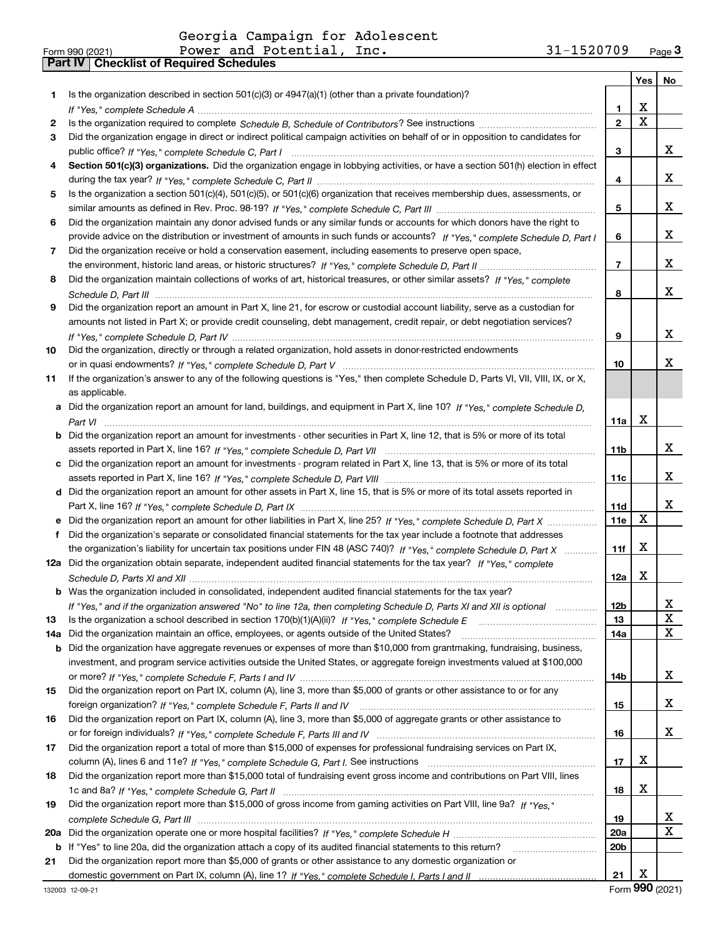|     |                                                                                                                                       |                 | Yes         | No     |
|-----|---------------------------------------------------------------------------------------------------------------------------------------|-----------------|-------------|--------|
| 1.  | Is the organization described in section $501(c)(3)$ or $4947(a)(1)$ (other than a private foundation)?                               |                 |             |        |
|     |                                                                                                                                       | 1               | х           |        |
| 2   |                                                                                                                                       | $\overline{2}$  | $\mathbf X$ |        |
| 3   | Did the organization engage in direct or indirect political campaign activities on behalf of or in opposition to candidates for       |                 |             |        |
|     |                                                                                                                                       | з               |             | x      |
| 4   | Section 501(c)(3) organizations. Did the organization engage in lobbying activities, or have a section 501(h) election in effect      |                 |             |        |
|     |                                                                                                                                       | 4               |             | x      |
| 5   | Is the organization a section 501(c)(4), 501(c)(5), or 501(c)(6) organization that receives membership dues, assessments, or          |                 |             |        |
|     |                                                                                                                                       | 5               |             | x      |
| 6   | Did the organization maintain any donor advised funds or any similar funds or accounts for which donors have the right to             |                 |             |        |
|     | provide advice on the distribution or investment of amounts in such funds or accounts? If "Yes," complete Schedule D, Part I          | 6               |             | x      |
| 7   | Did the organization receive or hold a conservation easement, including easements to preserve open space,                             |                 |             |        |
|     |                                                                                                                                       | $\overline{7}$  |             | x      |
| 8   | Did the organization maintain collections of works of art, historical treasures, or other similar assets? If "Yes," complete          |                 |             |        |
|     |                                                                                                                                       | 8               |             | x      |
| 9   | Did the organization report an amount in Part X, line 21, for escrow or custodial account liability, serve as a custodian for         |                 |             |        |
|     | amounts not listed in Part X; or provide credit counseling, debt management, credit repair, or debt negotiation services?             |                 |             |        |
|     |                                                                                                                                       | 9               |             | x      |
| 10  | Did the organization, directly or through a related organization, hold assets in donor-restricted endowments                          |                 |             |        |
|     |                                                                                                                                       | 10              |             | x      |
| 11  | If the organization's answer to any of the following questions is "Yes," then complete Schedule D, Parts VI, VII, VIII, IX, or X,     |                 |             |        |
|     | as applicable.                                                                                                                        |                 |             |        |
|     | a Did the organization report an amount for land, buildings, and equipment in Part X, line 10? If "Yes," complete Schedule D,         |                 |             |        |
|     |                                                                                                                                       | 11a             | X           |        |
|     | <b>b</b> Did the organization report an amount for investments - other securities in Part X, line 12, that is 5% or more of its total |                 |             |        |
|     |                                                                                                                                       | 11 <sub>b</sub> |             | x      |
|     | c Did the organization report an amount for investments - program related in Part X, line 13, that is 5% or more of its total         |                 |             |        |
|     |                                                                                                                                       | 11c             |             | х      |
|     | d Did the organization report an amount for other assets in Part X, line 15, that is 5% or more of its total assets reported in       |                 |             | x      |
|     |                                                                                                                                       | 11d             | X           |        |
|     | e Did the organization report an amount for other liabilities in Part X, line 25? If "Yes," complete Schedule D, Part X               | 11e             |             |        |
|     | Did the organization's separate or consolidated financial statements for the tax year include a footnote that addresses               |                 | X           |        |
|     | the organization's liability for uncertain tax positions under FIN 48 (ASC 740)? If "Yes," complete Schedule D, Part X                | 11f             |             |        |
|     | 12a Did the organization obtain separate, independent audited financial statements for the tax year? If "Yes," complete               |                 | х           |        |
|     | b Was the organization included in consolidated, independent audited financial statements for the tax year?                           | 12a             |             |        |
|     |                                                                                                                                       |                 |             |        |
| 13  | If "Yes," and if the organization answered "No" to line 12a, then completing Schedule D, Parts XI and XII is optional                 | 12b<br>13       |             | ᅀ<br>X |
| 14a | Did the organization maintain an office, employees, or agents outside of the United States?                                           | 14a             |             | x      |
|     | <b>b</b> Did the organization have aggregate revenues or expenses of more than \$10,000 from grantmaking, fundraising, business,      |                 |             |        |
|     | investment, and program service activities outside the United States, or aggregate foreign investments valued at \$100,000            |                 |             |        |
|     |                                                                                                                                       | 14b             |             | x      |
| 15  | Did the organization report on Part IX, column (A), line 3, more than \$5,000 of grants or other assistance to or for any             |                 |             |        |
|     |                                                                                                                                       | 15              |             | x      |
| 16  | Did the organization report on Part IX, column (A), line 3, more than \$5,000 of aggregate grants or other assistance to              |                 |             |        |
|     |                                                                                                                                       | 16              |             | x      |
| 17  | Did the organization report a total of more than \$15,000 of expenses for professional fundraising services on Part IX,               |                 |             |        |
|     |                                                                                                                                       | 17              | x           |        |
| 18  | Did the organization report more than \$15,000 total of fundraising event gross income and contributions on Part VIII, lines          |                 |             |        |
|     |                                                                                                                                       | 18              | х           |        |
| 19  | Did the organization report more than \$15,000 of gross income from gaming activities on Part VIII, line 9a? If "Yes."                |                 |             |        |
|     |                                                                                                                                       | 19              |             | х      |
| 20a |                                                                                                                                       | 20a             |             | x      |
|     | b If "Yes" to line 20a, did the organization attach a copy of its audited financial statements to this return?                        | 20 <sub>b</sub> |             |        |
| 21  | Did the organization report more than \$5,000 of grants or other assistance to any domestic organization or                           |                 |             |        |
|     |                                                                                                                                       | 21              | х           |        |

Form (2021) **990**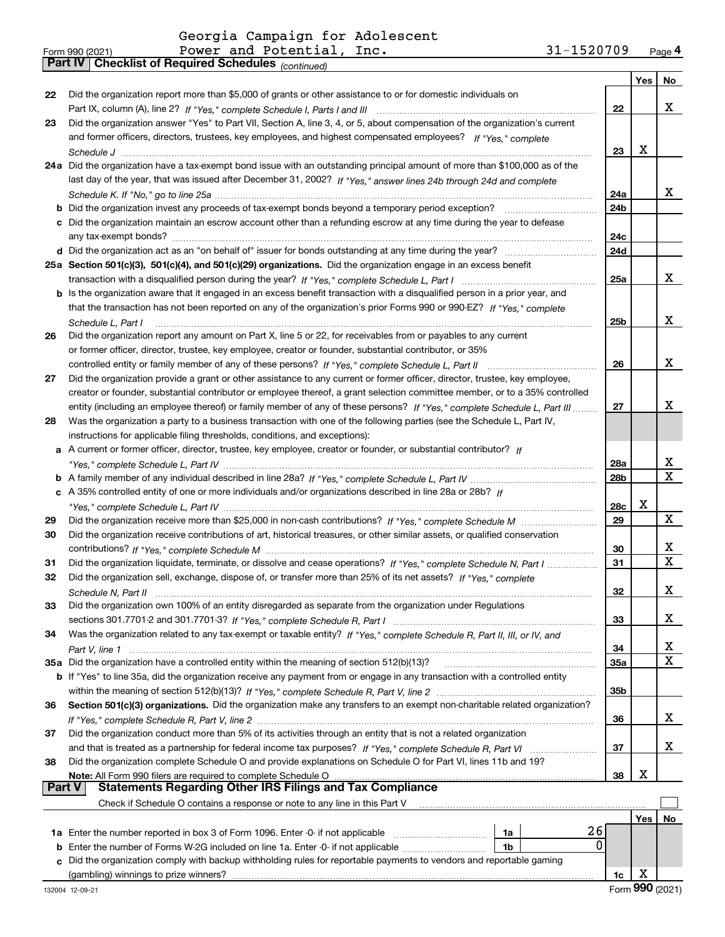*(continued)*

| Form 990 (2021) |                                                       | Power and Potential, Inc. | $31 - 1520709$ | Page 4 |
|-----------------|-------------------------------------------------------|---------------------------|----------------|--------|
|                 | Part IV   Checklist of Required Schedules (continued) |                           |                |        |

|               |                                                                                                                                                                                              |                 | Yes | No          |
|---------------|----------------------------------------------------------------------------------------------------------------------------------------------------------------------------------------------|-----------------|-----|-------------|
| 22            | Did the organization report more than \$5,000 of grants or other assistance to or for domestic individuals on                                                                                |                 |     |             |
|               |                                                                                                                                                                                              | 22              |     | x           |
| 23            | Did the organization answer "Yes" to Part VII, Section A, line 3, 4, or 5, about compensation of the organization's current                                                                  |                 |     |             |
|               | and former officers, directors, trustees, key employees, and highest compensated employees? If "Yes," complete                                                                               |                 |     |             |
|               |                                                                                                                                                                                              | 23              | X   |             |
|               | 24a Did the organization have a tax-exempt bond issue with an outstanding principal amount of more than \$100,000 as of the                                                                  |                 |     |             |
|               | last day of the year, that was issued after December 31, 2002? If "Yes," answer lines 24b through 24d and complete                                                                           |                 |     |             |
|               |                                                                                                                                                                                              | 24a             |     | x           |
|               | <b>b</b> Did the organization invest any proceeds of tax-exempt bonds beyond a temporary period exception?                                                                                   | 24 <sub>b</sub> |     |             |
|               | c Did the organization maintain an escrow account other than a refunding escrow at any time during the year to defease                                                                       |                 |     |             |
|               |                                                                                                                                                                                              | 24c             |     |             |
|               |                                                                                                                                                                                              | 24d             |     |             |
|               | 25a Section 501(c)(3), 501(c)(4), and 501(c)(29) organizations. Did the organization engage in an excess benefit                                                                             |                 |     |             |
|               |                                                                                                                                                                                              | 25a             |     | x           |
|               | b Is the organization aware that it engaged in an excess benefit transaction with a disqualified person in a prior year, and                                                                 |                 |     |             |
|               | that the transaction has not been reported on any of the organization's prior Forms 990 or 990-EZ? If "Yes," complete                                                                        |                 |     |             |
|               | Schedule L, Part I                                                                                                                                                                           | 25b             |     | X           |
| 26            | Did the organization report any amount on Part X, line 5 or 22, for receivables from or payables to any current                                                                              |                 |     |             |
|               | or former officer, director, trustee, key employee, creator or founder, substantial contributor, or 35%                                                                                      |                 |     |             |
|               | controlled entity or family member of any of these persons? If "Yes," complete Schedule L, Part II                                                                                           | 26              |     | х           |
| 27            | Did the organization provide a grant or other assistance to any current or former officer, director, trustee, key employee,                                                                  |                 |     |             |
|               | creator or founder, substantial contributor or employee thereof, a grant selection committee member, or to a 35% controlled                                                                  |                 |     |             |
|               | entity (including an employee thereof) or family member of any of these persons? If "Yes," complete Schedule L. Part III                                                                     | 27              |     | х           |
| 28            | Was the organization a party to a business transaction with one of the following parties (see the Schedule L, Part IV,                                                                       |                 |     |             |
|               | instructions for applicable filing thresholds, conditions, and exceptions):                                                                                                                  |                 |     |             |
|               | a A current or former officer, director, trustee, key employee, creator or founder, or substantial contributor? If                                                                           |                 |     |             |
|               |                                                                                                                                                                                              | 28a             |     | х           |
|               |                                                                                                                                                                                              | 28 <sub>b</sub> |     | X           |
|               | c A 35% controlled entity of one or more individuals and/or organizations described in line 28a or 28b? If                                                                                   |                 |     |             |
|               |                                                                                                                                                                                              | 28c             | х   |             |
| 29            |                                                                                                                                                                                              | 29              |     | $\mathbf X$ |
| 30            | Did the organization receive contributions of art, historical treasures, or other similar assets, or qualified conservation                                                                  |                 |     |             |
|               |                                                                                                                                                                                              | 30              |     | x           |
| 31            | Did the organization liquidate, terminate, or dissolve and cease operations? If "Yes," complete Schedule N, Part I                                                                           | 31              |     | $\mathbf X$ |
| 32            | Did the organization sell, exchange, dispose of, or transfer more than 25% of its net assets? If "Yes," complete                                                                             |                 |     |             |
|               |                                                                                                                                                                                              | 32              |     | x           |
| 33            | Did the organization own 100% of an entity disregarded as separate from the organization under Regulations                                                                                   |                 |     |             |
|               |                                                                                                                                                                                              | 33              |     | x           |
| 34            | Was the organization related to any tax-exempt or taxable entity? If "Yes," complete Schedule R, Part II, III, or IV, and                                                                    |                 |     |             |
|               |                                                                                                                                                                                              | 34              |     | х           |
|               | 35a Did the organization have a controlled entity within the meaning of section 512(b)(13)?                                                                                                  | 35a             |     | X           |
|               | b If "Yes" to line 35a, did the organization receive any payment from or engage in any transaction with a controlled entity                                                                  |                 |     |             |
|               |                                                                                                                                                                                              | 35 <sub>b</sub> |     |             |
| 36            | Section 501(c)(3) organizations. Did the organization make any transfers to an exempt non-charitable related organization?                                                                   |                 |     |             |
|               |                                                                                                                                                                                              | 36              |     | x           |
| 37            | Did the organization conduct more than 5% of its activities through an entity that is not a related organization                                                                             |                 |     |             |
|               |                                                                                                                                                                                              | 37              |     | x           |
| 38            | Did the organization complete Schedule O and provide explanations on Schedule O for Part VI, lines 11b and 19?                                                                               |                 |     |             |
| <b>Part V</b> | Note: All Form 990 filers are required to complete Schedule O<br><b>Statements Regarding Other IRS Filings and Tax Compliance</b>                                                            | 38              | x   |             |
|               | Check if Schedule O contains a response or note to any line in this Part V                                                                                                                   |                 |     |             |
|               |                                                                                                                                                                                              |                 |     |             |
|               | 26                                                                                                                                                                                           |                 | Yes | No          |
|               | 1a Enter the number reported in box 3 of Form 1096. Enter -0- if not applicable<br>1a<br>0<br><b>b</b> Enter the number of Forms W-2G included on line 1a. Enter -0- if not applicable<br>1b |                 |     |             |
|               | c Did the organization comply with backup withholding rules for reportable payments to vendors and reportable gaming                                                                         |                 |     |             |
|               |                                                                                                                                                                                              | 1c              | X   |             |
|               |                                                                                                                                                                                              |                 |     |             |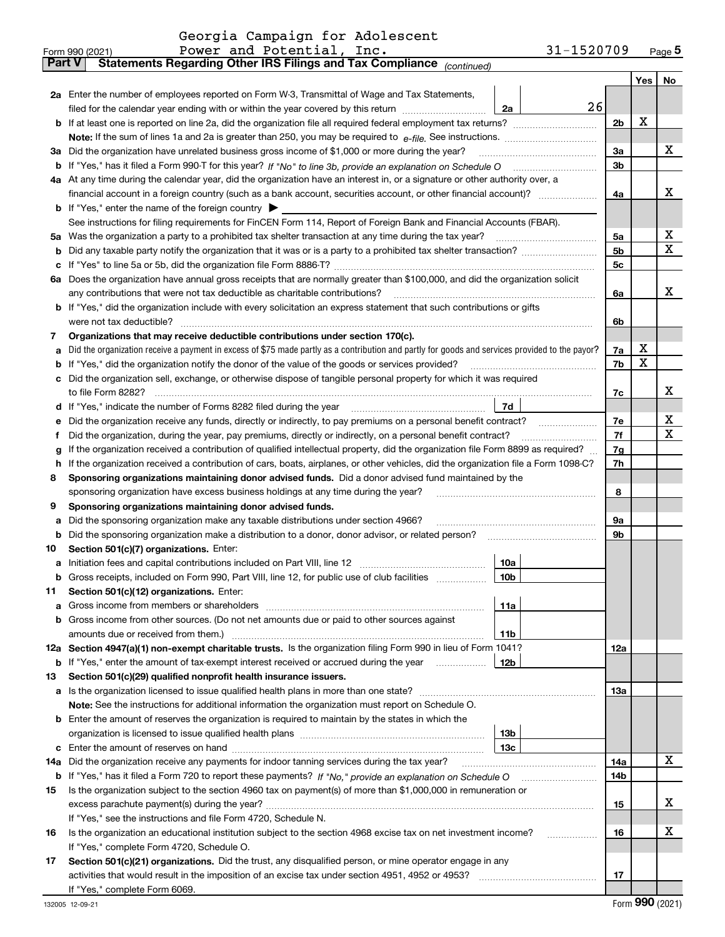|  | Georgia Campaign for Adolescent |
|--|---------------------------------|
|  |                                 |

|         | 31-1520709<br>Power and Potential, Inc.<br>Form 990 (2021)                                                                                                                                                                                                                                                                                        |                |     | <u>Page</u> 5 |
|---------|---------------------------------------------------------------------------------------------------------------------------------------------------------------------------------------------------------------------------------------------------------------------------------------------------------------------------------------------------|----------------|-----|---------------|
| Part V  | Statements Regarding Other IRS Filings and Tax Compliance (continued)                                                                                                                                                                                                                                                                             |                |     |               |
|         |                                                                                                                                                                                                                                                                                                                                                   |                | Yes | No            |
|         | 2a Enter the number of employees reported on Form W-3, Transmittal of Wage and Tax Statements,                                                                                                                                                                                                                                                    |                |     |               |
|         | 26<br>filed for the calendar year ending with or within the year covered by this return<br>2a                                                                                                                                                                                                                                                     |                |     |               |
|         |                                                                                                                                                                                                                                                                                                                                                   | 2b             | X   |               |
|         |                                                                                                                                                                                                                                                                                                                                                   |                |     |               |
|         | 3a Did the organization have unrelated business gross income of \$1,000 or more during the year?                                                                                                                                                                                                                                                  | 3a             |     | X             |
|         |                                                                                                                                                                                                                                                                                                                                                   | 3b             |     |               |
|         | 4a At any time during the calendar year, did the organization have an interest in, or a signature or other authority over, a                                                                                                                                                                                                                      |                |     |               |
|         |                                                                                                                                                                                                                                                                                                                                                   | 4a             |     | х             |
|         | <b>b</b> If "Yes," enter the name of the foreign country $\blacktriangleright$                                                                                                                                                                                                                                                                    |                |     |               |
|         | See instructions for filing requirements for FinCEN Form 114, Report of Foreign Bank and Financial Accounts (FBAR).                                                                                                                                                                                                                               |                |     |               |
| 5а      | Was the organization a party to a prohibited tax shelter transaction at any time during the tax year?                                                                                                                                                                                                                                             | 5a             |     | X             |
| b       |                                                                                                                                                                                                                                                                                                                                                   | 5 <sub>b</sub> |     | X             |
| c       |                                                                                                                                                                                                                                                                                                                                                   | 5c             |     |               |
|         | 6a Does the organization have annual gross receipts that are normally greater than \$100,000, and did the organization solicit                                                                                                                                                                                                                    |                |     |               |
|         | any contributions that were not tax deductible as charitable contributions?                                                                                                                                                                                                                                                                       | 6a             |     | х             |
|         | b If "Yes," did the organization include with every solicitation an express statement that such contributions or gifts                                                                                                                                                                                                                            |                |     |               |
|         | were not tax deductible?                                                                                                                                                                                                                                                                                                                          | 6b             |     |               |
| 7       |                                                                                                                                                                                                                                                                                                                                                   |                |     |               |
|         | Organizations that may receive deductible contributions under section 170(c).                                                                                                                                                                                                                                                                     |                | х   |               |
| a       | Did the organization receive a payment in excess of \$75 made partly as a contribution and partly for goods and services provided to the payor?                                                                                                                                                                                                   | 7a             | X   |               |
| b       | If "Yes," did the organization notify the donor of the value of the goods or services provided?                                                                                                                                                                                                                                                   | 7b             |     |               |
|         | Did the organization sell, exchange, or otherwise dispose of tangible personal property for which it was required                                                                                                                                                                                                                                 |                |     | х             |
|         |                                                                                                                                                                                                                                                                                                                                                   | 7c             |     |               |
| d       | 7d                                                                                                                                                                                                                                                                                                                                                |                |     | х             |
| е       | Did the organization receive any funds, directly or indirectly, to pay premiums on a personal benefit contract?                                                                                                                                                                                                                                   | 7e<br>7f       |     | X             |
| f       | Did the organization, during the year, pay premiums, directly or indirectly, on a personal benefit contract?                                                                                                                                                                                                                                      |                |     |               |
| g<br>h. | If the organization received a contribution of qualified intellectual property, did the organization file Form 8899 as required?                                                                                                                                                                                                                  | 7g<br>7h       |     |               |
| 8       | If the organization received a contribution of cars, boats, airplanes, or other vehicles, did the organization file a Form 1098-C?<br>Sponsoring organizations maintaining donor advised funds. Did a donor advised fund maintained by the                                                                                                        |                |     |               |
|         | sponsoring organization have excess business holdings at any time during the year?                                                                                                                                                                                                                                                                | 8              |     |               |
| 9       | Sponsoring organizations maintaining donor advised funds.                                                                                                                                                                                                                                                                                         |                |     |               |
| a       | Did the sponsoring organization make any taxable distributions under section 4966?                                                                                                                                                                                                                                                                | 9а             |     |               |
| b       |                                                                                                                                                                                                                                                                                                                                                   | 9b             |     |               |
|         |                                                                                                                                                                                                                                                                                                                                                   |                |     |               |
| 10      | Section 501(c)(7) organizations. Enter:<br>10a                                                                                                                                                                                                                                                                                                    |                |     |               |
|         | a Initiation fees and capital contributions included on Part VIII, line 12 [111] [12] [11] [12] [11] [12] [11] [12] [11] [12] [11] [12] [11] [12] [11] [12] [11] [12] [11] [12] [11] [12] [11] [12] [11] [12] [11] [12] [11] [<br> 10 <sub>b</sub><br>Gross receipts, included on Form 990, Part VIII, line 12, for public use of club facilities |                |     |               |
|         |                                                                                                                                                                                                                                                                                                                                                   |                |     |               |
| 11      | Section 501(c)(12) organizations. Enter:                                                                                                                                                                                                                                                                                                          |                |     |               |
| a       | 11a<br>Gross income from members or shareholders<br>b Gross income from other sources. (Do not net amounts due or paid to other sources against                                                                                                                                                                                                   |                |     |               |
|         |                                                                                                                                                                                                                                                                                                                                                   |                |     |               |
|         | 11 <sub>b</sub><br>12a Section 4947(a)(1) non-exempt charitable trusts. Is the organization filing Form 990 in lieu of Form 1041?                                                                                                                                                                                                                 | 12a            |     |               |
|         |                                                                                                                                                                                                                                                                                                                                                   |                |     |               |
|         | 12 <sub>b</sub><br><b>b</b> If "Yes," enter the amount of tax-exempt interest received or accrued during the year                                                                                                                                                                                                                                 |                |     |               |
| 13      | Section 501(c)(29) qualified nonprofit health insurance issuers.                                                                                                                                                                                                                                                                                  |                |     |               |
|         | a Is the organization licensed to issue qualified health plans in more than one state?                                                                                                                                                                                                                                                            | 13a            |     |               |
|         | Note: See the instructions for additional information the organization must report on Schedule O.                                                                                                                                                                                                                                                 |                |     |               |
|         | <b>b</b> Enter the amount of reserves the organization is required to maintain by the states in which the                                                                                                                                                                                                                                         |                |     |               |
|         | 13 <sub>b</sub>                                                                                                                                                                                                                                                                                                                                   |                |     |               |
|         | 13 <sub>c</sub>                                                                                                                                                                                                                                                                                                                                   |                |     |               |
|         | 14a Did the organization receive any payments for indoor tanning services during the tax year?                                                                                                                                                                                                                                                    | 14a            |     | х             |
|         |                                                                                                                                                                                                                                                                                                                                                   | 14b            |     |               |
| 15      | Is the organization subject to the section 4960 tax on payment(s) of more than \$1,000,000 in remuneration or                                                                                                                                                                                                                                     |                |     |               |
|         | excess parachute payment(s) during the year?                                                                                                                                                                                                                                                                                                      | 15             |     | х             |
|         | If "Yes," see the instructions and file Form 4720, Schedule N.                                                                                                                                                                                                                                                                                    |                |     |               |
| 16      | Is the organization an educational institution subject to the section 4968 excise tax on net investment income?                                                                                                                                                                                                                                   | 16             |     | х             |
|         | If "Yes," complete Form 4720, Schedule O.                                                                                                                                                                                                                                                                                                         |                |     |               |
| 17      | Section 501(c)(21) organizations. Did the trust, any disqualified person, or mine operator engage in any                                                                                                                                                                                                                                          |                |     |               |
|         |                                                                                                                                                                                                                                                                                                                                                   | 17             |     |               |
|         | If "Yes," complete Form 6069.                                                                                                                                                                                                                                                                                                                     |                |     |               |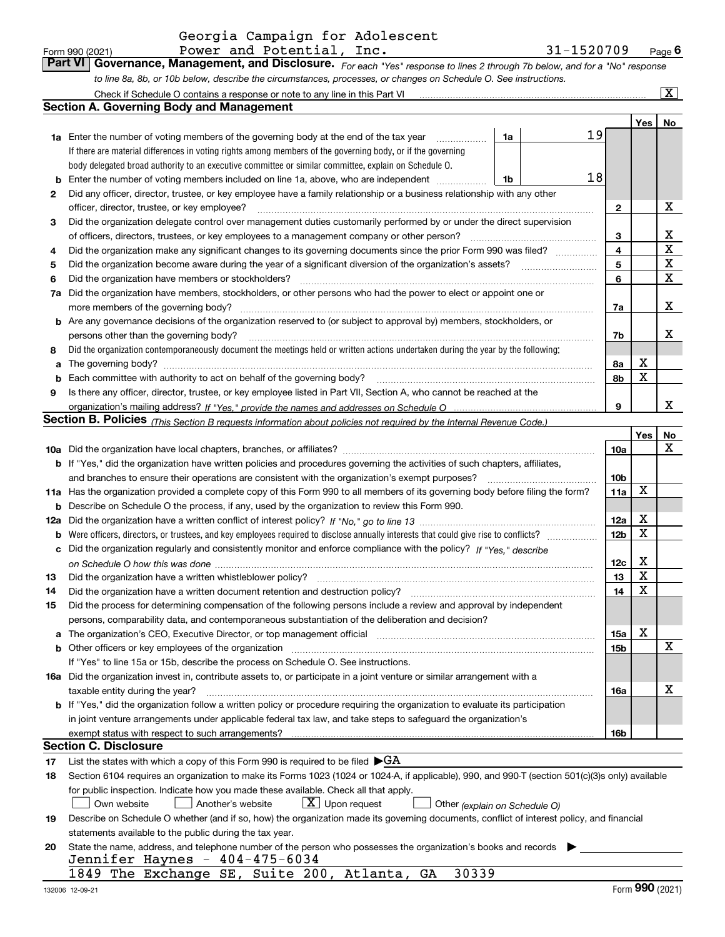| Form 990 (2021) | Power and Potential, Inc. | 31-1520709                                                                                                                     | $P$ <sub>age</sub> $6$ |
|-----------------|---------------------------|--------------------------------------------------------------------------------------------------------------------------------|------------------------|
|                 |                           | Part VI   Governance, Management, and Disclosure. For each "Yes" response to lines 2 through 7b below, and for a "No" response |                        |
|                 |                           | to line 8a, 8b, or 10b below, describe the circumstances, processes, or changes on Schedule O. See instructions.               |                        |

|     | Check if Schedule O contains a response or note to any line in this Part VI                                                                                                                                                   |                 |             | $\overline{\mathbf{x}}$ |
|-----|-------------------------------------------------------------------------------------------------------------------------------------------------------------------------------------------------------------------------------|-----------------|-------------|-------------------------|
|     | Section A. Governing Body and Management                                                                                                                                                                                      |                 |             |                         |
|     |                                                                                                                                                                                                                               |                 | Yes         | No                      |
|     | 19<br><b>1a</b> Enter the number of voting members of the governing body at the end of the tax year<br>1a<br>.                                                                                                                |                 |             |                         |
|     | If there are material differences in voting rights among members of the governing body, or if the governing                                                                                                                   |                 |             |                         |
|     | body delegated broad authority to an executive committee or similar committee, explain on Schedule O.                                                                                                                         |                 |             |                         |
| b   | 18<br>Enter the number of voting members included on line 1a, above, who are independent<br>1b                                                                                                                                |                 |             |                         |
| 2   | Did any officer, director, trustee, or key employee have a family relationship or a business relationship with any other                                                                                                      |                 |             |                         |
|     | officer, director, trustee, or key employee?                                                                                                                                                                                  | $\mathbf{2}$    |             | X                       |
| 3   | Did the organization delegate control over management duties customarily performed by or under the direct supervision                                                                                                         |                 |             |                         |
|     | of officers, directors, trustees, or key employees to a management company or other person?                                                                                                                                   | 3               |             | х                       |
| 4   | Did the organization make any significant changes to its governing documents since the prior Form 990 was filed?                                                                                                              | 4               |             | $\mathbf x$             |
| 5   |                                                                                                                                                                                                                               | 5               |             | X                       |
| 6   | Did the organization have members or stockholders?                                                                                                                                                                            | 6               |             | $\mathbf X$             |
| 7a  | Did the organization have members, stockholders, or other persons who had the power to elect or appoint one or                                                                                                                |                 |             |                         |
|     | more members of the governing body?                                                                                                                                                                                           | 7a              |             | х                       |
|     | <b>b</b> Are any governance decisions of the organization reserved to (or subject to approval by) members, stockholders, or                                                                                                   |                 |             |                         |
|     | persons other than the governing body?                                                                                                                                                                                        | 7b              |             | x                       |
| 8   | Did the organization contemporaneously document the meetings held or written actions undertaken during the year by the following:                                                                                             |                 |             |                         |
| a   | The governing body?                                                                                                                                                                                                           | 8a              | X           |                         |
| b   |                                                                                                                                                                                                                               | 8b              | $\mathbf X$ |                         |
| 9   | Is there any officer, director, trustee, or key employee listed in Part VII, Section A, who cannot be reached at the                                                                                                          |                 |             |                         |
|     |                                                                                                                                                                                                                               | 9               |             | x                       |
|     | Section B. Policies <sub>(This Section B requests information about policies not required by the Internal Revenue Code.)</sub>                                                                                                |                 |             |                         |
|     |                                                                                                                                                                                                                               |                 | Yes         | No                      |
|     |                                                                                                                                                                                                                               | 10a             |             | х                       |
|     | <b>b</b> If "Yes," did the organization have written policies and procedures governing the activities of such chapters, affiliates,                                                                                           |                 |             |                         |
|     | and branches to ensure their operations are consistent with the organization's exempt purposes?                                                                                                                               | 10b             |             |                         |
|     | 11a Has the organization provided a complete copy of this Form 990 to all members of its governing body before filing the form?                                                                                               | 11a             | $\mathbf X$ |                         |
| b   | Describe on Schedule O the process, if any, used by the organization to review this Form 990.                                                                                                                                 |                 |             |                         |
| 12a |                                                                                                                                                                                                                               | 12a             | X           |                         |
| b   |                                                                                                                                                                                                                               | 12 <sub>b</sub> | X           |                         |
| с   | Did the organization regularly and consistently monitor and enforce compliance with the policy? If "Yes." describe                                                                                                            |                 |             |                         |
|     |                                                                                                                                                                                                                               | 12c             | х           |                         |
| 13  | Did the organization have a written whistleblower policy?                                                                                                                                                                     | 13              | X           |                         |
| 14  | Did the organization have a written document retention and destruction policy?                                                                                                                                                | 14              | X           |                         |
| 15  | Did the process for determining compensation of the following persons include a review and approval by independent                                                                                                            |                 |             |                         |
|     | persons, comparability data, and contemporaneous substantiation of the deliberation and decision?                                                                                                                             |                 | X           |                         |
| a   | The organization's CEO, Executive Director, or top management official manufactured content content of the organization's CEO, Executive Director, or top management official manufactured content of the organization's CEO, | 15a             |             | X                       |
|     | <b>b</b> Other officers or key employees of the organization                                                                                                                                                                  | 15b             |             |                         |
|     | If "Yes" to line 15a or 15b, describe the process on Schedule O. See instructions.                                                                                                                                            |                 |             |                         |
|     | 16a Did the organization invest in, contribute assets to, or participate in a joint venture or similar arrangement with a<br>taxable entity during the year?                                                                  | 16a             |             | х                       |
|     | b If "Yes," did the organization follow a written policy or procedure requiring the organization to evaluate its participation                                                                                                |                 |             |                         |
|     | in joint venture arrangements under applicable federal tax law, and take steps to safeguard the organization's                                                                                                                |                 |             |                         |
|     | exempt status with respect to such arrangements?                                                                                                                                                                              | 16b             |             |                         |
|     | <b>Section C. Disclosure</b>                                                                                                                                                                                                  |                 |             |                         |
| 17  | List the states with which a copy of this Form 990 is required to be filed $\blacktriangleright$ GA                                                                                                                           |                 |             |                         |
| 18  | Section 6104 requires an organization to make its Forms 1023 (1024 or 1024-A, if applicable), 990, and 990-T (section 501(c)(3)s only) available                                                                              |                 |             |                         |
|     | for public inspection. Indicate how you made these available. Check all that apply.                                                                                                                                           |                 |             |                         |
|     | $X$ Upon request<br>Another's website<br>Own website<br>Other (explain on Schedule O)                                                                                                                                         |                 |             |                         |
| 19  | Describe on Schedule O whether (and if so, how) the organization made its governing documents, conflict of interest policy, and financial                                                                                     |                 |             |                         |
|     | statements available to the public during the tax year.                                                                                                                                                                       |                 |             |                         |
| 20  | State the name, address, and telephone number of the person who possesses the organization's books and records                                                                                                                |                 |             |                         |
|     | Jennifer Haynes - 404-475-6034                                                                                                                                                                                                |                 |             |                         |
|     | 1849 The Exchange SE, Suite 200, Atlanta, GA<br>30339                                                                                                                                                                         |                 |             |                         |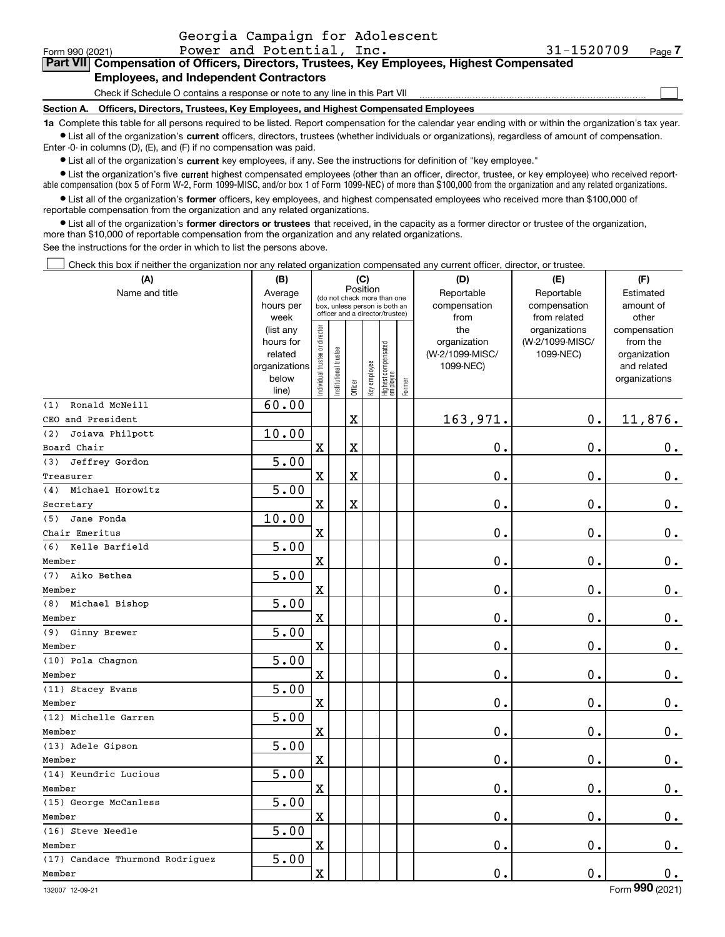$\mathcal{L}^{\text{max}}$ 

# **7Part VII Compensation of Officers, Directors, Trustees, Key Employees, Highest Compensated Employees, and Independent Contractors**

Check if Schedule O contains a response or note to any line in this Part VII

**Section A. Officers, Directors, Trustees, Key Employees, and Highest Compensated Employees**

**1a**  Complete this table for all persons required to be listed. Report compensation for the calendar year ending with or within the organization's tax year. **•** List all of the organization's current officers, directors, trustees (whether individuals or organizations), regardless of amount of compensation.

Enter -0- in columns (D), (E), and (F) if no compensation was paid.

 $\bullet$  List all of the organization's  $\sf current$  key employees, if any. See the instructions for definition of "key employee."

**•** List the organization's five current highest compensated employees (other than an officer, director, trustee, or key employee) who received reportable compensation (box 5 of Form W-2, Form 1099-MISC, and/or box 1 of Form 1099-NEC) of more than \$100,000 from the organization and any related organizations.

**•** List all of the organization's former officers, key employees, and highest compensated employees who received more than \$100,000 of reportable compensation from the organization and any related organizations.

**former directors or trustees**  ¥ List all of the organization's that received, in the capacity as a former director or trustee of the organization, more than \$10,000 of reportable compensation from the organization and any related organizations.

See the instructions for the order in which to list the persons above.

Check this box if neither the organization nor any related organization compensated any current officer, director, or trustee.  $\mathcal{L}^{\text{max}}$ 

| (A)                             | (B)               |                                |                        | (C)      |              |                                                                  |        | (D)             | (E)                           | (F)                   |
|---------------------------------|-------------------|--------------------------------|------------------------|----------|--------------|------------------------------------------------------------------|--------|-----------------|-------------------------------|-----------------------|
| Name and title                  | Average           |                                |                        | Position |              | (do not check more than one                                      |        | Reportable      | Reportable                    | Estimated             |
|                                 | hours per         |                                |                        |          |              | box, unless person is both an<br>officer and a director/trustee) |        | compensation    | compensation                  | amount of             |
|                                 | week<br>(list any |                                |                        |          |              |                                                                  |        | from<br>the     | from related<br>organizations | other<br>compensation |
|                                 | hours for         |                                |                        |          |              |                                                                  |        | organization    | (W-2/1099-MISC/               | from the              |
|                                 | related           |                                |                        |          |              |                                                                  |        | (W-2/1099-MISC/ | 1099-NEC)                     | organization          |
|                                 | organizations     |                                |                        |          |              |                                                                  |        | 1099-NEC)       |                               | and related           |
|                                 | below             | Individual trustee or director | In stitutional trustee |          | Key employee | Highest compensated<br> employee                                 | Former |                 |                               | organizations         |
|                                 | line)             |                                |                        | Officer  |              |                                                                  |        |                 |                               |                       |
| Ronald McNeill<br>(1)           | 60.00             |                                |                        |          |              |                                                                  |        |                 |                               |                       |
| CEO and President               |                   |                                |                        | X        |              |                                                                  |        | 163,971.        | 0.                            | 11,876.               |
| (2)<br>Joiava Philpott          | 10.00             |                                |                        |          |              |                                                                  |        |                 |                               |                       |
| Board Chair                     |                   | $\mathbf X$                    |                        | X        |              |                                                                  |        | $\mathbf 0$ .   | 0.                            | $0_{.}$               |
| Jeffrey Gordon<br>(3)           | 5.00              |                                |                        |          |              |                                                                  |        |                 |                               |                       |
| Treasurer                       |                   | $\mathbf X$                    |                        | X        |              |                                                                  |        | $0$ .           | $\mathbf 0$ .                 | 0.                    |
| Michael Horowitz<br>(4)         | 5.00              |                                |                        |          |              |                                                                  |        |                 |                               |                       |
| Secretary                       |                   | $\mathbf x$                    |                        | X        |              |                                                                  |        | $\mathbf 0$ .   | $\mathbf 0$ .                 | $0_{.}$               |
| Jane Fonda<br>(5)               | 10.00             |                                |                        |          |              |                                                                  |        |                 |                               |                       |
| Chair Emeritus                  |                   | $\mathbf X$                    |                        |          |              |                                                                  |        | $0$ .           | $\mathbf 0$ .                 | $0_{.}$               |
| Kelle Barfield<br>(6)           | 5.00              |                                |                        |          |              |                                                                  |        |                 |                               |                       |
| Member                          |                   | $\mathbf X$                    |                        |          |              |                                                                  |        | $\mathbf 0$ .   | $\mathbf 0$ .                 | $\mathbf 0$ .         |
| (7)<br>Aiko Bethea              | $\overline{5.00}$ |                                |                        |          |              |                                                                  |        |                 |                               |                       |
| Member                          |                   | $\mathbf X$                    |                        |          |              |                                                                  |        | $\mathbf 0$ .   | $\mathbf 0$ .                 | $\mathbf 0$ .         |
| (8)<br>Michael Bishop           | 5.00              |                                |                        |          |              |                                                                  |        |                 |                               |                       |
| Member                          |                   | $\mathbf X$                    |                        |          |              |                                                                  |        | $\mathbf 0$ .   | 0.                            | $\mathbf 0$ .         |
| (9)<br>Ginny Brewer             | 5.00              |                                |                        |          |              |                                                                  |        |                 |                               |                       |
| Member                          |                   | $\mathbf x$                    |                        |          |              |                                                                  |        | $\mathbf 0$ .   | 0.                            | $0_{.}$               |
| (10) Pola Chagnon               | 5.00              |                                |                        |          |              |                                                                  |        |                 |                               |                       |
| Member                          |                   | $\mathbf X$                    |                        |          |              |                                                                  |        | 0.              | $\mathbf 0$ .                 | $\mathbf 0$ .         |
| (11) Stacey Evans               | 5.00              |                                |                        |          |              |                                                                  |        |                 |                               |                       |
| Member                          |                   | $\mathbf x$                    |                        |          |              |                                                                  |        | $0$ .           | $\mathbf 0$ .                 | $0_{.}$               |
| (12) Michelle Garren            | 5.00              |                                |                        |          |              |                                                                  |        |                 |                               |                       |
| Member                          |                   | $\overline{\mathbf{X}}$        |                        |          |              |                                                                  |        | $\mathbf 0$ .   | $\mathbf 0$ .                 | $\mathbf 0$ .         |
| (13) Adele Gipson               | $\overline{5.00}$ |                                |                        |          |              |                                                                  |        |                 |                               |                       |
| Member                          |                   | $\mathbf x$                    |                        |          |              |                                                                  |        | $\mathbf 0$ .   | $\mathbf 0$ .                 | $0_{.}$               |
| (14) Keundric Lucious           | 5.00              |                                |                        |          |              |                                                                  |        |                 |                               |                       |
| Member                          |                   | $\overline{\mathbf{X}}$        |                        |          |              |                                                                  |        | $\mathbf 0$ .   | $\mathbf 0$ .                 | $\mathbf 0$ .         |
| (15) George McCanless           | 5.00              |                                |                        |          |              |                                                                  |        |                 |                               |                       |
| Member                          |                   | $\mathbf x$                    |                        |          |              |                                                                  |        | $0$ .           | $\mathbf 0$ .                 | 0.                    |
| (16) Steve Needle               | 5.00              |                                |                        |          |              |                                                                  |        |                 |                               |                       |
| Member                          |                   | $\mathbf X$                    |                        |          |              |                                                                  |        | $\mathbf 0$ .   | $\mathbf 0$ .                 | 0.                    |
| (17) Candace Thurmond Rodriguez | 5.00              |                                |                        |          |              |                                                                  |        |                 |                               |                       |
| Member                          |                   | $\mathbf X$                    |                        |          |              |                                                                  |        | $\mathbf 0$ .   | 0.                            | 0.                    |
|                                 |                   |                                |                        |          |              |                                                                  |        |                 |                               |                       |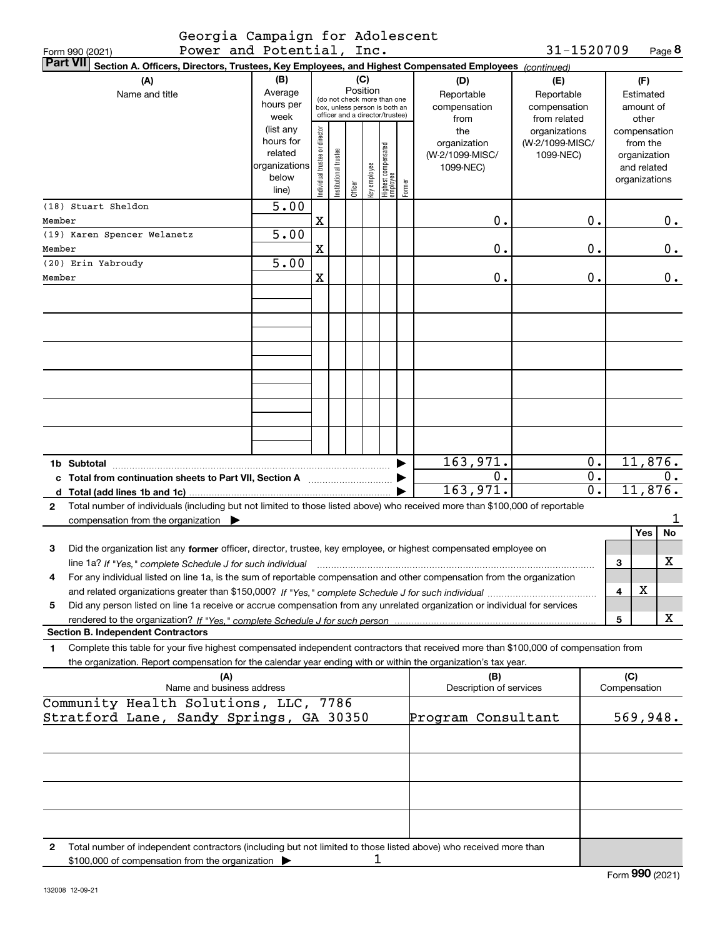|                        | Georgia Campaign for Adolescent |
|------------------------|---------------------------------|
| $Downar and Detantial$ |                                 |

Form 990 (2021) Page Power and Potential, Inc. **8** 31-1520709

| <b>Part VII</b><br>Section A. Officers, Directors, Trustees, Key Employees, and Highest Compensated Employees (continued)                                                |                        |                                |                                                              |         |              |                                   |        |                                 |                 |                                        |       |                             |    |
|--------------------------------------------------------------------------------------------------------------------------------------------------------------------------|------------------------|--------------------------------|--------------------------------------------------------------|---------|--------------|-----------------------------------|--------|---------------------------------|-----------------|----------------------------------------|-------|-----------------------------|----|
| (A)                                                                                                                                                                      | (B)                    |                                |                                                              | (C)     |              |                                   |        | (D)                             | (E)             |                                        |       | (F)                         |    |
| Name and title                                                                                                                                                           | Average                |                                |                                                              |         | Position     |                                   |        | Reportable                      | Reportable      |                                        |       | Estimated                   |    |
|                                                                                                                                                                          | hours per              |                                | (do not check more than one<br>box, unless person is both an |         |              |                                   |        | compensation                    | compensation    |                                        |       | amount of                   |    |
|                                                                                                                                                                          | week                   |                                | officer and a director/trustee)                              |         |              |                                   |        | from                            | from related    |                                        |       | other                       |    |
|                                                                                                                                                                          | (list any<br>hours for | Individual trustee or director |                                                              |         |              |                                   |        | the                             | organizations   |                                        |       | compensation                |    |
|                                                                                                                                                                          | related                |                                |                                                              |         |              |                                   |        | organization<br>(W-2/1099-MISC/ | (W-2/1099-MISC/ |                                        |       | from the                    |    |
|                                                                                                                                                                          | organizations          |                                |                                                              |         |              |                                   |        | 1099-NEC)                       | 1099-NEC)       |                                        |       | organization<br>and related |    |
|                                                                                                                                                                          | below                  |                                | Institutional trustee                                        |         | key employee |                                   |        |                                 |                 |                                        |       | organizations               |    |
|                                                                                                                                                                          | line)                  |                                |                                                              | Officer |              | Highest compensated<br>  employee | Former |                                 |                 |                                        |       |                             |    |
| (18) Stuart Sheldon                                                                                                                                                      | 5.00                   |                                |                                                              |         |              |                                   |        |                                 |                 |                                        |       |                             |    |
| Member                                                                                                                                                                   |                        | X                              |                                                              |         |              |                                   |        | 0.                              |                 | 0.                                     |       |                             | 0. |
| (19) Karen Spencer Welanetz                                                                                                                                              | 5.00                   |                                |                                                              |         |              |                                   |        |                                 |                 |                                        |       |                             |    |
| Member                                                                                                                                                                   |                        | X                              |                                                              |         |              |                                   |        | 0.                              |                 | 0.                                     |       |                             | 0. |
| (20) Erin Yabroudy                                                                                                                                                       | 5.00                   |                                |                                                              |         |              |                                   |        |                                 |                 |                                        |       |                             |    |
| Member                                                                                                                                                                   |                        | X                              |                                                              |         |              |                                   |        | 0.                              |                 | Ο.                                     |       |                             | 0. |
|                                                                                                                                                                          |                        |                                |                                                              |         |              |                                   |        |                                 |                 |                                        |       |                             |    |
|                                                                                                                                                                          |                        |                                |                                                              |         |              |                                   |        |                                 |                 |                                        |       |                             |    |
|                                                                                                                                                                          |                        |                                |                                                              |         |              |                                   |        |                                 |                 |                                        |       |                             |    |
|                                                                                                                                                                          |                        |                                |                                                              |         |              |                                   |        |                                 |                 |                                        |       |                             |    |
|                                                                                                                                                                          |                        |                                |                                                              |         |              |                                   |        |                                 |                 |                                        |       |                             |    |
|                                                                                                                                                                          |                        |                                |                                                              |         |              |                                   |        |                                 |                 |                                        |       |                             |    |
|                                                                                                                                                                          |                        |                                |                                                              |         |              |                                   |        |                                 |                 |                                        |       |                             |    |
|                                                                                                                                                                          |                        |                                |                                                              |         |              |                                   |        |                                 |                 |                                        |       |                             |    |
|                                                                                                                                                                          |                        |                                |                                                              |         |              |                                   |        |                                 |                 |                                        |       |                             |    |
|                                                                                                                                                                          |                        |                                |                                                              |         |              |                                   |        |                                 |                 |                                        |       |                             |    |
|                                                                                                                                                                          |                        |                                |                                                              |         |              |                                   |        |                                 |                 |                                        |       |                             |    |
|                                                                                                                                                                          |                        |                                |                                                              |         |              |                                   |        |                                 |                 |                                        |       |                             |    |
|                                                                                                                                                                          |                        |                                |                                                              |         |              |                                   |        | 163,971.                        |                 | 0.                                     |       | 11,876.                     |    |
| c Total from continuation sheets to Part VII, Section A manuscription.                                                                                                   |                        |                                |                                                              |         |              |                                   |        | 0.                              |                 | $\overline{0}$ .                       | $0$ . |                             |    |
| d Total (add lines 1b and 1c)                                                                                                                                            |                        |                                |                                                              |         |              |                                   |        | 163,971.                        |                 | $\overline{\mathfrak{o}}$ .<br>11,876. |       |                             |    |
| Total number of individuals (including but not limited to those listed above) who received more than \$100,000 of reportable<br>$\mathbf{2}$                             |                        |                                |                                                              |         |              |                                   |        |                                 |                 |                                        |       |                             |    |
| compensation from the organization $\blacktriangleright$                                                                                                                 |                        |                                |                                                              |         |              |                                   |        |                                 |                 |                                        |       |                             | 1  |
|                                                                                                                                                                          |                        |                                |                                                              |         |              |                                   |        |                                 |                 |                                        |       | Yes                         | No |
| Did the organization list any former officer, director, trustee, key employee, or highest compensated employee on<br>3                                                   |                        |                                |                                                              |         |              |                                   |        |                                 |                 |                                        |       |                             |    |
| line 1a? If "Yes," complete Schedule J for such individual                                                                                                               |                        |                                |                                                              |         |              |                                   |        |                                 |                 |                                        | 3     |                             | х  |
| For any individual listed on line 1a, is the sum of reportable compensation and other compensation from the organization<br>4                                            |                        |                                |                                                              |         |              |                                   |        |                                 |                 |                                        |       |                             |    |
|                                                                                                                                                                          |                        |                                |                                                              |         |              |                                   |        |                                 |                 |                                        | 4     | X                           |    |
| Did any person listed on line 1a receive or accrue compensation from any unrelated organization or individual for services<br>5                                          |                        |                                |                                                              |         |              |                                   |        |                                 |                 |                                        |       |                             |    |
|                                                                                                                                                                          |                        |                                |                                                              |         |              |                                   |        |                                 |                 |                                        | 5     |                             | X  |
| <b>Section B. Independent Contractors</b>                                                                                                                                |                        |                                |                                                              |         |              |                                   |        |                                 |                 |                                        |       |                             |    |
| Complete this table for your five highest compensated independent contractors that received more than \$100,000 of compensation from<br>1                                |                        |                                |                                                              |         |              |                                   |        |                                 |                 |                                        |       |                             |    |
| the organization. Report compensation for the calendar year ending with or within the organization's tax year.                                                           |                        |                                |                                                              |         |              |                                   |        |                                 |                 |                                        |       |                             |    |
| (A)                                                                                                                                                                      |                        |                                |                                                              |         |              |                                   |        | (B)                             |                 |                                        | (C)   |                             |    |
| Name and business address                                                                                                                                                |                        |                                |                                                              |         |              |                                   |        | Description of services         |                 |                                        |       | Compensation                |    |
| Community Health Solutions, LLC, 7786                                                                                                                                    |                        |                                |                                                              |         |              |                                   |        |                                 |                 |                                        |       |                             |    |
| Stratford Lane, Sandy Springs, GA 30350                                                                                                                                  |                        |                                |                                                              |         |              |                                   |        | Program Consultant              |                 |                                        |       | 569,948.                    |    |
|                                                                                                                                                                          |                        |                                |                                                              |         |              |                                   |        |                                 |                 |                                        |       |                             |    |
|                                                                                                                                                                          |                        |                                |                                                              |         |              |                                   |        |                                 |                 |                                        |       |                             |    |
|                                                                                                                                                                          |                        |                                |                                                              |         |              |                                   |        |                                 |                 |                                        |       |                             |    |
|                                                                                                                                                                          |                        |                                |                                                              |         |              |                                   |        |                                 |                 |                                        |       |                             |    |
|                                                                                                                                                                          |                        |                                |                                                              |         |              |                                   |        |                                 |                 |                                        |       |                             |    |
|                                                                                                                                                                          |                        |                                |                                                              |         |              |                                   |        |                                 |                 |                                        |       |                             |    |
|                                                                                                                                                                          |                        |                                |                                                              |         |              |                                   |        |                                 |                 |                                        |       |                             |    |
|                                                                                                                                                                          |                        |                                |                                                              |         |              |                                   |        |                                 |                 |                                        |       |                             |    |
| 2<br>Total number of independent contractors (including but not limited to those listed above) who received more than<br>\$100,000 of compensation from the organization |                        |                                |                                                              |         | ı            |                                   |        |                                 |                 |                                        |       |                             |    |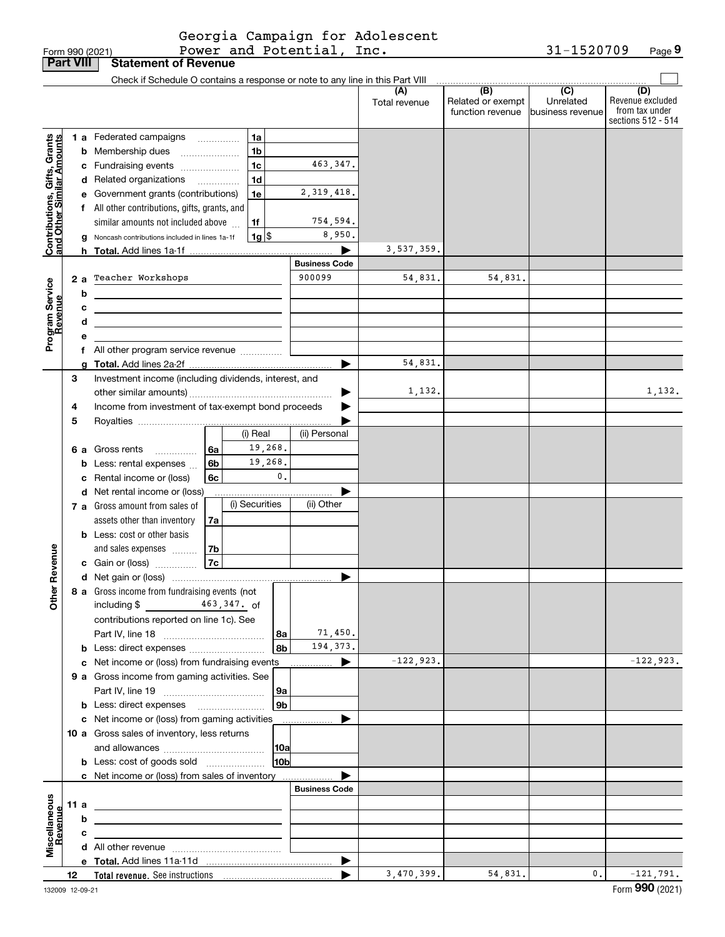|  | Form 990 (2021) |
|--|-----------------|

|                                                           | <b>Part VIII</b> |        | <b>Statement of Revenue</b>                                                     |                      |                      |                                              |                                                   |                                                                 |
|-----------------------------------------------------------|------------------|--------|---------------------------------------------------------------------------------|----------------------|----------------------|----------------------------------------------|---------------------------------------------------|-----------------------------------------------------------------|
|                                                           |                  |        | Check if Schedule O contains a response or note to any line in this Part VIII   |                      |                      |                                              |                                                   |                                                                 |
|                                                           |                  |        |                                                                                 |                      | (A)<br>Total revenue | (B)<br>Related or exempt<br>function revenue | $\overline{(C)}$<br>Unrelated<br>business revenue | (D)<br>Revenue excluded<br>from tax under<br>sections 512 - 514 |
|                                                           |                  |        | <b>1 a</b> Federated campaigns<br>1a<br>.                                       |                      |                      |                                              |                                                   |                                                                 |
| Contributions, Gifts, Grants<br>and Other Similar Amounts |                  |        | 1 <sub>b</sub><br><b>b</b> Membership dues                                      |                      |                      |                                              |                                                   |                                                                 |
|                                                           |                  |        | 1 <sub>c</sub><br>c Fundraising events                                          | 463,347.             |                      |                                              |                                                   |                                                                 |
|                                                           |                  |        | 1 <sub>d</sub><br>d Related organizations<br>.                                  |                      |                      |                                              |                                                   |                                                                 |
|                                                           |                  |        | 1e<br>e Government grants (contributions)                                       | 2, 319, 418.         |                      |                                              |                                                   |                                                                 |
|                                                           |                  |        | f All other contributions, gifts, grants, and                                   |                      |                      |                                              |                                                   |                                                                 |
|                                                           |                  |        | similar amounts not included above<br>1f                                        | 754,594.             |                      |                                              |                                                   |                                                                 |
|                                                           |                  |        | $1g$ \$<br>g Noncash contributions included in lines 1a-1f                      | 8,950.               |                      |                                              |                                                   |                                                                 |
|                                                           |                  |        |                                                                                 | ▶                    | 3,537,359.           |                                              |                                                   |                                                                 |
|                                                           |                  |        |                                                                                 | <b>Business Code</b> |                      |                                              |                                                   |                                                                 |
|                                                           | 2a               |        | Teacher Workshops                                                               | 900099               | 54,831.              | 54,831.                                      |                                                   |                                                                 |
| Program Service<br>Revenue                                |                  | b      |                                                                                 |                      |                      |                                              |                                                   |                                                                 |
|                                                           |                  |        |                                                                                 |                      |                      |                                              |                                                   |                                                                 |
|                                                           |                  | с<br>d | <u> 1989 - Johann Stein, marwolaethau (b. 1989)</u>                             |                      |                      |                                              |                                                   |                                                                 |
|                                                           |                  |        | the control of the control of the control of the control of the control of      |                      |                      |                                              |                                                   |                                                                 |
|                                                           |                  | е      | f All other program service revenue                                             |                      |                      |                                              |                                                   |                                                                 |
|                                                           |                  |        |                                                                                 | ▶                    | 54,831.              |                                              |                                                   |                                                                 |
|                                                           | 3                |        | Investment income (including dividends, interest, and                           |                      |                      |                                              |                                                   |                                                                 |
|                                                           |                  |        |                                                                                 | ▶                    | 1,132.               |                                              |                                                   | 1,132.                                                          |
|                                                           | 4                |        | Income from investment of tax-exempt bond proceeds                              |                      |                      |                                              |                                                   |                                                                 |
|                                                           | 5                |        |                                                                                 |                      |                      |                                              |                                                   |                                                                 |
|                                                           |                  |        | (i) Real                                                                        | (ii) Personal        |                      |                                              |                                                   |                                                                 |
|                                                           |                  |        | 19,268.<br>6 a Gross rents<br>6a                                                |                      |                      |                                              |                                                   |                                                                 |
|                                                           |                  |        | 19,268.<br>6b<br><b>b</b> Less: rental expenses                                 |                      |                      |                                              |                                                   |                                                                 |
|                                                           |                  |        | 0.<br>c Rental income or (loss)<br>6c                                           |                      |                      |                                              |                                                   |                                                                 |
|                                                           |                  |        | d Net rental income or (loss)                                                   |                      |                      |                                              |                                                   |                                                                 |
|                                                           |                  |        | (i) Securities<br>7 a Gross amount from sales of                                | (ii) Other           |                      |                                              |                                                   |                                                                 |
|                                                           |                  |        | assets other than inventory<br>7a                                               |                      |                      |                                              |                                                   |                                                                 |
|                                                           |                  |        | <b>b</b> Less: cost or other basis                                              |                      |                      |                                              |                                                   |                                                                 |
|                                                           |                  |        | and sales expenses<br>7b                                                        |                      |                      |                                              |                                                   |                                                                 |
| Revenue                                                   |                  |        | 7c <br>c Gain or (loss)                                                         |                      |                      |                                              |                                                   |                                                                 |
|                                                           |                  |        |                                                                                 | ▶                    |                      |                                              |                                                   |                                                                 |
|                                                           |                  |        | 8 a Gross income from fundraising events (not                                   |                      |                      |                                              |                                                   |                                                                 |
| <b>Other</b>                                              |                  |        | $463,347$ of<br>including $$$                                                   |                      |                      |                                              |                                                   |                                                                 |
|                                                           |                  |        | contributions reported on line 1c). See                                         |                      |                      |                                              |                                                   |                                                                 |
|                                                           |                  |        | 8a                                                                              | 71,450.              |                      |                                              |                                                   |                                                                 |
|                                                           |                  |        | 8b<br><b>b</b> Less: direct expenses                                            | 194,373.             |                      |                                              |                                                   |                                                                 |
|                                                           |                  |        | c Net income or (loss) from fundraising events                                  | ▶                    | $-122,923.$          |                                              |                                                   | $-122,923.$                                                     |
|                                                           |                  |        | 9 a Gross income from gaming activities. See                                    |                      |                      |                                              |                                                   |                                                                 |
|                                                           |                  |        | 9a                                                                              |                      |                      |                                              |                                                   |                                                                 |
|                                                           |                  |        | 9 <sub>b</sub><br><b>b</b> Less: direct expenses <b>manually</b>                |                      |                      |                                              |                                                   |                                                                 |
|                                                           |                  |        | c Net income or (loss) from gaming activities                                   | ь<br>.               |                      |                                              |                                                   |                                                                 |
|                                                           |                  |        | 10 a Gross sales of inventory, less returns                                     |                      |                      |                                              |                                                   |                                                                 |
|                                                           |                  |        | 10a                                                                             |                      |                      |                                              |                                                   |                                                                 |
|                                                           |                  |        | 10b<br><b>b</b> Less: cost of goods sold                                        |                      |                      |                                              |                                                   |                                                                 |
|                                                           |                  |        | c Net income or (loss) from sales of inventory                                  |                      |                      |                                              |                                                   |                                                                 |
|                                                           |                  |        |                                                                                 | <b>Business Code</b> |                      |                                              |                                                   |                                                                 |
|                                                           | 11 a             |        | the contract of the contract of the contract of the contract of the contract of |                      |                      |                                              |                                                   |                                                                 |
|                                                           |                  | b      |                                                                                 |                      |                      |                                              |                                                   |                                                                 |
|                                                           |                  | с      |                                                                                 |                      |                      |                                              |                                                   |                                                                 |
| Miscellaneous<br>Revenue                                  |                  |        |                                                                                 |                      |                      |                                              |                                                   |                                                                 |
|                                                           |                  |        |                                                                                 | ▶                    |                      |                                              |                                                   |                                                                 |
|                                                           | 12               |        |                                                                                 |                      | 3,470,399.           | 54,831.                                      | 0.                                                | $-121,791.$                                                     |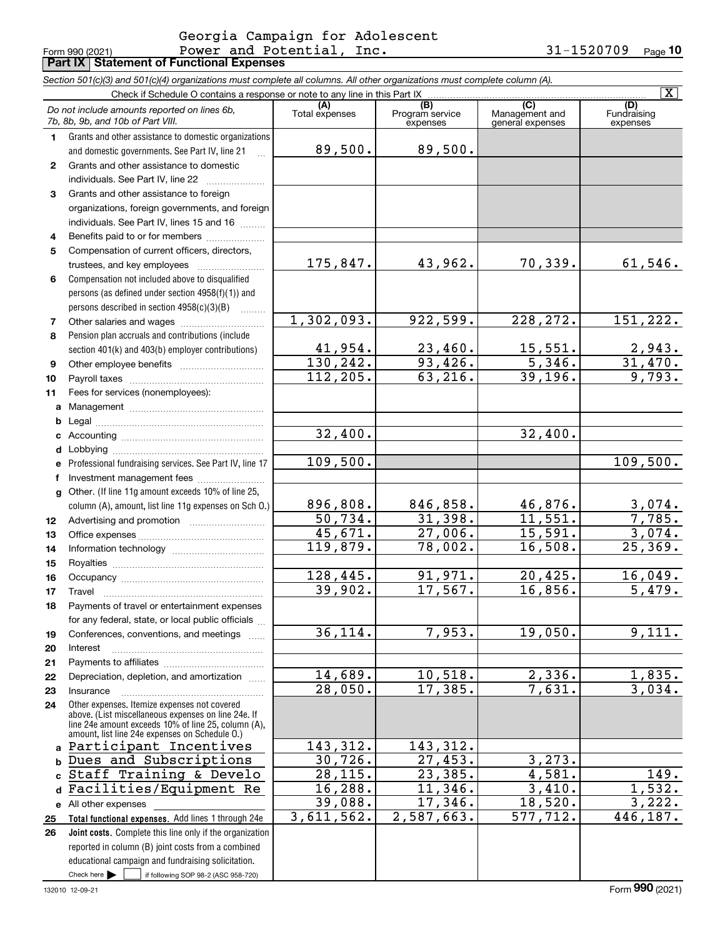#### Form 990 (2021) Page **Part IX Statement of Functional Expenses** Power and Potential, Inc. 31-1520709 Georgia Campaign for Adolescent

*Section 501(c)(3) and 501(c)(4) organizations must complete all columns. All other organizations must complete column (A).*

|              | Check if Schedule O contains a response or note to any line in this Part IX                           |                        |                                    |                                                      | $\overline{\mathbf{x}}$        |
|--------------|-------------------------------------------------------------------------------------------------------|------------------------|------------------------------------|------------------------------------------------------|--------------------------------|
|              | Do not include amounts reported on lines 6b,<br>7b, 8b, 9b, and 10b of Part VIII.                     | (A)<br>Total expenses  | (B)<br>Program service<br>expenses | $\overline{C}$<br>Management and<br>general expenses | (D)<br>Fundraising<br>expenses |
| 1.           | Grants and other assistance to domestic organizations                                                 |                        |                                    |                                                      |                                |
|              | and domestic governments. See Part IV, line 21                                                        | 89,500.                | 89,500.                            |                                                      |                                |
| $\mathbf{2}$ | Grants and other assistance to domestic                                                               |                        |                                    |                                                      |                                |
|              | individuals. See Part IV, line 22                                                                     |                        |                                    |                                                      |                                |
| 3            | Grants and other assistance to foreign                                                                |                        |                                    |                                                      |                                |
|              | organizations, foreign governments, and foreign                                                       |                        |                                    |                                                      |                                |
|              | individuals. See Part IV, lines 15 and 16                                                             |                        |                                    |                                                      |                                |
| 4            | Benefits paid to or for members                                                                       |                        |                                    |                                                      |                                |
| 5            | Compensation of current officers, directors,                                                          |                        |                                    |                                                      |                                |
|              | trustees, and key employees                                                                           | 175,847.               | 43,962.                            | 70,339.                                              | 61,546.                        |
| 6            | Compensation not included above to disqualified                                                       |                        |                                    |                                                      |                                |
|              | persons (as defined under section 4958(f)(1)) and                                                     |                        |                                    |                                                      |                                |
|              | persons described in section $4958(c)(3)(B)$<br>لتنتبث                                                |                        |                                    |                                                      |                                |
| 7            |                                                                                                       | 1,302,093.             | 922,599.                           | 228, 272.                                            | 151, 222.                      |
| 8            | Pension plan accruals and contributions (include                                                      |                        |                                    |                                                      |                                |
|              | section 401(k) and 403(b) employer contributions)                                                     | 41,954.                | 23,460.                            | 15,551.                                              | $\frac{2,943}{31,470}$         |
| 9            |                                                                                                       | 130, 242.              | 93,426.                            | 5,346.                                               |                                |
| 10           |                                                                                                       | $\overline{112,205}$ . | 63,216.                            | 39, 196.                                             | 9,793.                         |
| 11           | Fees for services (nonemployees):                                                                     |                        |                                    |                                                      |                                |
| a            |                                                                                                       |                        |                                    |                                                      |                                |
| b            |                                                                                                       |                        |                                    |                                                      |                                |
| c            |                                                                                                       | 32,400.                |                                    | 32,400.                                              |                                |
| d            |                                                                                                       |                        |                                    |                                                      |                                |
| e            | Professional fundraising services. See Part IV, line 17                                               | 109,500.               |                                    |                                                      | 109,500.                       |
| f            | Investment management fees                                                                            |                        |                                    |                                                      |                                |
| a            | Other. (If line 11g amount exceeds 10% of line 25,                                                    | 896,808.               | 846,858.                           | 46,876.                                              |                                |
|              | column (A), amount, list line 11g expenses on Sch O.)                                                 | $\overline{50, 734}$ . | 31,398.                            | 11,551.                                              | $\frac{3,074.785.}{7,785.}$    |
| 12           |                                                                                                       | 45,671.                | 27,006.                            | 15,591.                                              | 3,074.                         |
| 13           |                                                                                                       | 119,879.               | 78,002.                            | 16,508.                                              | 25, 369.                       |
| 14           |                                                                                                       |                        |                                    |                                                      |                                |
| 15<br>16     |                                                                                                       | 128,445.               | 91,971.                            | 20,425.                                              | 16,049.                        |
| 17           | Travel                                                                                                | 39,902.                | 17,567.                            | 16,856.                                              | 5,479.                         |
| 18           | Payments of travel or entertainment expenses                                                          |                        |                                    |                                                      |                                |
|              | for any federal, state, or local public officials                                                     |                        |                                    |                                                      |                                |
| 19           | Conferences, conventions, and meetings                                                                | 36,114.                | 7,953.                             | 19,050.                                              | 9,111.                         |
| 20           | Interest                                                                                              |                        |                                    |                                                      |                                |
| 21           |                                                                                                       |                        |                                    |                                                      |                                |
| 22           | Depreciation, depletion, and amortization                                                             | 14,689.                | 10,518.                            | 2,336.                                               | 1,835.                         |
| 23           | Insurance                                                                                             | 28,050.                | 17,385.                            | 7,631.                                               | 3,034.                         |
| 24           | Other expenses. Itemize expenses not covered                                                          |                        |                                    |                                                      |                                |
|              | above. (List miscellaneous expenses on line 24e. If                                                   |                        |                                    |                                                      |                                |
|              | line 24e amount exceeds 10% of line 25, column (A),<br>amount, list line 24e expenses on Schedule O.) |                        |                                    |                                                      |                                |
| a            | Participant Incentives                                                                                | 143,312.               | 143, 312.                          |                                                      |                                |
| $\mathbf b$  | Dues and Subscriptions                                                                                | 30,726.                | 27,453.                            | 3, 273.                                              |                                |
| C            | Staff Training & Develo                                                                               | 28, 115.               | 23,385.                            | 4,581.                                               | 149.                           |
| d            | Facilities/Equipment Re                                                                               | 16,288.                | 11,346.                            | 3,410.                                               | 1,532.                         |
| е            | All other expenses                                                                                    | 39,088.                | 17,346.                            | 18,520.                                              | 3,222.                         |
| 25           | Total functional expenses. Add lines 1 through 24e                                                    | 3,611,562.             | 2,587,663.                         | 577,712.                                             | 446, 187.                      |
| 26           | Joint costs. Complete this line only if the organization                                              |                        |                                    |                                                      |                                |
|              | reported in column (B) joint costs from a combined                                                    |                        |                                    |                                                      |                                |
|              | educational campaign and fundraising solicitation.                                                    |                        |                                    |                                                      |                                |
|              | Check here $\blacktriangleright$<br>if following SOP 98-2 (ASC 958-720)                               |                        |                                    |                                                      |                                |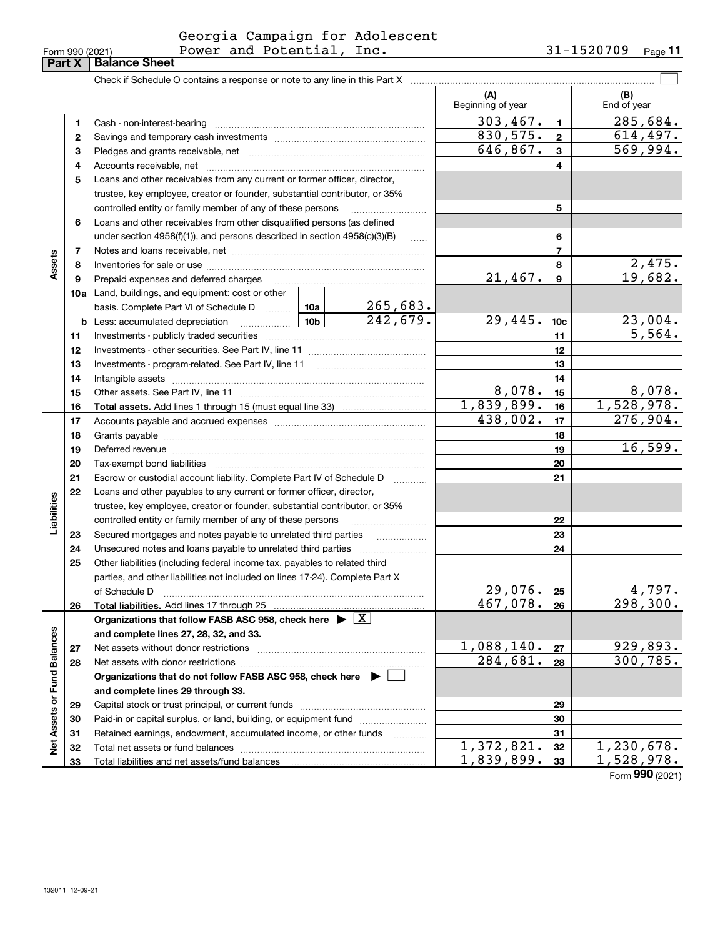|                 | Georgia Campaign for Adolescent |            |                |
|-----------------|---------------------------------|------------|----------------|
| Form 990 (2021) | Power and Potential, Inc.       | 31-1520709 | Page <b>11</b> |

|                             |          | Check if Schedule O contains a response or note to any line in this Part X                                                                                                                                                     |          |                        |                          |                      |                                        |
|-----------------------------|----------|--------------------------------------------------------------------------------------------------------------------------------------------------------------------------------------------------------------------------------|----------|------------------------|--------------------------|----------------------|----------------------------------------|
|                             |          |                                                                                                                                                                                                                                |          |                        | (A)<br>Beginning of year |                      | (B)<br>End of year                     |
|                             | 1        |                                                                                                                                                                                                                                |          |                        | 303,467.                 | 1.                   | 285,684.                               |
|                             | 2        |                                                                                                                                                                                                                                |          |                        | 830,575.                 | $\mathbf{2}$         | 614, 497.                              |
|                             | 3        |                                                                                                                                                                                                                                |          |                        | 646,867.                 | $\mathbf{3}$         | 569,994.                               |
|                             | 4        |                                                                                                                                                                                                                                |          |                        |                          | 4                    |                                        |
|                             | 5        | Loans and other receivables from any current or former officer, director,                                                                                                                                                      |          |                        |                          |                      |                                        |
|                             |          | trustee, key employee, creator or founder, substantial contributor, or 35%                                                                                                                                                     |          |                        |                          |                      |                                        |
|                             |          | controlled entity or family member of any of these persons                                                                                                                                                                     |          |                        |                          | 5                    |                                        |
|                             | 6        | Loans and other receivables from other disqualified persons (as defined                                                                                                                                                        |          |                        |                          |                      |                                        |
|                             |          | under section $4958(f)(1)$ , and persons described in section $4958(c)(3)(B)$                                                                                                                                                  |          | $\ldots$               |                          | 6                    |                                        |
|                             | 7        |                                                                                                                                                                                                                                |          |                        |                          | $\overline{7}$       |                                        |
| Assets                      | 8        |                                                                                                                                                                                                                                |          |                        |                          | 8                    | 2,475.                                 |
|                             | 9        |                                                                                                                                                                                                                                |          |                        | 21,467.                  | 9                    | 19,682.                                |
|                             |          | <b>10a</b> Land, buildings, and equipment: cost or other                                                                                                                                                                       |          |                        |                          |                      |                                        |
|                             |          | basis. Complete Part VI of Schedule D  10a                                                                                                                                                                                     |          | 265,683.               |                          |                      |                                        |
|                             |          |                                                                                                                                                                                                                                |          | 242,679.               | 29,445.                  | 10c                  | 23,004.                                |
|                             | 11       |                                                                                                                                                                                                                                |          |                        |                          | 11                   | 5,564.                                 |
|                             | 12       |                                                                                                                                                                                                                                |          |                        |                          | 12                   |                                        |
|                             | 13       |                                                                                                                                                                                                                                |          | 13                     |                          |                      |                                        |
|                             | 14       |                                                                                                                                                                                                                                |          | 14                     |                          |                      |                                        |
|                             | 15       |                                                                                                                                                                                                                                | 8,078.   | 15                     | 8,078.                   |                      |                                        |
|                             | 16       |                                                                                                                                                                                                                                |          |                        | 1,839,899.               | 16                   | 1,528,978.                             |
|                             | 17       |                                                                                                                                                                                                                                | 438,002. | 17                     | 276,904.                 |                      |                                        |
|                             | 18       |                                                                                                                                                                                                                                |          | 18                     |                          |                      |                                        |
|                             | 19       | Deferred revenue manual contracts and contracts are all the manual contracts and contracts are contracted and contracts are contracted and contract are contracted and contract are contracted and contract are contracted and |          | 19                     | 16,599.                  |                      |                                        |
|                             | 20       |                                                                                                                                                                                                                                |          |                        |                          | 20                   |                                        |
|                             | 21       | Escrow or custodial account liability. Complete Part IV of Schedule D                                                                                                                                                          |          |                        |                          | 21                   |                                        |
|                             | 22       | Loans and other payables to any current or former officer, director,                                                                                                                                                           |          |                        |                          |                      |                                        |
| Liabilities                 |          | trustee, key employee, creator or founder, substantial contributor, or 35%                                                                                                                                                     |          |                        |                          |                      |                                        |
|                             |          | controlled entity or family member of any of these persons                                                                                                                                                                     |          |                        |                          | 22                   |                                        |
|                             | 23       | Secured mortgages and notes payable to unrelated third parties                                                                                                                                                                 |          |                        |                          | 23                   |                                        |
|                             | 24       |                                                                                                                                                                                                                                |          |                        |                          | 24                   |                                        |
|                             | 25       | Other liabilities (including federal income tax, payables to related third                                                                                                                                                     |          |                        |                          |                      |                                        |
|                             |          | parties, and other liabilities not included on lines 17-24). Complete Part X                                                                                                                                                   |          |                        |                          |                      |                                        |
|                             |          |                                                                                                                                                                                                                                |          |                        | 29,076.                  | 25                   | <u>4,797.</u><br>$\frac{1}{298,300}$ . |
|                             | 26       | Total liabilities. Add lines 17 through 25                                                                                                                                                                                     |          |                        | 467,078.                 | 26                   |                                        |
|                             |          | Organizations that follow FASB ASC 958, check here $\blacktriangleright \lfloor X \rfloor$                                                                                                                                     |          |                        |                          |                      |                                        |
|                             |          | and complete lines 27, 28, 32, and 33.                                                                                                                                                                                         |          |                        |                          |                      |                                        |
|                             | 27       |                                                                                                                                                                                                                                |          | 1,088,140.<br>284,681. | 27                       | 929,893.<br>300,785. |                                        |
|                             | 28       |                                                                                                                                                                                                                                |          | 28                     |                          |                      |                                        |
|                             |          | Organizations that do not follow FASB ASC 958, check here $\blacktriangleright$                                                                                                                                                |          |                        |                          |                      |                                        |
|                             |          | and complete lines 29 through 33.                                                                                                                                                                                              |          |                        |                          |                      |                                        |
|                             | 29       |                                                                                                                                                                                                                                |          |                        |                          | 29                   |                                        |
|                             | 30       | Paid-in or capital surplus, or land, building, or equipment fund                                                                                                                                                               |          |                        |                          | 30                   |                                        |
| Net Assets or Fund Balances | 31       | Retained earnings, endowment, accumulated income, or other funds                                                                                                                                                               |          |                        | 1,372,821.               | 31<br>32             | 1,230,678.                             |
|                             | 32<br>33 |                                                                                                                                                                                                                                |          |                        | 1,839,899.               | 33                   | 1,528,978.                             |
|                             |          |                                                                                                                                                                                                                                |          |                        |                          |                      | Form 990 (2021)                        |

**Part X Balance Sheet**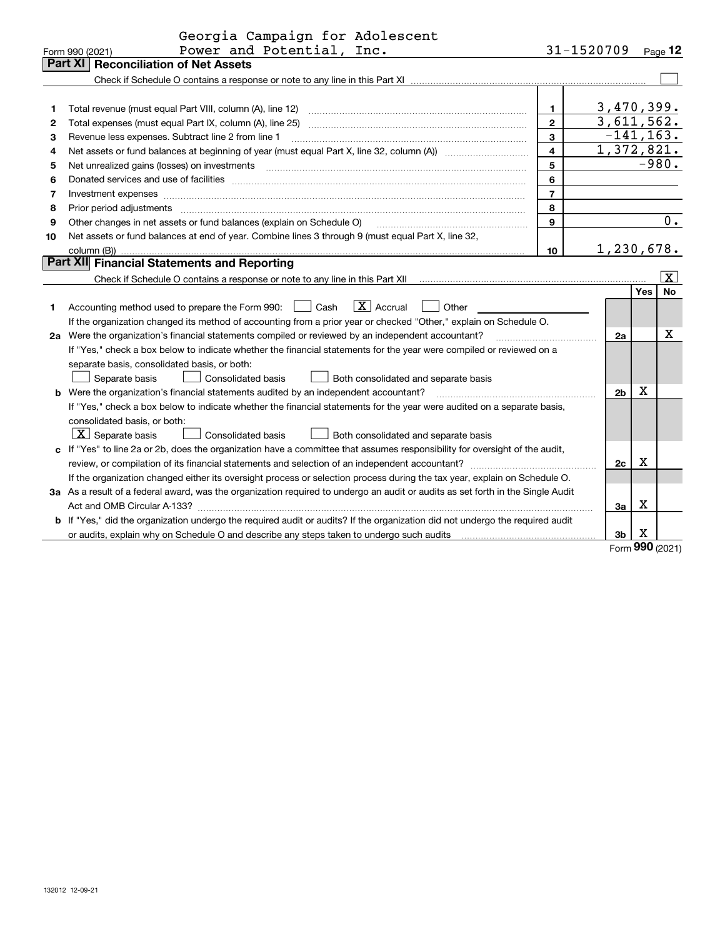|                | Georgia Campaign for Adolescent                                                                                                                                                                                                |                         |                            |            |                         |  |  |  |
|----------------|--------------------------------------------------------------------------------------------------------------------------------------------------------------------------------------------------------------------------------|-------------------------|----------------------------|------------|-------------------------|--|--|--|
|                | Power and Potential, Inc.<br>Form 990 (2021)                                                                                                                                                                                   |                         | 31-1520709                 |            | Page 12                 |  |  |  |
| <b>Part XI</b> | <b>Reconciliation of Net Assets</b>                                                                                                                                                                                            |                         |                            |            |                         |  |  |  |
|                |                                                                                                                                                                                                                                |                         |                            |            |                         |  |  |  |
|                |                                                                                                                                                                                                                                |                         |                            |            |                         |  |  |  |
| 1              |                                                                                                                                                                                                                                | 1.                      | 3,470,399.                 |            |                         |  |  |  |
| 2              |                                                                                                                                                                                                                                | $\overline{2}$          | 3,611,562.<br>$-141, 163.$ |            |                         |  |  |  |
| з              | 3<br>Revenue less expenses. Subtract line 2 from line 1                                                                                                                                                                        |                         |                            |            |                         |  |  |  |
| 4              |                                                                                                                                                                                                                                | $\overline{\mathbf{4}}$ | 1,372,821.                 |            |                         |  |  |  |
| 5              |                                                                                                                                                                                                                                | 5                       |                            |            | $-980.$                 |  |  |  |
| 6              | Donated services and use of facilities [111] Donated and the service of facilities [11] Donated services and use of facilities [11] Donated and the service of the service of the service of the service of the service of the | 6                       |                            |            |                         |  |  |  |
| 7              | Investment expenses www.communication.com/www.communication.com/www.communication.com/www.com                                                                                                                                  | $\overline{7}$          |                            |            |                         |  |  |  |
| 8              | Prior period adjustments                                                                                                                                                                                                       | 8                       |                            |            |                         |  |  |  |
| 9              | Other changes in net assets or fund balances (explain on Schedule O)                                                                                                                                                           | 9                       |                            |            | 0.                      |  |  |  |
| 10             | Net assets or fund balances at end of year. Combine lines 3 through 9 (must equal Part X, line 32,                                                                                                                             |                         |                            |            |                         |  |  |  |
|                |                                                                                                                                                                                                                                | 10                      | 1,230,678.                 |            |                         |  |  |  |
|                | <b>Part XII</b> Financial Statements and Reporting                                                                                                                                                                             |                         |                            |            |                         |  |  |  |
|                |                                                                                                                                                                                                                                |                         |                            |            | $\overline{\mathbf{X}}$ |  |  |  |
|                |                                                                                                                                                                                                                                |                         |                            | <b>Yes</b> | <b>No</b>               |  |  |  |
| 1              | $\boxed{\mathbf{X}}$ Accrual<br>Accounting method used to prepare the Form 990: <u>I</u> Cash<br>Other                                                                                                                         |                         |                            |            |                         |  |  |  |
|                | If the organization changed its method of accounting from a prior year or checked "Other," explain on Schedule O.                                                                                                              |                         |                            |            |                         |  |  |  |
|                | 2a Were the organization's financial statements compiled or reviewed by an independent accountant?<br>and a state of the contract of the state of the state of the state of the state of the state of the                      |                         | 2a                         |            | Х                       |  |  |  |
|                | If "Yes," check a box below to indicate whether the financial statements for the year were compiled or reviewed on a                                                                                                           |                         |                            |            |                         |  |  |  |
|                | separate basis, consolidated basis, or both:                                                                                                                                                                                   |                         |                            |            |                         |  |  |  |
|                | Separate basis<br>Consolidated basis<br>Both consolidated and separate basis                                                                                                                                                   |                         |                            |            |                         |  |  |  |
|                | <b>b</b> Were the organization's financial statements audited by an independent accountant?                                                                                                                                    |                         | 2 <sub>b</sub>             | х          |                         |  |  |  |
|                | If "Yes," check a box below to indicate whether the financial statements for the year were audited on a separate basis,                                                                                                        |                         |                            |            |                         |  |  |  |
|                | consolidated basis, or both:                                                                                                                                                                                                   |                         |                            |            |                         |  |  |  |
|                | $X$ Separate basis<br>Consolidated basis<br>Both consolidated and separate basis                                                                                                                                               |                         |                            |            |                         |  |  |  |
|                | c If "Yes" to line 2a or 2b, does the organization have a committee that assumes responsibility for oversight of the audit,                                                                                                    |                         |                            |            |                         |  |  |  |
|                |                                                                                                                                                                                                                                |                         | 2c                         | X          |                         |  |  |  |
|                | If the organization changed either its oversight process or selection process during the tax year, explain on Schedule O.                                                                                                      |                         |                            |            |                         |  |  |  |
|                | 3a As a result of a federal award, was the organization required to undergo an audit or audits as set forth in the Single Audit                                                                                                |                         |                            |            |                         |  |  |  |
|                |                                                                                                                                                                                                                                |                         | За                         | Х          |                         |  |  |  |
|                | b If "Yes," did the organization undergo the required audit or audits? If the organization did not undergo the required audit                                                                                                  |                         |                            |            |                         |  |  |  |
|                |                                                                                                                                                                                                                                |                         | 3b                         | X          |                         |  |  |  |

Form (2021) **990**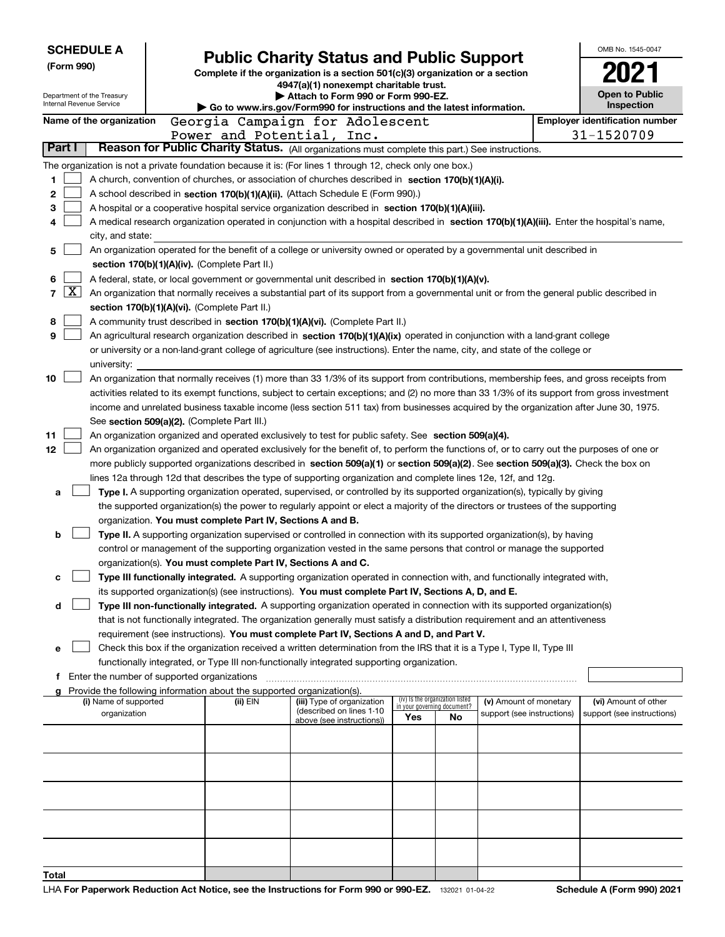| (Form 990)               | <b>SCHEDULE A</b><br>Department of the Treasury<br>Internal Revenue Service                                               |  | <b>Public Charity Status and Public Support</b><br>Complete if the organization is a section 501(c)(3) organization or a section<br>4947(a)(1) nonexempt charitable trust.<br>Attach to Form 990 or Form 990-EZ.<br>Go to www.irs.gov/Form990 for instructions and the latest information. |                                                        |  |                             |                                 |                                                      |  |                                                                                                                                              |  |  |
|--------------------------|---------------------------------------------------------------------------------------------------------------------------|--|--------------------------------------------------------------------------------------------------------------------------------------------------------------------------------------------------------------------------------------------------------------------------------------------|--------------------------------------------------------|--|-----------------------------|---------------------------------|------------------------------------------------------|--|----------------------------------------------------------------------------------------------------------------------------------------------|--|--|
|                          | Name of the organization                                                                                                  |  | Georgia Campaign for Adolescent                                                                                                                                                                                                                                                            |                                                        |  |                             |                                 |                                                      |  | <b>Employer identification number</b>                                                                                                        |  |  |
|                          |                                                                                                                           |  | Power and Potential, Inc.                                                                                                                                                                                                                                                                  |                                                        |  |                             |                                 |                                                      |  | 31-1520709                                                                                                                                   |  |  |
| Part I                   |                                                                                                                           |  | Reason for Public Charity Status. (All organizations must complete this part.) See instructions.                                                                                                                                                                                           |                                                        |  |                             |                                 |                                                      |  |                                                                                                                                              |  |  |
|                          |                                                                                                                           |  | The organization is not a private foundation because it is: (For lines 1 through 12, check only one box.)                                                                                                                                                                                  |                                                        |  |                             |                                 |                                                      |  |                                                                                                                                              |  |  |
| 1                        |                                                                                                                           |  | A church, convention of churches, or association of churches described in section 170(b)(1)(A)(i).                                                                                                                                                                                         |                                                        |  |                             |                                 |                                                      |  |                                                                                                                                              |  |  |
| 2                        |                                                                                                                           |  | A school described in section 170(b)(1)(A)(ii). (Attach Schedule E (Form 990).)                                                                                                                                                                                                            |                                                        |  |                             |                                 |                                                      |  |                                                                                                                                              |  |  |
| 3                        |                                                                                                                           |  | A hospital or a cooperative hospital service organization described in section 170(b)(1)(A)(iii).                                                                                                                                                                                          |                                                        |  |                             |                                 |                                                      |  |                                                                                                                                              |  |  |
| 4                        |                                                                                                                           |  |                                                                                                                                                                                                                                                                                            |                                                        |  |                             |                                 |                                                      |  | A medical research organization operated in conjunction with a hospital described in section 170(b)(1)(A)(iii). Enter the hospital's name,   |  |  |
|                          | city, and state:                                                                                                          |  |                                                                                                                                                                                                                                                                                            |                                                        |  |                             |                                 |                                                      |  |                                                                                                                                              |  |  |
| 5                        | An organization operated for the benefit of a college or university owned or operated by a governmental unit described in |  |                                                                                                                                                                                                                                                                                            |                                                        |  |                             |                                 |                                                      |  |                                                                                                                                              |  |  |
|                          |                                                                                                                           |  | section 170(b)(1)(A)(iv). (Complete Part II.)                                                                                                                                                                                                                                              |                                                        |  |                             |                                 |                                                      |  |                                                                                                                                              |  |  |
| 6                        |                                                                                                                           |  | A federal, state, or local government or governmental unit described in section 170(b)(1)(A)(v).                                                                                                                                                                                           |                                                        |  |                             |                                 |                                                      |  |                                                                                                                                              |  |  |
| $\lfloor x \rfloor$<br>7 |                                                                                                                           |  | An organization that normally receives a substantial part of its support from a governmental unit or from the general public described in                                                                                                                                                  |                                                        |  |                             |                                 |                                                      |  |                                                                                                                                              |  |  |
|                          |                                                                                                                           |  | section 170(b)(1)(A)(vi). (Complete Part II.)                                                                                                                                                                                                                                              |                                                        |  |                             |                                 |                                                      |  |                                                                                                                                              |  |  |
| 8                        |                                                                                                                           |  | A community trust described in section 170(b)(1)(A)(vi). (Complete Part II.)                                                                                                                                                                                                               |                                                        |  |                             |                                 |                                                      |  |                                                                                                                                              |  |  |
| 9                        |                                                                                                                           |  | An agricultural research organization described in section 170(b)(1)(A)(ix) operated in conjunction with a land-grant college                                                                                                                                                              |                                                        |  |                             |                                 |                                                      |  |                                                                                                                                              |  |  |
|                          |                                                                                                                           |  | or university or a non-land-grant college of agriculture (see instructions). Enter the name, city, and state of the college or                                                                                                                                                             |                                                        |  |                             |                                 |                                                      |  |                                                                                                                                              |  |  |
|                          | university:                                                                                                               |  |                                                                                                                                                                                                                                                                                            |                                                        |  |                             |                                 |                                                      |  |                                                                                                                                              |  |  |
| 10                       |                                                                                                                           |  |                                                                                                                                                                                                                                                                                            |                                                        |  |                             |                                 |                                                      |  | An organization that normally receives (1) more than 33 1/3% of its support from contributions, membership fees, and gross receipts from     |  |  |
|                          |                                                                                                                           |  |                                                                                                                                                                                                                                                                                            |                                                        |  |                             |                                 |                                                      |  | activities related to its exempt functions, subject to certain exceptions; and (2) no more than 33 1/3% of its support from gross investment |  |  |
|                          |                                                                                                                           |  | income and unrelated business taxable income (less section 511 tax) from businesses acquired by the organization after June 30, 1975.                                                                                                                                                      |                                                        |  |                             |                                 |                                                      |  |                                                                                                                                              |  |  |
|                          |                                                                                                                           |  | See section 509(a)(2). (Complete Part III.)                                                                                                                                                                                                                                                |                                                        |  |                             |                                 |                                                      |  |                                                                                                                                              |  |  |
| 11                       |                                                                                                                           |  | An organization organized and operated exclusively to test for public safety. See section 509(a)(4).                                                                                                                                                                                       |                                                        |  |                             |                                 |                                                      |  |                                                                                                                                              |  |  |
| 12                       |                                                                                                                           |  | An organization organized and operated exclusively for the benefit of, to perform the functions of, or to carry out the purposes of one or                                                                                                                                                 |                                                        |  |                             |                                 |                                                      |  |                                                                                                                                              |  |  |
|                          |                                                                                                                           |  | more publicly supported organizations described in section 509(a)(1) or section 509(a)(2). See section 509(a)(3). Check the box on                                                                                                                                                         |                                                        |  |                             |                                 |                                                      |  |                                                                                                                                              |  |  |
|                          |                                                                                                                           |  | lines 12a through 12d that describes the type of supporting organization and complete lines 12e, 12f, and 12g.<br>Type I. A supporting organization operated, supervised, or controlled by its supported organization(s), typically by giving                                              |                                                        |  |                             |                                 |                                                      |  |                                                                                                                                              |  |  |
| a                        |                                                                                                                           |  | the supported organization(s) the power to regularly appoint or elect a majority of the directors or trustees of the supporting                                                                                                                                                            |                                                        |  |                             |                                 |                                                      |  |                                                                                                                                              |  |  |
|                          |                                                                                                                           |  | organization. You must complete Part IV, Sections A and B.                                                                                                                                                                                                                                 |                                                        |  |                             |                                 |                                                      |  |                                                                                                                                              |  |  |
| b                        |                                                                                                                           |  | Type II. A supporting organization supervised or controlled in connection with its supported organization(s), by having                                                                                                                                                                    |                                                        |  |                             |                                 |                                                      |  |                                                                                                                                              |  |  |
|                          |                                                                                                                           |  | control or management of the supporting organization vested in the same persons that control or manage the supported                                                                                                                                                                       |                                                        |  |                             |                                 |                                                      |  |                                                                                                                                              |  |  |
|                          |                                                                                                                           |  | organization(s). You must complete Part IV, Sections A and C.                                                                                                                                                                                                                              |                                                        |  |                             |                                 |                                                      |  |                                                                                                                                              |  |  |
| c                        |                                                                                                                           |  | Type III functionally integrated. A supporting organization operated in connection with, and functionally integrated with,                                                                                                                                                                 |                                                        |  |                             |                                 |                                                      |  |                                                                                                                                              |  |  |
|                          |                                                                                                                           |  | its supported organization(s) (see instructions). You must complete Part IV, Sections A, D, and E.                                                                                                                                                                                         |                                                        |  |                             |                                 |                                                      |  |                                                                                                                                              |  |  |
| d                        |                                                                                                                           |  | Type III non-functionally integrated. A supporting organization operated in connection with its supported organization(s)                                                                                                                                                                  |                                                        |  |                             |                                 |                                                      |  |                                                                                                                                              |  |  |
|                          |                                                                                                                           |  | that is not functionally integrated. The organization generally must satisfy a distribution requirement and an attentiveness                                                                                                                                                               |                                                        |  |                             |                                 |                                                      |  |                                                                                                                                              |  |  |
|                          |                                                                                                                           |  | requirement (see instructions). You must complete Part IV, Sections A and D, and Part V.                                                                                                                                                                                                   |                                                        |  |                             |                                 |                                                      |  |                                                                                                                                              |  |  |
| е                        |                                                                                                                           |  | Check this box if the organization received a written determination from the IRS that it is a Type I, Type II, Type III                                                                                                                                                                    |                                                        |  |                             |                                 |                                                      |  |                                                                                                                                              |  |  |
|                          |                                                                                                                           |  | functionally integrated, or Type III non-functionally integrated supporting organization.                                                                                                                                                                                                  |                                                        |  |                             |                                 |                                                      |  |                                                                                                                                              |  |  |
|                          | Enter the number of supported organizations                                                                               |  |                                                                                                                                                                                                                                                                                            |                                                        |  |                             |                                 |                                                      |  |                                                                                                                                              |  |  |
|                          |                                                                                                                           |  | g Provide the following information about the supported organization(s).                                                                                                                                                                                                                   |                                                        |  |                             | (iv) Is the organization listed |                                                      |  |                                                                                                                                              |  |  |
|                          | (i) Name of supported<br>organization                                                                                     |  | (ii) EIN                                                                                                                                                                                                                                                                                   | (iii) Type of organization<br>(described on lines 1-10 |  | in your governing document? |                                 | (v) Amount of monetary<br>support (see instructions) |  | (vi) Amount of other<br>support (see instructions)                                                                                           |  |  |
|                          |                                                                                                                           |  |                                                                                                                                                                                                                                                                                            | above (see instructions))                              |  | Yes                         | No                              |                                                      |  |                                                                                                                                              |  |  |
|                          |                                                                                                                           |  |                                                                                                                                                                                                                                                                                            |                                                        |  |                             |                                 |                                                      |  |                                                                                                                                              |  |  |
|                          |                                                                                                                           |  |                                                                                                                                                                                                                                                                                            |                                                        |  |                             |                                 |                                                      |  |                                                                                                                                              |  |  |
|                          |                                                                                                                           |  |                                                                                                                                                                                                                                                                                            |                                                        |  |                             |                                 |                                                      |  |                                                                                                                                              |  |  |
|                          |                                                                                                                           |  |                                                                                                                                                                                                                                                                                            |                                                        |  |                             |                                 |                                                      |  |                                                                                                                                              |  |  |
|                          |                                                                                                                           |  |                                                                                                                                                                                                                                                                                            |                                                        |  |                             |                                 |                                                      |  |                                                                                                                                              |  |  |
|                          |                                                                                                                           |  |                                                                                                                                                                                                                                                                                            |                                                        |  |                             |                                 |                                                      |  |                                                                                                                                              |  |  |
|                          |                                                                                                                           |  |                                                                                                                                                                                                                                                                                            |                                                        |  |                             |                                 |                                                      |  |                                                                                                                                              |  |  |
|                          |                                                                                                                           |  |                                                                                                                                                                                                                                                                                            |                                                        |  |                             |                                 |                                                      |  |                                                                                                                                              |  |  |
|                          |                                                                                                                           |  |                                                                                                                                                                                                                                                                                            |                                                        |  |                             |                                 |                                                      |  |                                                                                                                                              |  |  |
| Total                    |                                                                                                                           |  |                                                                                                                                                                                                                                                                                            |                                                        |  |                             |                                 |                                                      |  |                                                                                                                                              |  |  |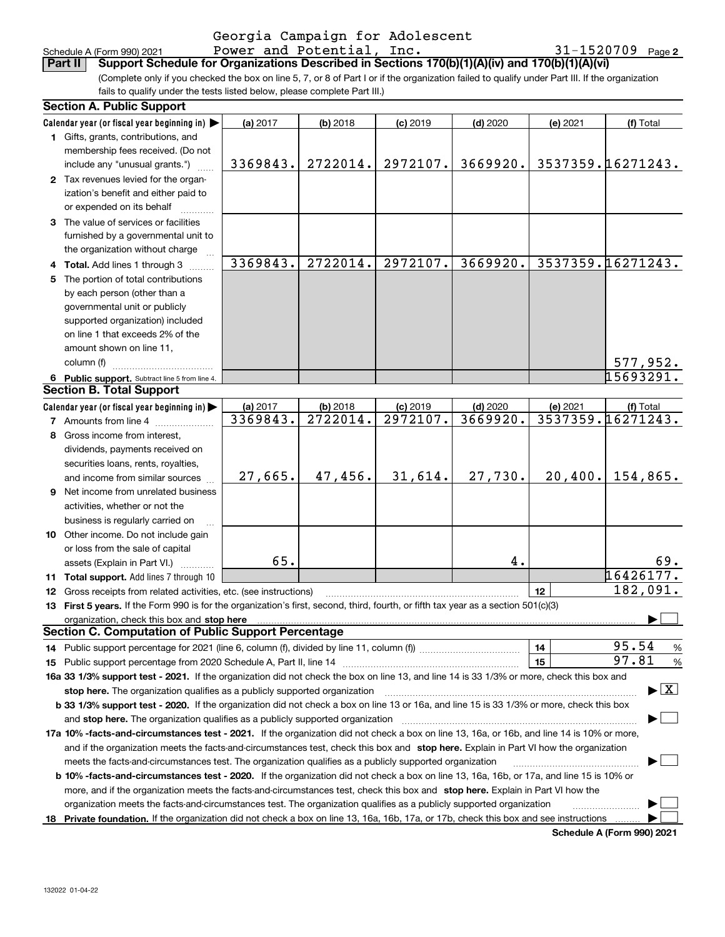| Schedule A (Form 990) 202 |  |  |
|---------------------------|--|--|

### Schedule A (Form 990) 2021 Page Power and Potential, Inc. 31-1520709 Georgia Campaign for Adolescent

**2**

(Complete only if you checked the box on line 5, 7, or 8 of Part I or if the organization failed to qualify under Part III. If the organization **Part II Support Schedule for Organizations Described in Sections 170(b)(1)(A)(iv) and 170(b)(1)(A)(vi)**

fails to qualify under the tests listed below, please complete Part III.)

|   | <b>Section A. Public Support</b>                                                                                                                                                                                               |          |            |            |            |          |                                          |  |  |  |  |
|---|--------------------------------------------------------------------------------------------------------------------------------------------------------------------------------------------------------------------------------|----------|------------|------------|------------|----------|------------------------------------------|--|--|--|--|
|   | Calendar year (or fiscal year beginning in) $\blacktriangleright$                                                                                                                                                              | (a) 2017 | (b) 2018   | $(c)$ 2019 | $(d)$ 2020 | (e) 2021 | (f) Total                                |  |  |  |  |
|   | 1 Gifts, grants, contributions, and                                                                                                                                                                                            |          |            |            |            |          |                                          |  |  |  |  |
|   | membership fees received. (Do not                                                                                                                                                                                              |          |            |            |            |          |                                          |  |  |  |  |
|   | include any "unusual grants.")                                                                                                                                                                                                 | 3369843. | 2722014.   | 2972107.   | 3669920.   |          | 3537359.16271243.                        |  |  |  |  |
|   | 2 Tax revenues levied for the organ-                                                                                                                                                                                           |          |            |            |            |          |                                          |  |  |  |  |
|   | ization's benefit and either paid to                                                                                                                                                                                           |          |            |            |            |          |                                          |  |  |  |  |
|   | or expended on its behalf                                                                                                                                                                                                      |          |            |            |            |          |                                          |  |  |  |  |
|   | 3 The value of services or facilities                                                                                                                                                                                          |          |            |            |            |          |                                          |  |  |  |  |
|   | furnished by a governmental unit to                                                                                                                                                                                            |          |            |            |            |          |                                          |  |  |  |  |
|   | the organization without charge                                                                                                                                                                                                |          |            |            |            |          |                                          |  |  |  |  |
|   | 4 Total. Add lines 1 through 3                                                                                                                                                                                                 | 3369843. | 2722014.   | 2972107.   | 3669920.   |          | 3537359.16271243.                        |  |  |  |  |
|   | 5 The portion of total contributions                                                                                                                                                                                           |          |            |            |            |          |                                          |  |  |  |  |
|   | by each person (other than a                                                                                                                                                                                                   |          |            |            |            |          |                                          |  |  |  |  |
|   | governmental unit or publicly                                                                                                                                                                                                  |          |            |            |            |          |                                          |  |  |  |  |
|   | supported organization) included                                                                                                                                                                                               |          |            |            |            |          |                                          |  |  |  |  |
|   | on line 1 that exceeds 2% of the                                                                                                                                                                                               |          |            |            |            |          |                                          |  |  |  |  |
|   | amount shown on line 11,                                                                                                                                                                                                       |          |            |            |            |          |                                          |  |  |  |  |
|   | column (f)                                                                                                                                                                                                                     |          |            |            |            |          |                                          |  |  |  |  |
|   |                                                                                                                                                                                                                                |          |            |            |            |          | 577,952.<br>15693291.                    |  |  |  |  |
|   | 6 Public support. Subtract line 5 from line 4.<br><b>Section B. Total Support</b>                                                                                                                                              |          |            |            |            |          |                                          |  |  |  |  |
|   |                                                                                                                                                                                                                                |          |            |            |            |          |                                          |  |  |  |  |
|   | Calendar year (or fiscal year beginning in)                                                                                                                                                                                    | (a) 2017 | $(b)$ 2018 | $(c)$ 2019 | $(d)$ 2020 | (e) 2021 | (f) Total                                |  |  |  |  |
|   | <b>7</b> Amounts from line 4                                                                                                                                                                                                   | 3369843. | 2722014.   | 2972107.   | 3669920.   |          | 3537359.16271243.                        |  |  |  |  |
| 8 | Gross income from interest,                                                                                                                                                                                                    |          |            |            |            |          |                                          |  |  |  |  |
|   | dividends, payments received on                                                                                                                                                                                                |          |            |            |            |          |                                          |  |  |  |  |
|   | securities loans, rents, royalties,                                                                                                                                                                                            |          |            |            |            |          |                                          |  |  |  |  |
|   | and income from similar sources                                                                                                                                                                                                | 27,665.  | 47,456.    | 31,614.    | 27,730.    | 20,400.  | 154,865.                                 |  |  |  |  |
|   | <b>9</b> Net income from unrelated business                                                                                                                                                                                    |          |            |            |            |          |                                          |  |  |  |  |
|   | activities, whether or not the                                                                                                                                                                                                 |          |            |            |            |          |                                          |  |  |  |  |
|   | business is regularly carried on                                                                                                                                                                                               |          |            |            |            |          |                                          |  |  |  |  |
|   | 10 Other income. Do not include gain                                                                                                                                                                                           |          |            |            |            |          |                                          |  |  |  |  |
|   | or loss from the sale of capital                                                                                                                                                                                               |          |            |            |            |          |                                          |  |  |  |  |
|   | assets (Explain in Part VI.)                                                                                                                                                                                                   | 65.      |            |            | 4.         |          | 69.                                      |  |  |  |  |
|   | 11 Total support. Add lines 7 through 10                                                                                                                                                                                       |          |            |            |            |          | 16426177.                                |  |  |  |  |
|   | 12 Gross receipts from related activities, etc. (see instructions)                                                                                                                                                             |          |            |            |            | 12       | 182,091.                                 |  |  |  |  |
|   | 13 First 5 years. If the Form 990 is for the organization's first, second, third, fourth, or fifth tax year as a section 501(c)(3)                                                                                             |          |            |            |            |          |                                          |  |  |  |  |
|   | organization, check this box and stop here manufactured and stop here are all the contractions of the state of the state of the contraction of the contract of the contract of the contract of the contract of the contract of |          |            |            |            |          |                                          |  |  |  |  |
|   | <b>Section C. Computation of Public Support Percentage</b>                                                                                                                                                                     |          |            |            |            |          |                                          |  |  |  |  |
|   |                                                                                                                                                                                                                                |          |            |            |            | 14       | 95.54<br>%                               |  |  |  |  |
|   |                                                                                                                                                                                                                                |          |            |            |            | 15       | 97.81<br>$\%$                            |  |  |  |  |
|   | 16a 33 1/3% support test - 2021. If the organization did not check the box on line 13, and line 14 is 33 1/3% or more, check this box and                                                                                      |          |            |            |            |          |                                          |  |  |  |  |
|   | stop here. The organization qualifies as a publicly supported organization                                                                                                                                                     |          |            |            |            |          | $\blacktriangleright$ $\boxed{\text{X}}$ |  |  |  |  |
|   | b 33 1/3% support test - 2020. If the organization did not check a box on line 13 or 16a, and line 15 is 33 1/3% or more, check this box                                                                                       |          |            |            |            |          |                                          |  |  |  |  |
|   | and stop here. The organization qualifies as a publicly supported organization                                                                                                                                                 |          |            |            |            |          |                                          |  |  |  |  |
|   | 17a 10% -facts-and-circumstances test - 2021. If the organization did not check a box on line 13, 16a, or 16b, and line 14 is 10% or more,                                                                                     |          |            |            |            |          |                                          |  |  |  |  |
|   | and if the organization meets the facts-and-circumstances test, check this box and stop here. Explain in Part VI how the organization                                                                                          |          |            |            |            |          |                                          |  |  |  |  |
|   |                                                                                                                                                                                                                                |          |            |            |            |          |                                          |  |  |  |  |
|   | meets the facts-and-circumstances test. The organization qualifies as a publicly supported organization                                                                                                                        |          |            |            |            |          |                                          |  |  |  |  |
|   | <b>b 10% -facts-and-circumstances test - 2020.</b> If the organization did not check a box on line 13, 16a, 16b, or 17a, and line 15 is 10% or                                                                                 |          |            |            |            |          |                                          |  |  |  |  |
|   | more, and if the organization meets the facts-and-circumstances test, check this box and stop here. Explain in Part VI how the                                                                                                 |          |            |            |            |          |                                          |  |  |  |  |
|   | organization meets the facts-and-circumstances test. The organization qualifies as a publicly supported organization                                                                                                           |          |            |            |            |          |                                          |  |  |  |  |
|   | 18 Private foundation. If the organization did not check a box on line 13, 16a, 16b, 17a, or 17b, check this box and see instructions                                                                                          |          |            |            |            |          |                                          |  |  |  |  |

**Schedule A (Form 990) 2021**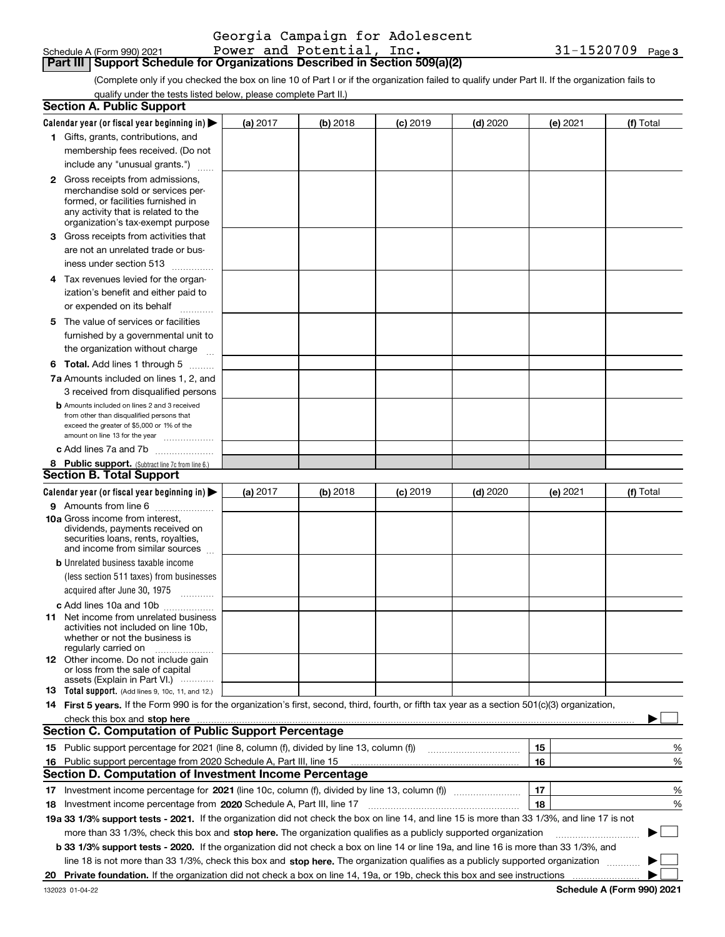| Schedule A (Form 990) 202 <sup>-</sup> |  |  |
|----------------------------------------|--|--|

#### **Part III Support Schedule for Organizations Described in Section 509(a)(2)**

(Complete only if you checked the box on line 10 of Part I or if the organization failed to qualify under Part II. If the organization fails to qualify under the tests listed below, please complete Part II.)

|    | <b>Section A. Public Support</b>                                                                                                                                                                                               |          |          |                 |            |          |             |
|----|--------------------------------------------------------------------------------------------------------------------------------------------------------------------------------------------------------------------------------|----------|----------|-----------------|------------|----------|-------------|
|    | Calendar year (or fiscal year beginning in) $\blacktriangleright$                                                                                                                                                              | (a) 2017 | (b) 2018 | <b>(c)</b> 2019 | $(d)$ 2020 | (e) 2021 | (f) Total   |
|    | 1 Gifts, grants, contributions, and                                                                                                                                                                                            |          |          |                 |            |          |             |
|    | membership fees received. (Do not                                                                                                                                                                                              |          |          |                 |            |          |             |
|    | include any "unusual grants.")                                                                                                                                                                                                 |          |          |                 |            |          |             |
|    | 2 Gross receipts from admissions,                                                                                                                                                                                              |          |          |                 |            |          |             |
|    | merchandise sold or services per-                                                                                                                                                                                              |          |          |                 |            |          |             |
|    | formed, or facilities furnished in                                                                                                                                                                                             |          |          |                 |            |          |             |
|    | any activity that is related to the<br>organization's tax-exempt purpose                                                                                                                                                       |          |          |                 |            |          |             |
|    | 3 Gross receipts from activities that                                                                                                                                                                                          |          |          |                 |            |          |             |
|    | are not an unrelated trade or bus-                                                                                                                                                                                             |          |          |                 |            |          |             |
|    | iness under section 513                                                                                                                                                                                                        |          |          |                 |            |          |             |
|    | 4 Tax revenues levied for the organ-                                                                                                                                                                                           |          |          |                 |            |          |             |
|    | ization's benefit and either paid to                                                                                                                                                                                           |          |          |                 |            |          |             |
|    | or expended on its behalf                                                                                                                                                                                                      |          |          |                 |            |          |             |
|    | 5 The value of services or facilities                                                                                                                                                                                          |          |          |                 |            |          |             |
|    | furnished by a governmental unit to                                                                                                                                                                                            |          |          |                 |            |          |             |
|    | the organization without charge                                                                                                                                                                                                |          |          |                 |            |          |             |
|    |                                                                                                                                                                                                                                |          |          |                 |            |          |             |
|    | <b>6 Total.</b> Add lines 1 through 5                                                                                                                                                                                          |          |          |                 |            |          |             |
|    | 7a Amounts included on lines 1, 2, and                                                                                                                                                                                         |          |          |                 |            |          |             |
|    | 3 received from disqualified persons<br><b>b</b> Amounts included on lines 2 and 3 received                                                                                                                                    |          |          |                 |            |          |             |
|    | from other than disqualified persons that                                                                                                                                                                                      |          |          |                 |            |          |             |
|    | exceed the greater of \$5,000 or 1% of the                                                                                                                                                                                     |          |          |                 |            |          |             |
|    | amount on line 13 for the year                                                                                                                                                                                                 |          |          |                 |            |          |             |
|    | c Add lines 7a and 7b                                                                                                                                                                                                          |          |          |                 |            |          |             |
|    | 8 Public support. (Subtract line 7c from line 6.)<br><b>Section B. Total Support</b>                                                                                                                                           |          |          |                 |            |          |             |
|    |                                                                                                                                                                                                                                |          |          |                 |            |          |             |
|    | Calendar year (or fiscal year beginning in) $\blacktriangleright$                                                                                                                                                              | (a) 2017 | (b) 2018 | $(c)$ 2019      | $(d)$ 2020 | (e) 2021 | (f) Total   |
|    | 9 Amounts from line 6                                                                                                                                                                                                          |          |          |                 |            |          |             |
|    | <b>10a</b> Gross income from interest,<br>dividends, payments received on                                                                                                                                                      |          |          |                 |            |          |             |
|    | securities loans, rents, royalties,                                                                                                                                                                                            |          |          |                 |            |          |             |
|    | and income from similar sources                                                                                                                                                                                                |          |          |                 |            |          |             |
|    | <b>b</b> Unrelated business taxable income                                                                                                                                                                                     |          |          |                 |            |          |             |
|    | (less section 511 taxes) from businesses                                                                                                                                                                                       |          |          |                 |            |          |             |
|    | acquired after June 30, 1975 [10001]                                                                                                                                                                                           |          |          |                 |            |          |             |
|    | c Add lines 10a and 10b                                                                                                                                                                                                        |          |          |                 |            |          |             |
|    | 11 Net income from unrelated business                                                                                                                                                                                          |          |          |                 |            |          |             |
|    | activities not included on line 10b.<br>whether or not the business is                                                                                                                                                         |          |          |                 |            |          |             |
|    | regularly carried on                                                                                                                                                                                                           |          |          |                 |            |          |             |
|    | <b>12</b> Other income. Do not include gain                                                                                                                                                                                    |          |          |                 |            |          |             |
|    | or loss from the sale of capital<br>assets (Explain in Part VI.)                                                                                                                                                               |          |          |                 |            |          |             |
|    | <b>13</b> Total support. (Add lines 9, 10c, 11, and 12.)                                                                                                                                                                       |          |          |                 |            |          |             |
|    | 14 First 5 years. If the Form 990 is for the organization's first, second, third, fourth, or fifth tax year as a section 501(c)(3) organization,                                                                               |          |          |                 |            |          |             |
|    | check this box and stop here measurement content to the state of the state of the state of the state of the state of the state of the state of the state of the state of the state of the state of the state of the state of t |          |          |                 |            |          |             |
|    | <b>Section C. Computation of Public Support Percentage</b>                                                                                                                                                                     |          |          |                 |            |          |             |
|    |                                                                                                                                                                                                                                |          |          |                 |            | 15       | %           |
|    | 16 Public support percentage from 2020 Schedule A, Part III, line 15                                                                                                                                                           |          |          |                 |            | 16       | %           |
|    | <b>Section D. Computation of Investment Income Percentage</b>                                                                                                                                                                  |          |          |                 |            |          |             |
|    |                                                                                                                                                                                                                                |          |          |                 |            | 17       | %           |
|    | 18 Investment income percentage from 2020 Schedule A, Part III, line 17                                                                                                                                                        |          |          |                 |            | 18       | %           |
|    | 19a 33 1/3% support tests - 2021. If the organization did not check the box on line 14, and line 15 is more than 33 1/3%, and line 17 is not                                                                                   |          |          |                 |            |          |             |
|    | more than 33 1/3%, check this box and stop here. The organization qualifies as a publicly supported organization                                                                                                               |          |          |                 |            |          | $\sim$<br>▶ |
|    | b 33 1/3% support tests - 2020. If the organization did not check a box on line 14 or line 19a, and line 16 is more than 33 1/3%, and                                                                                          |          |          |                 |            |          |             |
|    | line 18 is not more than 33 1/3%, check this box and stop here. The organization qualifies as a publicly supported organization                                                                                                |          |          |                 |            |          |             |
| 20 |                                                                                                                                                                                                                                |          |          |                 |            |          |             |
|    |                                                                                                                                                                                                                                |          |          |                 |            |          |             |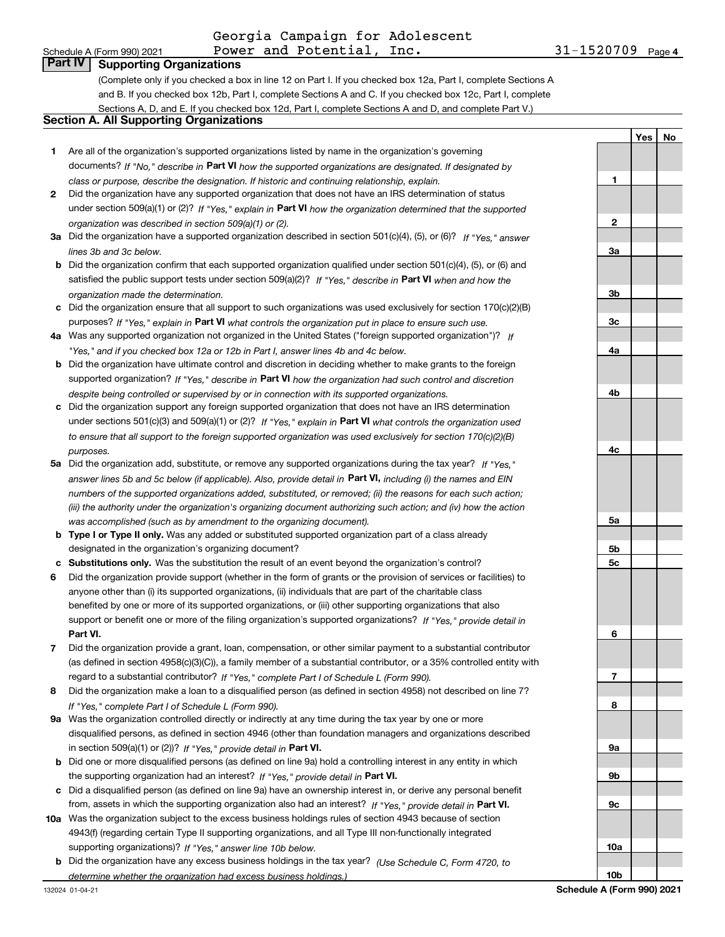**YesNo**

# **Part IV Supporting Organizations**

(Complete only if you checked a box in line 12 on Part I. If you checked box 12a, Part I, complete Sections A and B. If you checked box 12b, Part I, complete Sections A and C. If you checked box 12c, Part I, complete Sections A, D, and E. If you checked box 12d, Part I, complete Sections A and D, and complete Part V.)

#### **Section A. All Supporting Organizations**

- **1** Are all of the organization's supported organizations listed by name in the organization's governing documents? If "No," describe in **Part VI** how the supported organizations are designated. If designated by *class or purpose, describe the designation. If historic and continuing relationship, explain.*
- **2** Did the organization have any supported organization that does not have an IRS determination of status under section 509(a)(1) or (2)? If "Yes," explain in Part VI how the organization determined that the supported *organization was described in section 509(a)(1) or (2).*
- **3a** Did the organization have a supported organization described in section 501(c)(4), (5), or (6)? If "Yes," answer *lines 3b and 3c below.*
- **b** Did the organization confirm that each supported organization qualified under section 501(c)(4), (5), or (6) and satisfied the public support tests under section 509(a)(2)? If "Yes," describe in **Part VI** when and how the *organization made the determination.*
- **c**Did the organization ensure that all support to such organizations was used exclusively for section 170(c)(2)(B) purposes? If "Yes," explain in **Part VI** what controls the organization put in place to ensure such use.
- **4a***If* Was any supported organization not organized in the United States ("foreign supported organization")? *"Yes," and if you checked box 12a or 12b in Part I, answer lines 4b and 4c below.*
- **b** Did the organization have ultimate control and discretion in deciding whether to make grants to the foreign supported organization? If "Yes," describe in **Part VI** how the organization had such control and discretion *despite being controlled or supervised by or in connection with its supported organizations.*
- **c** Did the organization support any foreign supported organization that does not have an IRS determination under sections 501(c)(3) and 509(a)(1) or (2)? If "Yes," explain in **Part VI** what controls the organization used *to ensure that all support to the foreign supported organization was used exclusively for section 170(c)(2)(B) purposes.*
- **5a** Did the organization add, substitute, or remove any supported organizations during the tax year? If "Yes," answer lines 5b and 5c below (if applicable). Also, provide detail in **Part VI,** including (i) the names and EIN *numbers of the supported organizations added, substituted, or removed; (ii) the reasons for each such action; (iii) the authority under the organization's organizing document authorizing such action; and (iv) how the action was accomplished (such as by amendment to the organizing document).*
- **b** Type I or Type II only. Was any added or substituted supported organization part of a class already designated in the organization's organizing document?
- **cSubstitutions only.**  Was the substitution the result of an event beyond the organization's control?
- **6** Did the organization provide support (whether in the form of grants or the provision of services or facilities) to **Part VI.** *If "Yes," provide detail in* support or benefit one or more of the filing organization's supported organizations? anyone other than (i) its supported organizations, (ii) individuals that are part of the charitable class benefited by one or more of its supported organizations, or (iii) other supporting organizations that also
- **7**Did the organization provide a grant, loan, compensation, or other similar payment to a substantial contributor *If "Yes," complete Part I of Schedule L (Form 990).* regard to a substantial contributor? (as defined in section 4958(c)(3)(C)), a family member of a substantial contributor, or a 35% controlled entity with
- **8** Did the organization make a loan to a disqualified person (as defined in section 4958) not described on line 7? *If "Yes," complete Part I of Schedule L (Form 990).*
- **9a** Was the organization controlled directly or indirectly at any time during the tax year by one or more in section 509(a)(1) or (2))? If "Yes," *provide detail in* <code>Part VI.</code> disqualified persons, as defined in section 4946 (other than foundation managers and organizations described
- **b** Did one or more disqualified persons (as defined on line 9a) hold a controlling interest in any entity in which the supporting organization had an interest? If "Yes," provide detail in P**art VI**.
- **c**Did a disqualified person (as defined on line 9a) have an ownership interest in, or derive any personal benefit from, assets in which the supporting organization also had an interest? If "Yes," provide detail in P**art VI.**
- **10a** Was the organization subject to the excess business holdings rules of section 4943 because of section supporting organizations)? If "Yes," answer line 10b below. 4943(f) (regarding certain Type II supporting organizations, and all Type III non-functionally integrated
- **b** Did the organization have any excess business holdings in the tax year? (Use Schedule C, Form 4720, to *determine whether the organization had excess business holdings.)*

**123a3b3c4a4b4c5a 5b5c6789a 9b9c10a**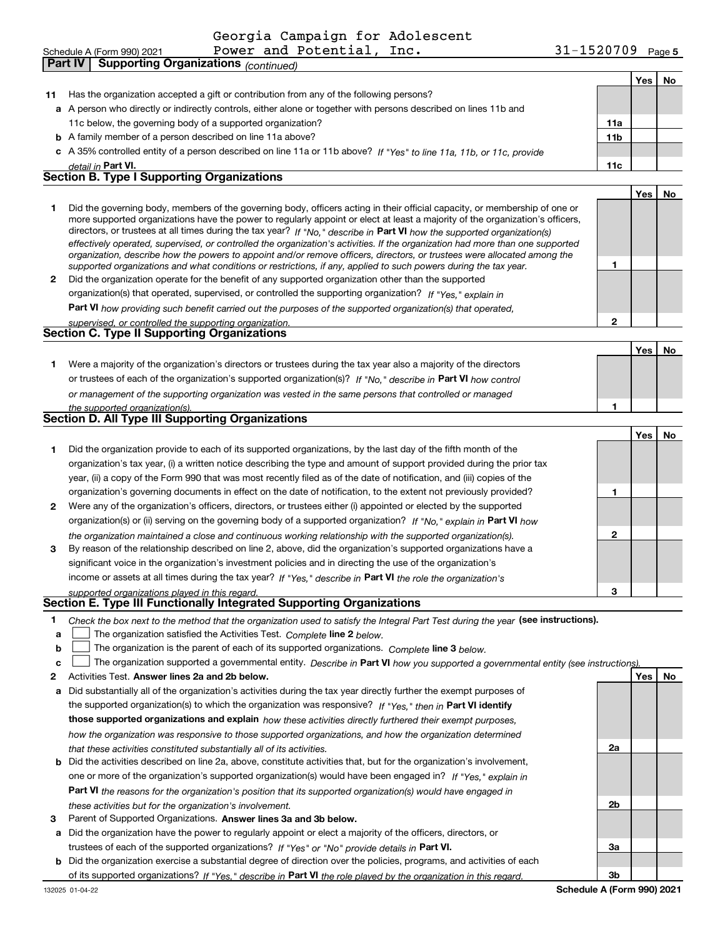|    | Power and Potential, Inc.<br>Schedule A (Form 990) 2021                                                                                                                                                                                                  | 31-1520709 Page 5 |     |     |
|----|----------------------------------------------------------------------------------------------------------------------------------------------------------------------------------------------------------------------------------------------------------|-------------------|-----|-----|
|    | <b>Supporting Organizations</b> (continued)<br><b>Part IV</b>                                                                                                                                                                                            |                   |     |     |
|    |                                                                                                                                                                                                                                                          |                   | Yes | No  |
| 11 | Has the organization accepted a gift or contribution from any of the following persons?                                                                                                                                                                  |                   |     |     |
|    | a A person who directly or indirectly controls, either alone or together with persons described on lines 11b and                                                                                                                                         |                   |     |     |
|    | 11c below, the governing body of a supported organization?                                                                                                                                                                                               | 11a               |     |     |
|    | <b>b</b> A family member of a person described on line 11a above?                                                                                                                                                                                        | 11 <sub>b</sub>   |     |     |
|    | c A 35% controlled entity of a person described on line 11a or 11b above? If "Yes" to line 11a, 11b, or 11c, provide                                                                                                                                     |                   |     |     |
|    | detail in Part VI.                                                                                                                                                                                                                                       | 11c               |     |     |
|    | <b>Section B. Type I Supporting Organizations</b>                                                                                                                                                                                                        |                   |     |     |
|    |                                                                                                                                                                                                                                                          |                   | Yes | No  |
| 1  | Did the governing body, members of the governing body, officers acting in their official capacity, or membership of one or                                                                                                                               |                   |     |     |
|    | more supported organizations have the power to regularly appoint or elect at least a majority of the organization's officers,<br>directors, or trustees at all times during the tax year? If "No," describe in Part VI how the supported organization(s) |                   |     |     |
|    | effectively operated, supervised, or controlled the organization's activities. If the organization had more than one supported                                                                                                                           |                   |     |     |
|    | organization, describe how the powers to appoint and/or remove officers, directors, or trustees were allocated among the                                                                                                                                 |                   |     |     |
|    | supported organizations and what conditions or restrictions, if any, applied to such powers during the tax year.                                                                                                                                         | 1                 |     |     |
|    | 2 Did the organization operate for the benefit of any supported organization other than the supported                                                                                                                                                    |                   |     |     |
|    | organization(s) that operated, supervised, or controlled the supporting organization? If "Yes," explain in                                                                                                                                               |                   |     |     |
|    | Part VI how providing such benefit carried out the purposes of the supported organization(s) that operated,                                                                                                                                              |                   |     |     |
|    | supervised, or controlled the supporting organization.<br><b>Section C. Type II Supporting Organizations</b>                                                                                                                                             | 2                 |     |     |
|    |                                                                                                                                                                                                                                                          |                   |     | No  |
| 1. | Were a majority of the organization's directors or trustees during the tax year also a majority of the directors                                                                                                                                         |                   | Yes |     |
|    | or trustees of each of the organization's supported organization(s)? If "No," describe in Part VI how control                                                                                                                                            |                   |     |     |
|    |                                                                                                                                                                                                                                                          |                   |     |     |
|    | or management of the supporting organization was vested in the same persons that controlled or managed<br>the supported organization(s).                                                                                                                 | 1                 |     |     |
|    | Section D. All Type III Supporting Organizations                                                                                                                                                                                                         |                   |     |     |
|    |                                                                                                                                                                                                                                                          |                   | Yes | No. |
| 1  | Did the organization provide to each of its supported organizations, by the last day of the fifth month of the                                                                                                                                           |                   |     |     |
|    | organization's tax year, (i) a written notice describing the type and amount of support provided during the prior tax                                                                                                                                    |                   |     |     |
|    | year, (ii) a copy of the Form 990 that was most recently filed as of the date of notification, and (iii) copies of the                                                                                                                                   |                   |     |     |
|    | organization's governing documents in effect on the date of notification, to the extent not previously provided?                                                                                                                                         | 1                 |     |     |
| 2  | Were any of the organization's officers, directors, or trustees either (i) appointed or elected by the supported                                                                                                                                         |                   |     |     |
|    | organization(s) or (ii) serving on the governing body of a supported organization? If "No," explain in Part VI how                                                                                                                                       |                   |     |     |
|    | the organization maintained a close and continuous working relationship with the supported organization(s).                                                                                                                                              | $\mathbf{2}$      |     |     |
| 3  | By reason of the relationship described on line 2, above, did the organization's supported organizations have a                                                                                                                                          |                   |     |     |
|    | significant voice in the organization's investment policies and in directing the use of the organization's                                                                                                                                               |                   |     |     |
|    | income or assets at all times during the tax year? If "Yes," describe in Part VI the role the organization's                                                                                                                                             |                   |     |     |
|    | supported organizations played in this regard.                                                                                                                                                                                                           | З                 |     |     |
|    | Section E. Type III Functionally Integrated Supporting Organizations                                                                                                                                                                                     |                   |     |     |
| 1  | Check the box next to the method that the organization used to satisfy the Integral Part Test during the year (see instructions).                                                                                                                        |                   |     |     |
| a  | The organization satisfied the Activities Test. Complete line 2 below.                                                                                                                                                                                   |                   |     |     |
| b  | The organization is the parent of each of its supported organizations. Complete line 3 below.                                                                                                                                                            |                   |     |     |

- **c**  $\Box$  The organization supported a governmental entity. Describe in Part VI how you supported a governmental entity (see instructions).
- **2Answer lines 2a and 2b below. Yes No** Activities Test.
- **a** Did substantially all of the organization's activities during the tax year directly further the exempt purposes of the supported organization(s) to which the organization was responsive? If "Yes," then in **Part VI identify those supported organizations and explain**  *how these activities directly furthered their exempt purposes, how the organization was responsive to those supported organizations, and how the organization determined that these activities constituted substantially all of its activities.*
- **b** Did the activities described on line 2a, above, constitute activities that, but for the organization's involvement, **Part VI**  *the reasons for the organization's position that its supported organization(s) would have engaged in* one or more of the organization's supported organization(s) would have been engaged in? If "Yes," e*xplain in these activities but for the organization's involvement.*
- **3** Parent of Supported Organizations. Answer lines 3a and 3b below.
- **a** Did the organization have the power to regularly appoint or elect a majority of the officers, directors, or trustees of each of the supported organizations? If "Yes" or "No" provide details in P**art VI.**
- **b** Did the organization exercise a substantial degree of direction over the policies, programs, and activities of each of its supported organizations? If "Yes," describe in Part VI the role played by the organization in this regard.

**2a**

**2b**

**3a**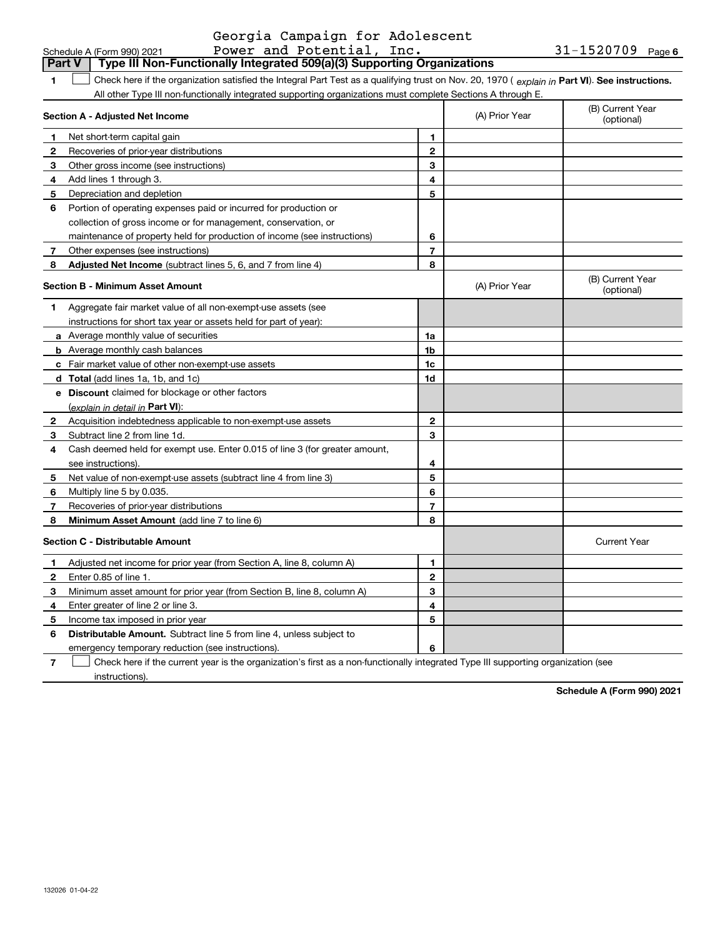|                | Part V<br>Type III Non-Functionally Integrated 509(a)(3) Supporting Organizations                                                              |                          |                |                                |
|----------------|------------------------------------------------------------------------------------------------------------------------------------------------|--------------------------|----------------|--------------------------------|
| 1              | Check here if the organization satisfied the Integral Part Test as a qualifying trust on Nov. 20, 1970 (explain in Part VI). See instructions. |                          |                |                                |
|                | All other Type III non-functionally integrated supporting organizations must complete Sections A through E.                                    |                          |                |                                |
|                | Section A - Adjusted Net Income                                                                                                                |                          | (A) Prior Year | (B) Current Year<br>(optional) |
| 1              | Net short-term capital gain                                                                                                                    | 1                        |                |                                |
| 2              | Recoveries of prior-year distributions                                                                                                         | $\mathbf{2}$             |                |                                |
| 3              | Other gross income (see instructions)                                                                                                          | 3                        |                |                                |
| 4              | Add lines 1 through 3.                                                                                                                         | 4                        |                |                                |
| 5              | Depreciation and depletion                                                                                                                     | 5                        |                |                                |
| 6              | Portion of operating expenses paid or incurred for production or                                                                               |                          |                |                                |
|                | collection of gross income or for management, conservation, or                                                                                 |                          |                |                                |
|                | maintenance of property held for production of income (see instructions)                                                                       | 6                        |                |                                |
| 7              | Other expenses (see instructions)                                                                                                              | 7                        |                |                                |
| 8              | <b>Adjusted Net Income</b> (subtract lines 5, 6, and 7 from line 4)                                                                            | 8                        |                |                                |
|                | <b>Section B - Minimum Asset Amount</b>                                                                                                        |                          | (A) Prior Year | (B) Current Year<br>(optional) |
| 1              | Aggregate fair market value of all non-exempt-use assets (see                                                                                  |                          |                |                                |
|                | instructions for short tax year or assets held for part of year):                                                                              |                          |                |                                |
|                | <b>a</b> Average monthly value of securities                                                                                                   | 1a                       |                |                                |
|                | <b>b</b> Average monthly cash balances                                                                                                         | 1b                       |                |                                |
|                | c Fair market value of other non-exempt-use assets                                                                                             | 1c                       |                |                                |
|                | d Total (add lines 1a, 1b, and 1c)                                                                                                             | 1d                       |                |                                |
|                | e Discount claimed for blockage or other factors                                                                                               |                          |                |                                |
|                | (explain in detail in Part VI):                                                                                                                |                          |                |                                |
| 2              | Acquisition indebtedness applicable to non-exempt-use assets                                                                                   | 2                        |                |                                |
| 3              | Subtract line 2 from line 1d.                                                                                                                  | 3                        |                |                                |
| 4              | Cash deemed held for exempt use. Enter 0.015 of line 3 (for greater amount,                                                                    |                          |                |                                |
|                | see instructions).                                                                                                                             | 4                        |                |                                |
| 5              | Net value of non-exempt-use assets (subtract line 4 from line 3)                                                                               | 5                        |                |                                |
| 6              | Multiply line 5 by 0.035.                                                                                                                      | 6                        |                |                                |
| $\overline{7}$ | Recoveries of prior-year distributions                                                                                                         | $\overline{\phantom{a}}$ |                |                                |
| 8              | <b>Minimum Asset Amount</b> (add line 7 to line 6)                                                                                             | 8                        |                |                                |
|                | <b>Section C - Distributable Amount</b>                                                                                                        |                          |                | <b>Current Year</b>            |
| $\mathbf{1}$   | Adjusted net income for prior year (from Section A, line 8, column A)                                                                          | 1                        |                |                                |
| $\mathbf{2}$   | Enter 0.85 of line 1.                                                                                                                          | 2                        |                |                                |
| 3              | Minimum asset amount for prior year (from Section B, line 8, column A)                                                                         | 3                        |                |                                |
| 4              | Enter greater of line 2 or line 3.                                                                                                             | 4                        |                |                                |
| 5              | Income tax imposed in prior year                                                                                                               | 5                        |                |                                |
| 6              | Distributable Amount. Subtract line 5 from line 4, unless subject to                                                                           |                          |                |                                |
|                | emergency temporary reduction (see instructions).                                                                                              | 6                        |                |                                |

**7**Check here if the current year is the organization's first as a non-functionally integrated Type III supporting organization (see instructions).

**Schedule A (Form 990) 2021**

# Georgia Campaign for Adolescent

**6**

|  | Schedule A (Form 990) 2021 |  |  | Power and Potential, Inc. |  | $31 - 1520709$ Page |  |
|--|----------------------------|--|--|---------------------------|--|---------------------|--|
|--|----------------------------|--|--|---------------------------|--|---------------------|--|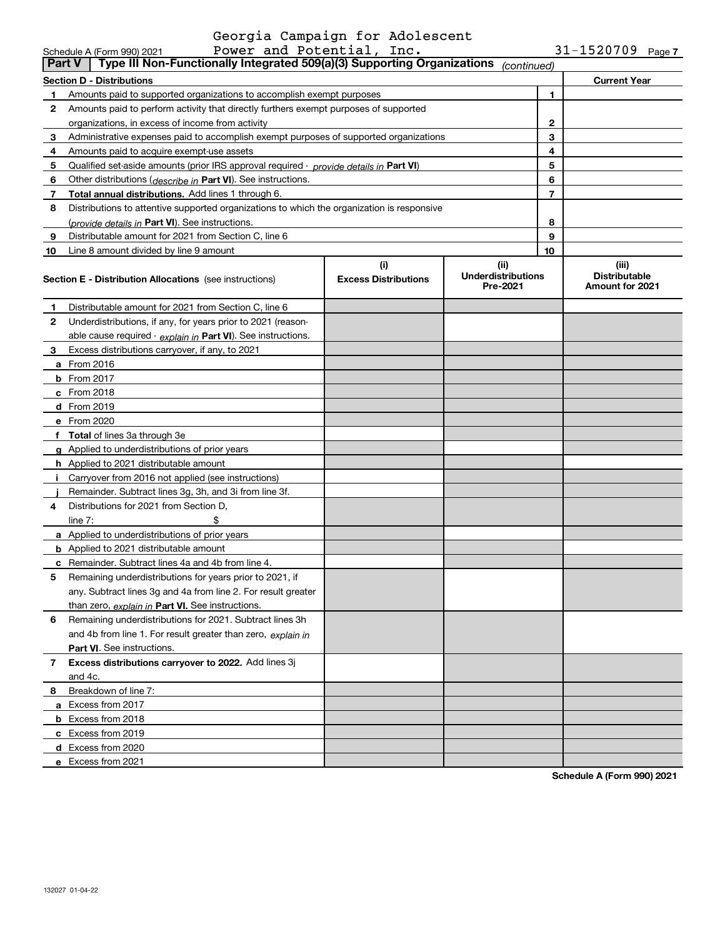|    | Power and Potential, Inc.<br>Schedule A (Form 990) 2021                                                 |                                    |                                               |                | $31 - 1520709$ Page 7                            |  |  |
|----|---------------------------------------------------------------------------------------------------------|------------------------------------|-----------------------------------------------|----------------|--------------------------------------------------|--|--|
|    | Type III Non-Functionally Integrated 509(a)(3) Supporting Organizations<br><b>Part V</b><br>(continued) |                                    |                                               |                |                                                  |  |  |
|    | <b>Section D - Distributions</b>                                                                        |                                    |                                               |                | <b>Current Year</b>                              |  |  |
| 1  | Amounts paid to supported organizations to accomplish exempt purposes                                   |                                    |                                               | 1              |                                                  |  |  |
| 2  | Amounts paid to perform activity that directly furthers exempt purposes of supported                    |                                    |                                               |                |                                                  |  |  |
|    | organizations, in excess of income from activity                                                        |                                    |                                               | 2              |                                                  |  |  |
| 3  | Administrative expenses paid to accomplish exempt purposes of supported organizations                   |                                    |                                               | 3              |                                                  |  |  |
| 4  | Amounts paid to acquire exempt-use assets                                                               |                                    |                                               | 4              |                                                  |  |  |
| 5  | Qualified set-aside amounts (prior IRS approval required - provide details in Part VI)                  |                                    |                                               | 5              |                                                  |  |  |
| 6  | Other distributions (describe in Part VI). See instructions.                                            |                                    |                                               | 6              |                                                  |  |  |
| 7  | Total annual distributions. Add lines 1 through 6.                                                      |                                    |                                               | $\overline{7}$ |                                                  |  |  |
| 8  | Distributions to attentive supported organizations to which the organization is responsive              |                                    |                                               |                |                                                  |  |  |
|    | (provide details in Part VI). See instructions.                                                         |                                    |                                               | 8              |                                                  |  |  |
| 9  | Distributable amount for 2021 from Section C, line 6                                                    |                                    |                                               | 9              |                                                  |  |  |
| 10 | Line 8 amount divided by line 9 amount                                                                  |                                    |                                               | 10             |                                                  |  |  |
|    | <b>Section E - Distribution Allocations</b> (see instructions)                                          | (i)<br><b>Excess Distributions</b> | (ii)<br><b>Underdistributions</b><br>Pre-2021 |                | (iii)<br><b>Distributable</b><br>Amount for 2021 |  |  |
| 1  | Distributable amount for 2021 from Section C, line 6                                                    |                                    |                                               |                |                                                  |  |  |
| 2  | Underdistributions, if any, for years prior to 2021 (reason-                                            |                                    |                                               |                |                                                  |  |  |
|    | able cause required - explain in Part VI). See instructions.                                            |                                    |                                               |                |                                                  |  |  |
| 3  | Excess distributions carryover, if any, to 2021                                                         |                                    |                                               |                |                                                  |  |  |
|    | a From 2016                                                                                             |                                    |                                               |                |                                                  |  |  |
|    | <b>b</b> From 2017                                                                                      |                                    |                                               |                |                                                  |  |  |
|    | $c$ From 2018                                                                                           |                                    |                                               |                |                                                  |  |  |
|    | <b>d</b> From 2019                                                                                      |                                    |                                               |                |                                                  |  |  |
|    | e From 2020                                                                                             |                                    |                                               |                |                                                  |  |  |
|    | f Total of lines 3a through 3e                                                                          |                                    |                                               |                |                                                  |  |  |
|    | g Applied to underdistributions of prior years                                                          |                                    |                                               |                |                                                  |  |  |
|    | <b>h</b> Applied to 2021 distributable amount                                                           |                                    |                                               |                |                                                  |  |  |
|    | Carryover from 2016 not applied (see instructions)                                                      |                                    |                                               |                |                                                  |  |  |
|    | Remainder. Subtract lines 3g, 3h, and 3i from line 3f.                                                  |                                    |                                               |                |                                                  |  |  |
| 4  | Distributions for 2021 from Section D,                                                                  |                                    |                                               |                |                                                  |  |  |
|    | line $7:$                                                                                               |                                    |                                               |                |                                                  |  |  |
|    | a Applied to underdistributions of prior years                                                          |                                    |                                               |                |                                                  |  |  |
|    | <b>b</b> Applied to 2021 distributable amount                                                           |                                    |                                               |                |                                                  |  |  |
|    | c Remainder. Subtract lines 4a and 4b from line 4.                                                      |                                    |                                               |                |                                                  |  |  |
|    | 5 Remaining underdistributions for years prior to 2021, if                                              |                                    |                                               |                |                                                  |  |  |
|    | any. Subtract lines 3g and 4a from line 2. For result greater                                           |                                    |                                               |                |                                                  |  |  |
|    | than zero, explain in Part VI. See instructions.                                                        |                                    |                                               |                |                                                  |  |  |
| 6  | Remaining underdistributions for 2021. Subtract lines 3h                                                |                                    |                                               |                |                                                  |  |  |
|    | and 4b from line 1. For result greater than zero, explain in                                            |                                    |                                               |                |                                                  |  |  |
|    | Part VI. See instructions.                                                                              |                                    |                                               |                |                                                  |  |  |
| 7  | Excess distributions carryover to 2022. Add lines 3j                                                    |                                    |                                               |                |                                                  |  |  |
|    | and 4c.                                                                                                 |                                    |                                               |                |                                                  |  |  |
| 8  | Breakdown of line 7:                                                                                    |                                    |                                               |                |                                                  |  |  |
|    | a Excess from 2017                                                                                      |                                    |                                               |                |                                                  |  |  |
|    | <b>b</b> Excess from 2018                                                                               |                                    |                                               |                |                                                  |  |  |
|    | c Excess from 2019                                                                                      |                                    |                                               |                |                                                  |  |  |
|    | d Excess from 2020                                                                                      |                                    |                                               |                |                                                  |  |  |
|    | e Excess from 2021                                                                                      |                                    |                                               |                |                                                  |  |  |

**Schedule A (Form 990) 2021**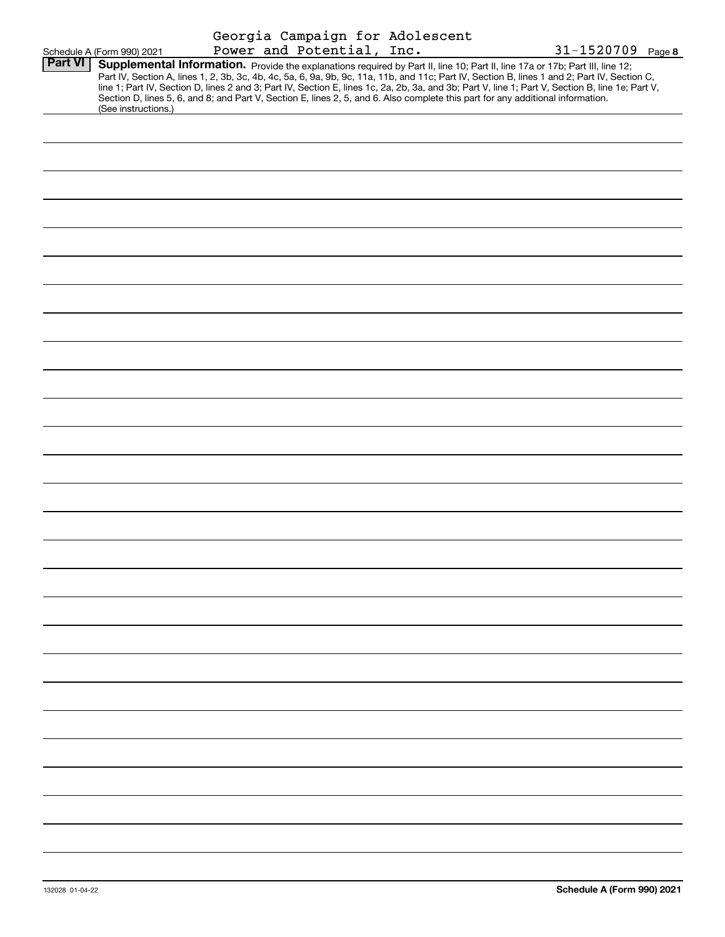|                |                            |                           |  | Georgia Campaign for Adolescent                                                                                                 |                                                                                                                                                                                                                                                                                                  |
|----------------|----------------------------|---------------------------|--|---------------------------------------------------------------------------------------------------------------------------------|--------------------------------------------------------------------------------------------------------------------------------------------------------------------------------------------------------------------------------------------------------------------------------------------------|
| <b>Part VI</b> | Schedule A (Form 990) 2021 | Power and Potential, Inc. |  | Supplemental Information. Provide the explanations required by Part II, line 10; Part II, line 17a or 17b; Part III, line 12;   | 31-1520709 Page 8                                                                                                                                                                                                                                                                                |
|                |                            |                           |  | Section D, lines 5, 6, and 8; and Part V, Section E, lines 2, 5, and 6. Also complete this part for any additional information. | Part IV, Section A, lines 1, 2, 3b, 3c, 4b, 4c, 5a, 6, 9a, 9b, 9c, 11a, 11b, and 11c; Part IV, Section B, lines 1 and 2; Part IV, Section C,<br>line 1; Part IV, Section D, lines 2 and 3; Part IV, Section E, lines 1c, 2a, 2b, 3a, and 3b; Part V, line 1; Part V, Section B, line 1e; Part V, |
|                | (See instructions.)        |                           |  |                                                                                                                                 |                                                                                                                                                                                                                                                                                                  |
|                |                            |                           |  |                                                                                                                                 |                                                                                                                                                                                                                                                                                                  |
|                |                            |                           |  |                                                                                                                                 |                                                                                                                                                                                                                                                                                                  |
|                |                            |                           |  |                                                                                                                                 |                                                                                                                                                                                                                                                                                                  |
|                |                            |                           |  |                                                                                                                                 |                                                                                                                                                                                                                                                                                                  |
|                |                            |                           |  |                                                                                                                                 |                                                                                                                                                                                                                                                                                                  |
|                |                            |                           |  |                                                                                                                                 |                                                                                                                                                                                                                                                                                                  |
|                |                            |                           |  |                                                                                                                                 |                                                                                                                                                                                                                                                                                                  |
|                |                            |                           |  |                                                                                                                                 |                                                                                                                                                                                                                                                                                                  |
|                |                            |                           |  |                                                                                                                                 |                                                                                                                                                                                                                                                                                                  |
|                |                            |                           |  |                                                                                                                                 |                                                                                                                                                                                                                                                                                                  |
|                |                            |                           |  |                                                                                                                                 |                                                                                                                                                                                                                                                                                                  |
|                |                            |                           |  |                                                                                                                                 |                                                                                                                                                                                                                                                                                                  |
|                |                            |                           |  |                                                                                                                                 |                                                                                                                                                                                                                                                                                                  |
|                |                            |                           |  |                                                                                                                                 |                                                                                                                                                                                                                                                                                                  |
|                |                            |                           |  |                                                                                                                                 |                                                                                                                                                                                                                                                                                                  |
|                |                            |                           |  |                                                                                                                                 |                                                                                                                                                                                                                                                                                                  |
|                |                            |                           |  |                                                                                                                                 |                                                                                                                                                                                                                                                                                                  |
|                |                            |                           |  |                                                                                                                                 |                                                                                                                                                                                                                                                                                                  |
|                |                            |                           |  |                                                                                                                                 |                                                                                                                                                                                                                                                                                                  |
|                |                            |                           |  |                                                                                                                                 |                                                                                                                                                                                                                                                                                                  |
|                |                            |                           |  |                                                                                                                                 |                                                                                                                                                                                                                                                                                                  |
|                |                            |                           |  |                                                                                                                                 |                                                                                                                                                                                                                                                                                                  |
|                |                            |                           |  |                                                                                                                                 |                                                                                                                                                                                                                                                                                                  |
|                |                            |                           |  |                                                                                                                                 |                                                                                                                                                                                                                                                                                                  |
|                |                            |                           |  |                                                                                                                                 |                                                                                                                                                                                                                                                                                                  |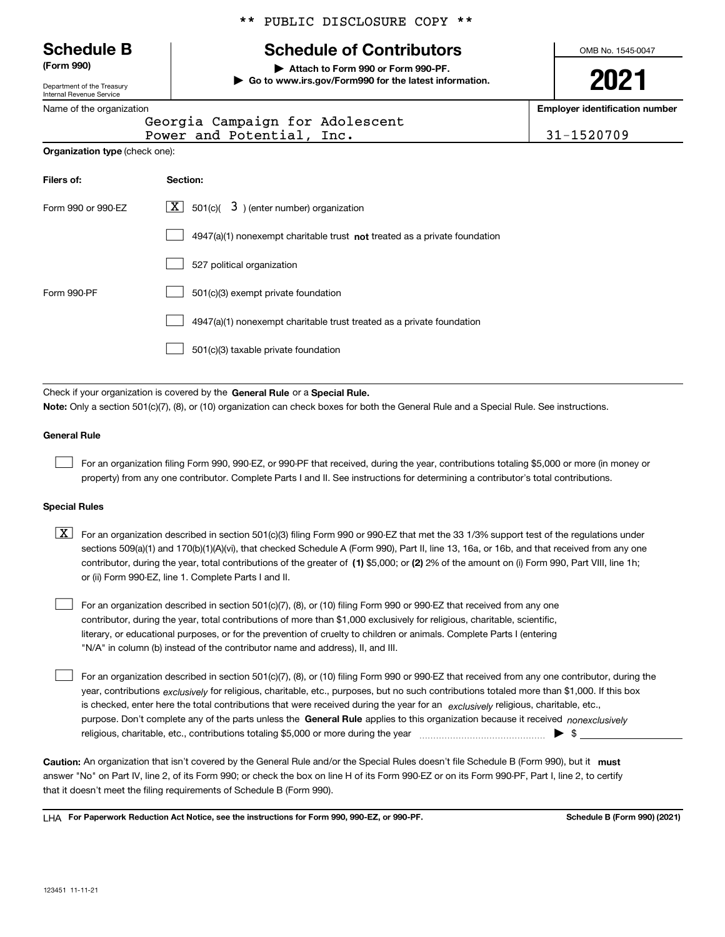#### \*\* PUBLIC DISCLOSURE COPY \*\*

# **Schedule B Schedule of Contributors**

**(Form 990) | Attach to Form 990 or Form 990-PF.**

**| Go to www.irs.gov/Form990 for the latest information.**

OMB No. 1545-0047

# **2021**

**Employer identification number**

|                                       | Georgia Campaign for Adolescent<br>Power and Potential, Inc.                       | 31-1520709 |
|---------------------------------------|------------------------------------------------------------------------------------|------------|
| <b>Organization type (check one):</b> |                                                                                    |            |
| Filers of:                            | Section:                                                                           |            |
| Form 990 or 990-EZ                    | $ \mathbf{X} $ 501(c)( 3) (enter number) organization                              |            |
|                                       | $4947(a)(1)$ nonexempt charitable trust <b>not</b> treated as a private foundation |            |
|                                       | 527 political organization                                                         |            |
| Form 990-PF                           | 501(c)(3) exempt private foundation                                                |            |
|                                       | 4947(a)(1) nonexempt charitable trust treated as a private foundation              |            |
|                                       | 501(c)(3) taxable private foundation                                               |            |
|                                       |                                                                                    |            |

Check if your organization is covered by the **General Rule** or a **Special Rule. Note:**  Only a section 501(c)(7), (8), or (10) organization can check boxes for both the General Rule and a Special Rule. See instructions.

#### **General Rule**

 $\mathcal{L}^{\text{max}}$ 

For an organization filing Form 990, 990-EZ, or 990-PF that received, during the year, contributions totaling \$5,000 or more (in money or property) from any one contributor. Complete Parts I and II. See instructions for determining a contributor's total contributions.

#### **Special Rules**

contributor, during the year, total contributions of the greater of (1**)** \$5,000; or (2) 2% of the amount on (i) Form 990, Part VIII, line 1h;  $\boxed{\textbf{X}}$  For an organization described in section 501(c)(3) filing Form 990 or 990-EZ that met the 33 1/3% support test of the regulations under sections 509(a)(1) and 170(b)(1)(A)(vi), that checked Schedule A (Form 990), Part II, line 13, 16a, or 16b, and that received from any one or (ii) Form 990-EZ, line 1. Complete Parts I and II.

For an organization described in section 501(c)(7), (8), or (10) filing Form 990 or 990-EZ that received from any one contributor, during the year, total contributions of more than \$1,000 exclusively for religious, charitable, scientific, literary, or educational purposes, or for the prevention of cruelty to children or animals. Complete Parts I (entering "N/A" in column (b) instead of the contributor name and address), II, and III.  $\mathcal{L}^{\text{max}}$ 

purpose. Don't complete any of the parts unless the **General Rule** applies to this organization because it received *nonexclusively* year, contributions <sub>exclusively</sub> for religious, charitable, etc., purposes, but no such contributions totaled more than \$1,000. If this box is checked, enter here the total contributions that were received during the year for an  $\;$ exclusively religious, charitable, etc., For an organization described in section 501(c)(7), (8), or (10) filing Form 990 or 990-EZ that received from any one contributor, during the religious, charitable, etc., contributions totaling \$5,000 or more during the year ~~~~~~~~~~~~~~~ | \$  $\mathcal{L}^{\text{max}}$ 

Caution: An organization that isn't covered by the General Rule and/or the Special Rules doesn't file Schedule B (Form 990), but it **must** answer "No" on Part IV, line 2, of its Form 990; or check the box on line H of its Form 990-EZ or on its Form 990-PF, Part I, line 2, to certify that it doesn't meet the filing requirements of Schedule B (Form 990).

LHA For Paperwork Reduction Act Notice, see the instructions for Form 990, 990-EZ, or 990-PF. **In the act and Schedule B** (Form 990) (2021)

Department of the Treasury Internal Revenue Service

|  | Name of the organization |
|--|--------------------------|
|--|--------------------------|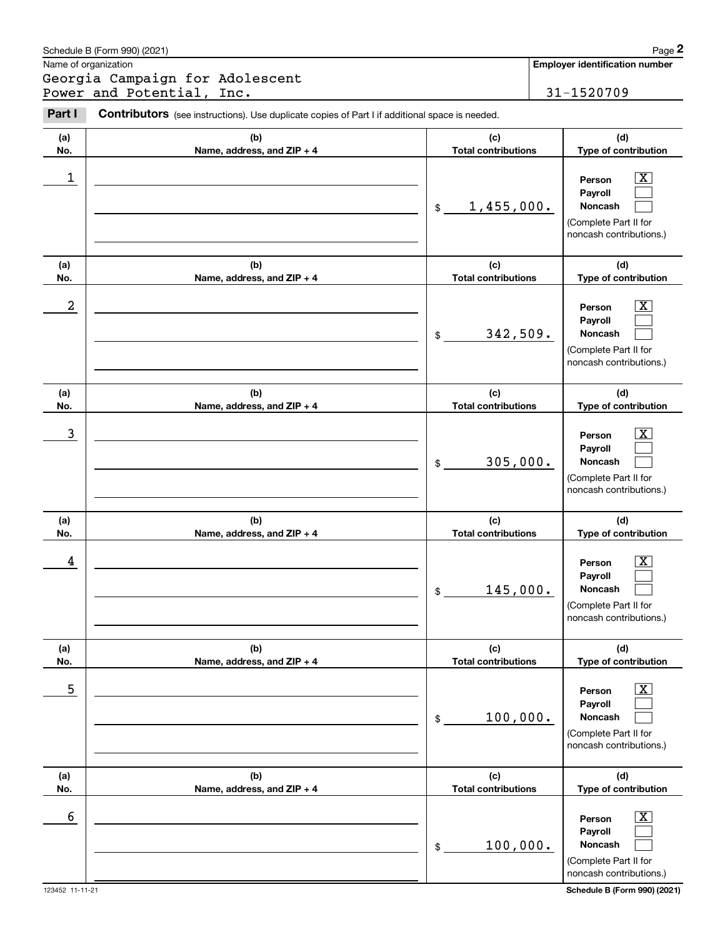|            | Schedule B (Form 990) (2021)                                                                   |                                   | Page 2                                                                                                             |
|------------|------------------------------------------------------------------------------------------------|-----------------------------------|--------------------------------------------------------------------------------------------------------------------|
|            | Name of organization                                                                           |                                   | <b>Employer identification number</b>                                                                              |
|            | Georgia Campaign for Adolescent<br>Power and Potential, Inc.                                   |                                   | 31-1520709                                                                                                         |
| Part I     | Contributors (see instructions). Use duplicate copies of Part I if additional space is needed. |                                   |                                                                                                                    |
| (a)<br>No. | (b)<br>Name, address, and ZIP + 4                                                              | (c)<br><b>Total contributions</b> | (d)<br>Type of contribution                                                                                        |
| 1          |                                                                                                | 1,455,000.<br>$\mathfrak{S}$      | $\overline{\text{X}}$<br>Person<br>Payroll<br><b>Noncash</b><br>(Complete Part II for<br>noncash contributions.)   |
| (a)<br>No. | (b)<br>Name, address, and ZIP + 4                                                              | (c)<br><b>Total contributions</b> | (d)<br>Type of contribution                                                                                        |
| 2          |                                                                                                | 342,509.<br>\$                    | $\overline{\text{X}}$<br>Person<br>Payroll<br><b>Noncash</b><br>(Complete Part II for<br>noncash contributions.)   |
| (a)<br>No. | (b)<br>Name, address, and ZIP + 4                                                              | (c)<br><b>Total contributions</b> | (d)<br>Type of contribution                                                                                        |
| 3          |                                                                                                | 305,000.<br>\$                    | $\overline{\text{X}}$<br>Person<br>Payroll<br><b>Noncash</b><br>(Complete Part II for<br>noncash contributions.)   |
| (a)<br>No. | (b)<br>Name, address, and ZIP + 4                                                              | (c)<br><b>Total contributions</b> | (d)<br>Type of contribution                                                                                        |
| 4          |                                                                                                | 145,000.<br>\$                    | $\overline{\text{X}}$<br>Person<br>Payroll<br>Noncash<br>(Complete Part II for<br>noncash contributions.)          |
| (a)<br>No. | (b)<br>Name, address, and ZIP + 4                                                              | (c)<br><b>Total contributions</b> | (d)<br>Type of contribution                                                                                        |
| 5          |                                                                                                | 100,000.<br>\$                    | $\overline{\mathbf{X}}$<br>Person<br>Payroll<br><b>Noncash</b><br>(Complete Part II for<br>noncash contributions.) |
| (a)<br>No. | (b)<br>Name, address, and ZIP + 4                                                              | (c)<br><b>Total contributions</b> | (d)<br>Type of contribution                                                                                        |
| 6          |                                                                                                | 100,000.<br>\$                    | $\overline{\mathbf{X}}$<br>Person<br>Payroll<br><b>Noncash</b><br>(Complete Part II for<br>noncash contributions.) |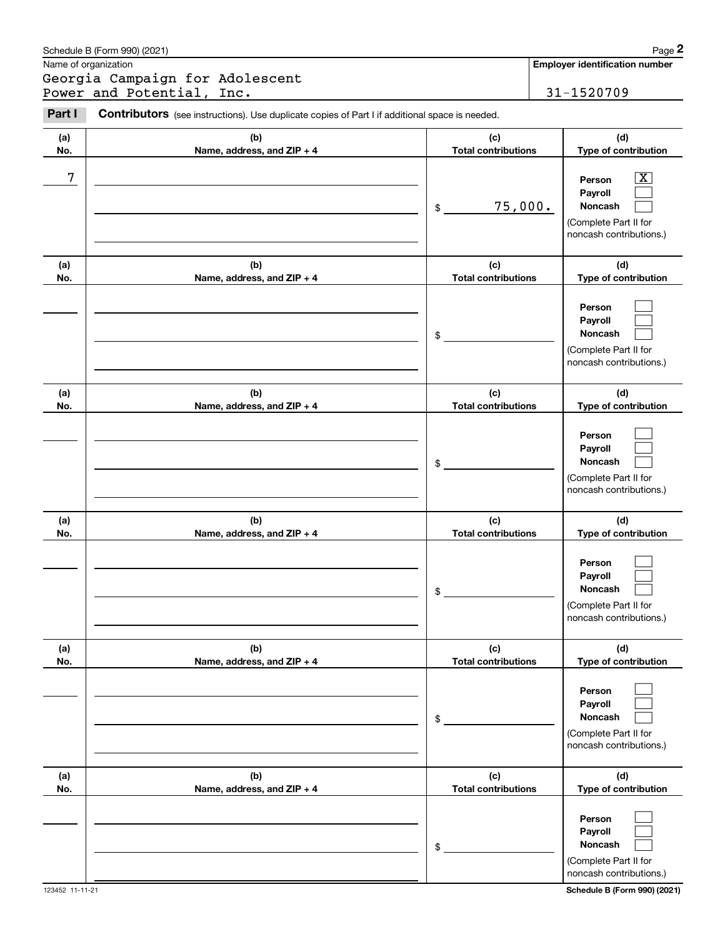|            | Schedule B (Form 990) (2021)                                                                   |                                   | Page 2                                                                                |
|------------|------------------------------------------------------------------------------------------------|-----------------------------------|---------------------------------------------------------------------------------------|
|            | Name of organization                                                                           |                                   | <b>Employer identification number</b>                                                 |
|            | Georgia Campaign for Adolescent<br>Power and Potential, Inc.                                   |                                   | 31-1520709                                                                            |
| Part I     | Contributors (see instructions). Use duplicate copies of Part I if additional space is needed. |                                   |                                                                                       |
| (a)<br>No. | (b)<br>Name, address, and ZIP + 4                                                              | (c)<br><b>Total contributions</b> | (d)<br>Type of contribution                                                           |
| 7          |                                                                                                | 75,000.<br>\$                     | x<br>Person<br>Payroll<br>Noncash<br>(Complete Part II for<br>noncash contributions.) |
| (a)<br>No. | (b)<br>Name, address, and ZIP + 4                                                              | (c)<br><b>Total contributions</b> | (d)<br>Type of contribution                                                           |
|            |                                                                                                | \$                                | Person<br>Payroll<br>Noncash<br>(Complete Part II for<br>noncash contributions.)      |
| (a)<br>No. | (b)<br>Name, address, and ZIP + 4                                                              | (c)<br><b>Total contributions</b> | (d)<br>Type of contribution                                                           |
|            |                                                                                                | \$                                | Person<br>Payroll<br>Noncash<br>(Complete Part II for<br>noncash contributions.)      |
| (a)<br>No. | (b)<br>Name, address, and ZIP + 4                                                              | (c)<br><b>Total contributions</b> | (d)<br>Type of contribution                                                           |
|            |                                                                                                | \$                                | Person<br>Payroll<br>Noncash<br>(Complete Part II for<br>noncash contributions.)      |
| (a)<br>No. | (b)<br>Name, address, and ZIP + 4                                                              | (c)<br><b>Total contributions</b> | (d)<br>Type of contribution                                                           |
|            |                                                                                                | \$                                | Person<br>Payroll<br>Noncash<br>(Complete Part II for<br>noncash contributions.)      |
| (a)<br>No. | (b)<br>Name, address, and ZIP + 4                                                              | (c)<br><b>Total contributions</b> | (d)<br>Type of contribution                                                           |
|            |                                                                                                | \$                                | Person<br>Payroll<br>Noncash<br>(Complete Part II for<br>noncash contributions.)      |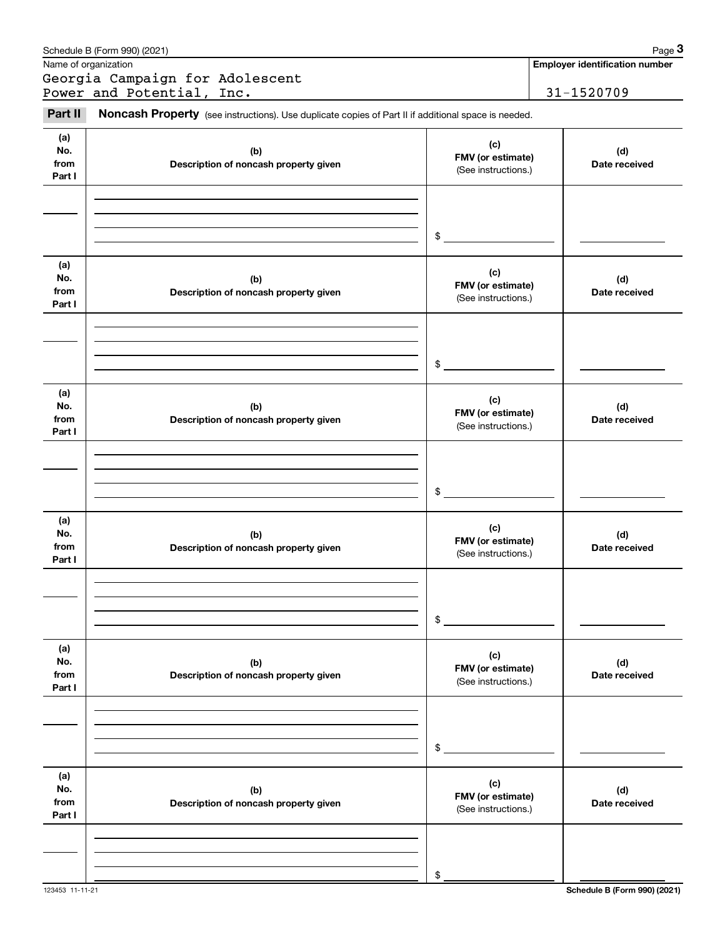|                              | Schedule B (Form 990) (2021)                                                                        |                                                 | Page 3                                |  |
|------------------------------|-----------------------------------------------------------------------------------------------------|-------------------------------------------------|---------------------------------------|--|
|                              | Name of organization                                                                                |                                                 | <b>Employer identification number</b> |  |
|                              | Georgia Campaign for Adolescent                                                                     |                                                 |                                       |  |
|                              | Power and Potential, Inc.                                                                           |                                                 | 31-1520709                            |  |
| Part II                      | Noncash Property (see instructions). Use duplicate copies of Part II if additional space is needed. |                                                 |                                       |  |
| (a)<br>No.<br>from<br>Part I | (b)<br>Description of noncash property given                                                        | (c)<br>FMV (or estimate)<br>(See instructions.) | (d)<br>Date received                  |  |
|                              |                                                                                                     | \$                                              |                                       |  |
| (a)<br>No.<br>from<br>Part I | (b)<br>Description of noncash property given                                                        | (c)<br>FMV (or estimate)<br>(See instructions.) | (d)<br>Date received                  |  |
|                              |                                                                                                     | \$                                              |                                       |  |
| (a)<br>No.<br>from<br>Part I | (b)<br>Description of noncash property given                                                        | (c)<br>FMV (or estimate)<br>(See instructions.) | (d)<br>Date received                  |  |
|                              |                                                                                                     | \$                                              |                                       |  |
| (a)<br>No.<br>from<br>Part I | (b)<br>Description of noncash property given                                                        | (c)<br>FMV (or estimate)<br>(See instructions.) | (d)<br>Date received                  |  |
|                              |                                                                                                     | \$                                              |                                       |  |
| (a)<br>No.<br>from<br>Part I | (b)<br>Description of noncash property given                                                        | (c)<br>FMV (or estimate)<br>(See instructions.) | (d)<br>Date received                  |  |
|                              |                                                                                                     | \$                                              |                                       |  |
| (a)<br>No.<br>from<br>Part I | (b)<br>Description of noncash property given                                                        | (c)<br>FMV (or estimate)<br>(See instructions.) | (d)<br>Date received                  |  |
|                              |                                                                                                     | \$                                              |                                       |  |

123453 11-11-21 **Schedule B (Form 990) (2021)**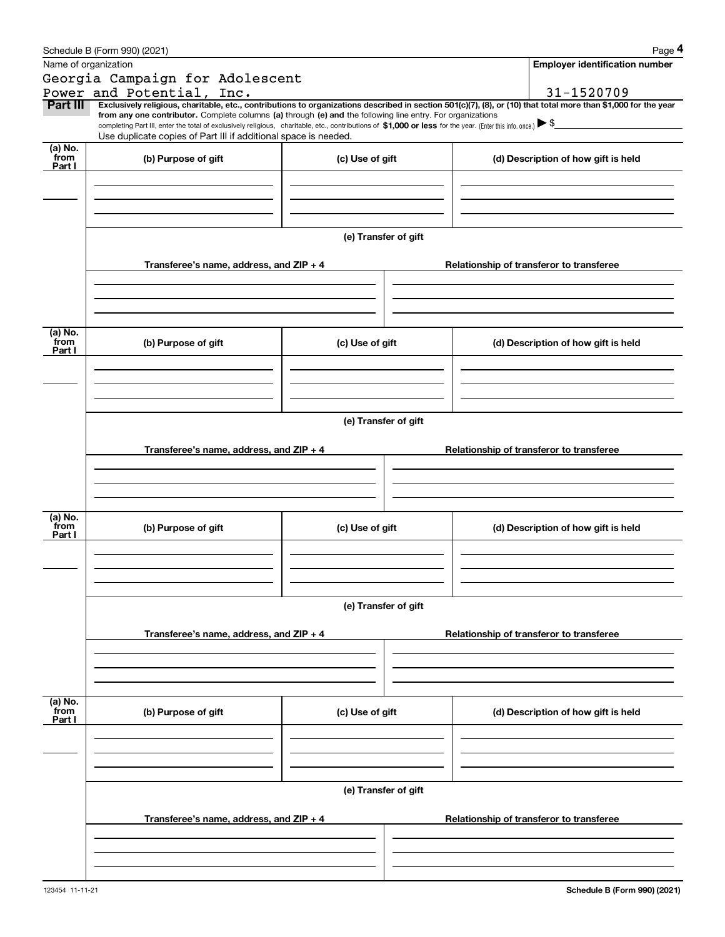|                 | Schedule B (Form 990) (2021)                                                                                                                                                                                                                                                 |                      | Page 4                                   |
|-----------------|------------------------------------------------------------------------------------------------------------------------------------------------------------------------------------------------------------------------------------------------------------------------------|----------------------|------------------------------------------|
|                 | Name of organization                                                                                                                                                                                                                                                         |                      | Employer identification number           |
|                 | Georgia Campaign for Adolescent                                                                                                                                                                                                                                              |                      |                                          |
|                 | Power and Potential, Inc.                                                                                                                                                                                                                                                    |                      | 31-1520709                               |
| Part III        | Exclusively religious, charitable, etc., contributions to organizations described in section 501(c)(7), (8), or (10) that total more than \$1,000 for the year<br>from any one contributor. Complete columns (a) through (e) and the following line entry. For organizations |                      |                                          |
|                 | completing Part III, enter the total of exclusively religious, charitable, etc., contributions of \$1,000 or less for the year. (Enter this info. once.) \\$                                                                                                                 |                      |                                          |
| (a) No.         | Use duplicate copies of Part III if additional space is needed.                                                                                                                                                                                                              |                      |                                          |
| from            | (b) Purpose of gift                                                                                                                                                                                                                                                          | (c) Use of gift      | (d) Description of how gift is held      |
| Part I          |                                                                                                                                                                                                                                                                              |                      |                                          |
|                 |                                                                                                                                                                                                                                                                              |                      |                                          |
|                 |                                                                                                                                                                                                                                                                              |                      |                                          |
|                 |                                                                                                                                                                                                                                                                              |                      |                                          |
|                 |                                                                                                                                                                                                                                                                              | (e) Transfer of gift |                                          |
|                 |                                                                                                                                                                                                                                                                              |                      |                                          |
|                 | Transferee's name, address, and ZIP + 4                                                                                                                                                                                                                                      |                      | Relationship of transferor to transferee |
|                 |                                                                                                                                                                                                                                                                              |                      |                                          |
|                 |                                                                                                                                                                                                                                                                              |                      |                                          |
|                 |                                                                                                                                                                                                                                                                              |                      |                                          |
| (a) No.         |                                                                                                                                                                                                                                                                              |                      |                                          |
| from<br>Part I  | (b) Purpose of gift                                                                                                                                                                                                                                                          | (c) Use of gift      | (d) Description of how gift is held      |
|                 |                                                                                                                                                                                                                                                                              |                      |                                          |
|                 |                                                                                                                                                                                                                                                                              |                      |                                          |
|                 |                                                                                                                                                                                                                                                                              |                      |                                          |
|                 |                                                                                                                                                                                                                                                                              |                      |                                          |
|                 |                                                                                                                                                                                                                                                                              | (e) Transfer of gift |                                          |
|                 |                                                                                                                                                                                                                                                                              |                      |                                          |
|                 | Transferee's name, address, and ZIP + 4                                                                                                                                                                                                                                      |                      | Relationship of transferor to transferee |
|                 |                                                                                                                                                                                                                                                                              |                      |                                          |
|                 |                                                                                                                                                                                                                                                                              |                      |                                          |
|                 |                                                                                                                                                                                                                                                                              |                      |                                          |
| (a) No.<br>from | (b) Purpose of gift                                                                                                                                                                                                                                                          | (c) Use of gift      | (d) Description of how gift is held      |
| Part I          |                                                                                                                                                                                                                                                                              |                      |                                          |
|                 |                                                                                                                                                                                                                                                                              |                      |                                          |
|                 |                                                                                                                                                                                                                                                                              |                      |                                          |
|                 |                                                                                                                                                                                                                                                                              |                      |                                          |
|                 |                                                                                                                                                                                                                                                                              | (e) Transfer of gift |                                          |
|                 |                                                                                                                                                                                                                                                                              |                      |                                          |
|                 | Transferee's name, address, and ZIP + 4                                                                                                                                                                                                                                      |                      | Relationship of transferor to transferee |
|                 |                                                                                                                                                                                                                                                                              |                      |                                          |
|                 |                                                                                                                                                                                                                                                                              |                      |                                          |
|                 |                                                                                                                                                                                                                                                                              |                      |                                          |
| (a) No.         |                                                                                                                                                                                                                                                                              |                      |                                          |
| from<br>Part I  | (b) Purpose of gift                                                                                                                                                                                                                                                          | (c) Use of gift      | (d) Description of how gift is held      |
|                 |                                                                                                                                                                                                                                                                              |                      |                                          |
|                 |                                                                                                                                                                                                                                                                              |                      |                                          |
|                 |                                                                                                                                                                                                                                                                              |                      |                                          |
|                 |                                                                                                                                                                                                                                                                              |                      |                                          |
|                 |                                                                                                                                                                                                                                                                              | (e) Transfer of gift |                                          |
|                 | Transferee's name, address, and $ZIP + 4$                                                                                                                                                                                                                                    |                      | Relationship of transferor to transferee |
|                 |                                                                                                                                                                                                                                                                              |                      |                                          |
|                 |                                                                                                                                                                                                                                                                              |                      |                                          |
|                 |                                                                                                                                                                                                                                                                              |                      |                                          |
|                 |                                                                                                                                                                                                                                                                              |                      |                                          |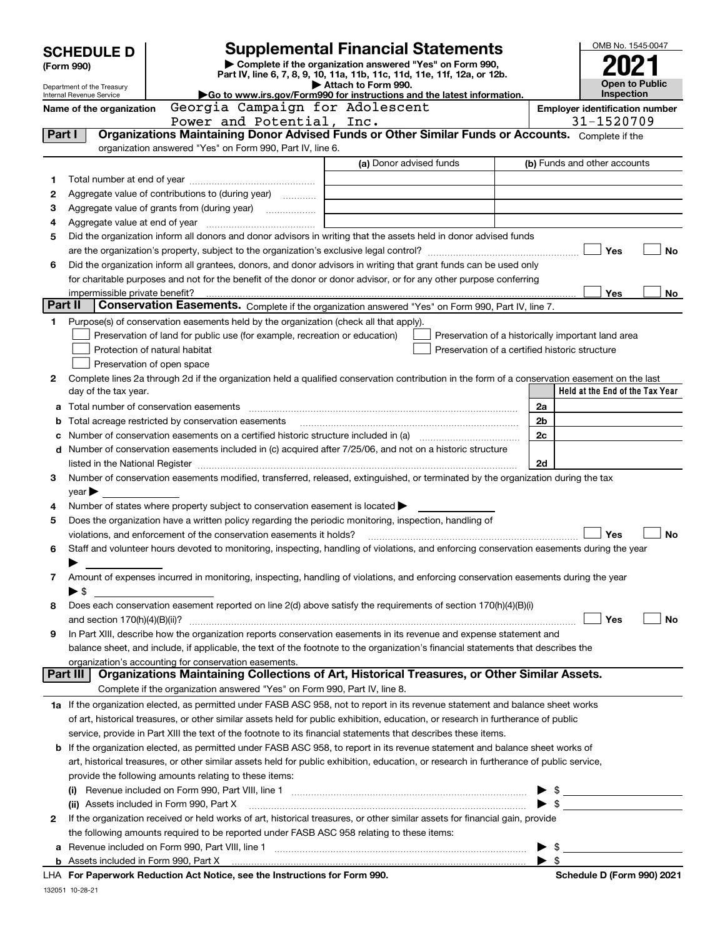|         | <b>SCHEDULE D</b>               | <b>Supplemental Financial Statements</b>                                                                                                                                                                                  |                          | OMB No. 1545-0047                                   |  |  |  |  |
|---------|---------------------------------|---------------------------------------------------------------------------------------------------------------------------------------------------------------------------------------------------------------------------|--------------------------|-----------------------------------------------------|--|--|--|--|
|         | (Form 990)                      | Complete if the organization answered "Yes" on Form 990,<br>Part IV, line 6, 7, 8, 9, 10, 11a, 11b, 11c, 11d, 11e, 11f, 12a, or 12b.                                                                                      |                          |                                                     |  |  |  |  |
|         | Department of the Treasury      | Attach to Form 990.                                                                                                                                                                                                       |                          | <b>Open to Public</b>                               |  |  |  |  |
|         | Internal Revenue Service        | $\blacktriangleright$ Go to www.irs.gov/Form990 for instructions and the latest information.                                                                                                                              |                          | Inspection                                          |  |  |  |  |
|         | Name of the organization        | Georgia Campaign for Adolescent<br>Power and Potential, Inc.                                                                                                                                                              |                          | <b>Employer identification number</b><br>31-1520709 |  |  |  |  |
| Part I  |                                 | Organizations Maintaining Donor Advised Funds or Other Similar Funds or Accounts. Complete if the                                                                                                                         |                          |                                                     |  |  |  |  |
|         |                                 | organization answered "Yes" on Form 990, Part IV, line 6.                                                                                                                                                                 |                          |                                                     |  |  |  |  |
|         |                                 | (a) Donor advised funds                                                                                                                                                                                                   |                          | (b) Funds and other accounts                        |  |  |  |  |
| 1       |                                 |                                                                                                                                                                                                                           |                          |                                                     |  |  |  |  |
| 2       |                                 | Aggregate value of contributions to (during year)                                                                                                                                                                         |                          |                                                     |  |  |  |  |
| З       |                                 |                                                                                                                                                                                                                           |                          |                                                     |  |  |  |  |
| 4       |                                 |                                                                                                                                                                                                                           |                          |                                                     |  |  |  |  |
| 5       |                                 | Did the organization inform all donors and donor advisors in writing that the assets held in donor advised funds                                                                                                          |                          |                                                     |  |  |  |  |
|         |                                 |                                                                                                                                                                                                                           |                          | Yes<br><b>No</b>                                    |  |  |  |  |
| 6       |                                 | Did the organization inform all grantees, donors, and donor advisors in writing that grant funds can be used only                                                                                                         |                          |                                                     |  |  |  |  |
|         |                                 | for charitable purposes and not for the benefit of the donor or donor advisor, or for any other purpose conferring                                                                                                        |                          |                                                     |  |  |  |  |
| Part II |                                 | Conservation Easements. Complete if the organization answered "Yes" on Form 990, Part IV, line 7.                                                                                                                         |                          | Yes<br>No                                           |  |  |  |  |
|         |                                 |                                                                                                                                                                                                                           |                          |                                                     |  |  |  |  |
| 1       |                                 | Purpose(s) of conservation easements held by the organization (check all that apply).<br>Preservation of land for public use (for example, recreation or education)<br>Preservation of a historically important land area |                          |                                                     |  |  |  |  |
|         |                                 | Protection of natural habitat<br>Preservation of a certified historic structure                                                                                                                                           |                          |                                                     |  |  |  |  |
|         |                                 | Preservation of open space                                                                                                                                                                                                |                          |                                                     |  |  |  |  |
| 2       |                                 | Complete lines 2a through 2d if the organization held a qualified conservation contribution in the form of a conservation easement on the last                                                                            |                          |                                                     |  |  |  |  |
|         | day of the tax year.            |                                                                                                                                                                                                                           |                          | Held at the End of the Tax Year                     |  |  |  |  |
|         |                                 |                                                                                                                                                                                                                           | 2a                       |                                                     |  |  |  |  |
| b       |                                 |                                                                                                                                                                                                                           | 2b                       |                                                     |  |  |  |  |
|         |                                 | Number of conservation easements on a certified historic structure included in (a) manufacture included in (a)                                                                                                            | 2 <sub>c</sub>           |                                                     |  |  |  |  |
|         |                                 | d Number of conservation easements included in (c) acquired after 7/25/06, and not on a historic structure                                                                                                                |                          |                                                     |  |  |  |  |
|         |                                 |                                                                                                                                                                                                                           | 2d                       |                                                     |  |  |  |  |
| 3       |                                 | Number of conservation easements modified, transferred, released, extinguished, or terminated by the organization during the tax                                                                                          |                          |                                                     |  |  |  |  |
|         | $year \blacktriangleright$      |                                                                                                                                                                                                                           |                          |                                                     |  |  |  |  |
| 4<br>5  |                                 | Number of states where property subject to conservation easement is located $\blacktriangleright$<br>Does the organization have a written policy regarding the periodic monitoring, inspection, handling of               |                          |                                                     |  |  |  |  |
|         |                                 | violations, and enforcement of the conservation easements it holds?                                                                                                                                                       |                          | Yes<br><b>No</b>                                    |  |  |  |  |
| 6       |                                 | Staff and volunteer hours devoted to monitoring, inspecting, handling of violations, and enforcing conservation easements during the year                                                                                 |                          |                                                     |  |  |  |  |
|         |                                 |                                                                                                                                                                                                                           |                          |                                                     |  |  |  |  |
| 7       |                                 | Amount of expenses incurred in monitoring, inspecting, handling of violations, and enforcing conservation easements during the year                                                                                       |                          |                                                     |  |  |  |  |
|         | ► \$                            |                                                                                                                                                                                                                           |                          |                                                     |  |  |  |  |
| 8       |                                 | Does each conservation easement reported on line 2(d) above satisfy the requirements of section 170(h)(4)(B)(i)                                                                                                           |                          |                                                     |  |  |  |  |
|         | and section $170(h)(4)(B)(ii)?$ |                                                                                                                                                                                                                           |                          | Yes<br>No                                           |  |  |  |  |
| 9       |                                 | In Part XIII, describe how the organization reports conservation easements in its revenue and expense statement and                                                                                                       |                          |                                                     |  |  |  |  |
|         |                                 | balance sheet, and include, if applicable, the text of the footnote to the organization's financial statements that describes the                                                                                         |                          |                                                     |  |  |  |  |
|         | Part III                        | organization's accounting for conservation easements.<br>Organizations Maintaining Collections of Art, Historical Treasures, or Other Similar Assets.                                                                     |                          |                                                     |  |  |  |  |
|         |                                 | Complete if the organization answered "Yes" on Form 990, Part IV, line 8.                                                                                                                                                 |                          |                                                     |  |  |  |  |
|         |                                 | 1a If the organization elected, as permitted under FASB ASC 958, not to report in its revenue statement and balance sheet works                                                                                           |                          |                                                     |  |  |  |  |
|         |                                 | of art, historical treasures, or other similar assets held for public exhibition, education, or research in furtherance of public                                                                                         |                          |                                                     |  |  |  |  |
|         |                                 | service, provide in Part XIII the text of the footnote to its financial statements that describes these items.                                                                                                            |                          |                                                     |  |  |  |  |
|         |                                 | <b>b</b> If the organization elected, as permitted under FASB ASC 958, to report in its revenue statement and balance sheet works of                                                                                      |                          |                                                     |  |  |  |  |
|         |                                 | art, historical treasures, or other similar assets held for public exhibition, education, or research in furtherance of public service,                                                                                   |                          |                                                     |  |  |  |  |
|         |                                 | provide the following amounts relating to these items:                                                                                                                                                                    |                          |                                                     |  |  |  |  |
|         |                                 |                                                                                                                                                                                                                           |                          | $\frac{1}{2}$                                       |  |  |  |  |
|         |                                 | (ii) Assets included in Form 990, Part X                                                                                                                                                                                  | $\blacktriangleright$ \$ |                                                     |  |  |  |  |
| 2       |                                 | If the organization received or held works of art, historical treasures, or other similar assets for financial gain, provide                                                                                              |                          |                                                     |  |  |  |  |
|         |                                 | the following amounts required to be reported under FASB ASC 958 relating to these items:                                                                                                                                 |                          |                                                     |  |  |  |  |
|         |                                 |                                                                                                                                                                                                                           | \$                       |                                                     |  |  |  |  |
|         |                                 | <b>Department Reduction Act Notice, can the Instructions for Ferm 000.</b>                                                                                                                                                | $\blacktriangleright$ \$ | Schodule D (Form 000) 2021                          |  |  |  |  |

**For Paperwork Reduction Act Notice, see the Instructions for Form 990. Schedule D (Form 990) 2021** LHA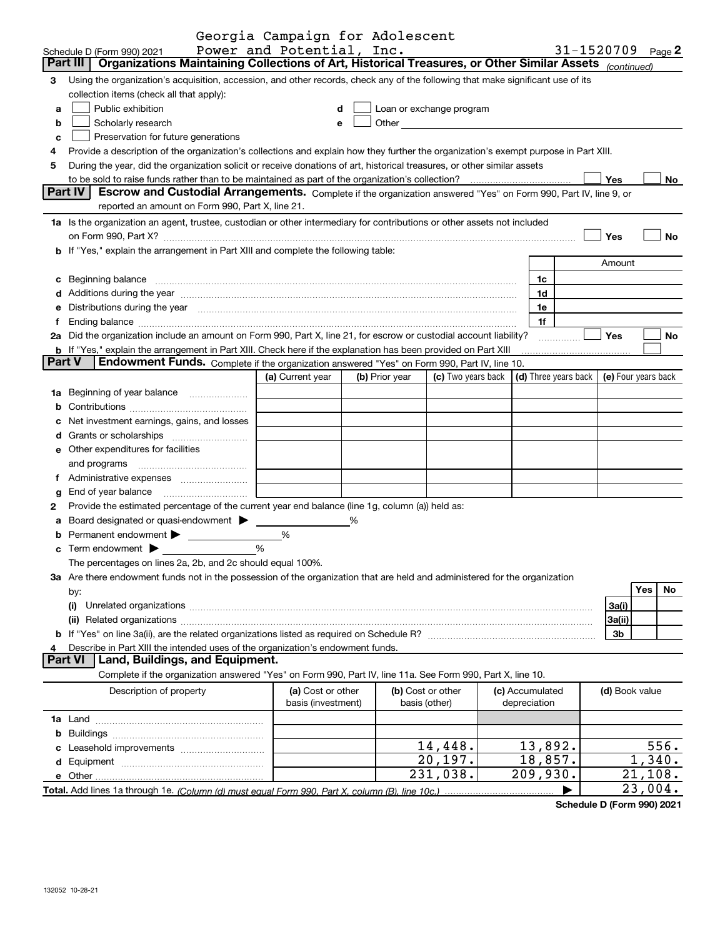|                |                                                                                                                                                                                                                                | Georgia Campaign for Adolescent |   |                |                          |                      |                     |         |           |
|----------------|--------------------------------------------------------------------------------------------------------------------------------------------------------------------------------------------------------------------------------|---------------------------------|---|----------------|--------------------------|----------------------|---------------------|---------|-----------|
|                | Schedule D (Form 990) 2021                                                                                                                                                                                                     | Power and Potential, Inc.       |   |                |                          |                      | 31-1520709          |         | Page 2    |
|                | Part III<br>Organizations Maintaining Collections of Art, Historical Treasures, or Other Similar Assets (continued)                                                                                                            |                                 |   |                |                          |                      |                     |         |           |
| 3              | Using the organization's acquisition, accession, and other records, check any of the following that make significant use of its<br>collection items (check all that apply):                                                    |                                 |   |                |                          |                      |                     |         |           |
|                | Public exhibition                                                                                                                                                                                                              |                                 |   |                |                          |                      |                     |         |           |
| a              |                                                                                                                                                                                                                                | d                               |   |                | Loan or exchange program |                      |                     |         |           |
| b              | Scholarly research                                                                                                                                                                                                             | е                               |   |                |                          |                      |                     |         |           |
| c              | Preservation for future generations                                                                                                                                                                                            |                                 |   |                |                          |                      |                     |         |           |
| 4              | Provide a description of the organization's collections and explain how they further the organization's exempt purpose in Part XIII.                                                                                           |                                 |   |                |                          |                      |                     |         |           |
| 5              | During the year, did the organization solicit or receive donations of art, historical treasures, or other similar assets                                                                                                       |                                 |   |                |                          |                      |                     |         |           |
|                |                                                                                                                                                                                                                                |                                 |   |                |                          |                      | <b>Yes</b>          |         | No        |
|                | Part IV<br>Escrow and Custodial Arrangements. Complete if the organization answered "Yes" on Form 990, Part IV, line 9, or<br>reported an amount on Form 990, Part X, line 21.                                                 |                                 |   |                |                          |                      |                     |         |           |
|                |                                                                                                                                                                                                                                |                                 |   |                |                          |                      |                     |         |           |
|                | 1a Is the organization an agent, trustee, custodian or other intermediary for contributions or other assets not included                                                                                                       |                                 |   |                |                          |                      |                     |         |           |
|                |                                                                                                                                                                                                                                |                                 |   |                |                          |                      | Yes                 |         | No        |
|                | <b>b</b> If "Yes," explain the arrangement in Part XIII and complete the following table:                                                                                                                                      |                                 |   |                |                          |                      |                     |         |           |
|                |                                                                                                                                                                                                                                |                                 |   |                |                          |                      | Amount              |         |           |
|                | c Beginning balance measurements and the contract of the contract of the contract of the contract of the contract of the contract of the contract of the contract of the contract of the contract of the contract of the contr |                                 |   |                |                          | 1c                   |                     |         |           |
|                | d Additions during the year measurements are also contained a state of the year measurement of the year measurement of the state of the state of the state of the state of the state of the state of the state of the state of |                                 |   |                |                          | 1d                   |                     |         |           |
| е              | Distributions during the year measurement contains and all the state of the state of the state of the state of                                                                                                                 |                                 |   |                |                          | 1e                   |                     |         |           |
| f              | Ending balance measurements are all the contract of the contract of the contract of the contract of the contract of the contract of the contract of the contract of the contract of the contract of the contract of the contra |                                 |   |                |                          | 1f                   |                     |         |           |
|                | 2a Did the organization include an amount on Form 990, Part X, line 21, for escrow or custodial account liability?                                                                                                             |                                 |   |                |                          |                      | <b>Yes</b>          |         | No        |
|                | <b>b</b> If "Yes," explain the arrangement in Part XIII. Check here if the explanation has been provided on Part XIII                                                                                                          |                                 |   |                |                          |                      |                     |         |           |
| <b>Part V</b>  | Endowment Funds. Complete if the organization answered "Yes" on Form 990, Part IV, line 10.                                                                                                                                    |                                 |   |                |                          |                      |                     |         |           |
|                |                                                                                                                                                                                                                                | (a) Current year                |   | (b) Prior year | (c) Two years back       | (d) Three years back | (e) Four years back |         |           |
| 1a             | Beginning of year balance                                                                                                                                                                                                      |                                 |   |                |                          |                      |                     |         |           |
| b              |                                                                                                                                                                                                                                |                                 |   |                |                          |                      |                     |         |           |
|                | Net investment earnings, gains, and losses                                                                                                                                                                                     |                                 |   |                |                          |                      |                     |         |           |
|                |                                                                                                                                                                                                                                |                                 |   |                |                          |                      |                     |         |           |
|                | <b>e</b> Other expenditures for facilities                                                                                                                                                                                     |                                 |   |                |                          |                      |                     |         |           |
|                | and programs                                                                                                                                                                                                                   |                                 |   |                |                          |                      |                     |         |           |
| f              |                                                                                                                                                                                                                                |                                 |   |                |                          |                      |                     |         |           |
| g              | End of year balance                                                                                                                                                                                                            |                                 |   |                |                          |                      |                     |         |           |
| 2              | Provide the estimated percentage of the current year end balance (line 1g, column (a)) held as:                                                                                                                                |                                 |   |                |                          |                      |                     |         |           |
| a              | Board designated or quasi-endowment > _____                                                                                                                                                                                    |                                 | % |                |                          |                      |                     |         |           |
|                |                                                                                                                                                                                                                                | %                               |   |                |                          |                      |                     |         |           |
|                | Permanent endowment > ___________<br>%                                                                                                                                                                                         |                                 |   |                |                          |                      |                     |         |           |
|                | Term endowment states and states and states are the states of the states of the states of the states of the states of the states of the states of the states of the states of the states of the states of the states of the st |                                 |   |                |                          |                      |                     |         |           |
|                | The percentages on lines 2a, 2b, and 2c should equal 100%.                                                                                                                                                                     |                                 |   |                |                          |                      |                     |         |           |
|                | 3a Are there endowment funds not in the possession of the organization that are held and administered for the organization                                                                                                     |                                 |   |                |                          |                      |                     | Yes     | <b>No</b> |
|                | by:                                                                                                                                                                                                                            |                                 |   |                |                          |                      |                     |         |           |
|                | (i)                                                                                                                                                                                                                            |                                 |   |                |                          |                      | 3a(i)               |         |           |
|                |                                                                                                                                                                                                                                |                                 |   |                |                          |                      | 3a(ii)              |         |           |
|                |                                                                                                                                                                                                                                |                                 |   |                |                          |                      | 3b                  |         |           |
| 4              | Describe in Part XIII the intended uses of the organization's endowment funds.                                                                                                                                                 |                                 |   |                |                          |                      |                     |         |           |
| <b>Part VI</b> | Land, Buildings, and Equipment.                                                                                                                                                                                                |                                 |   |                |                          |                      |                     |         |           |
|                | Complete if the organization answered "Yes" on Form 990, Part IV, line 11a. See Form 990, Part X, line 10.                                                                                                                     |                                 |   |                |                          |                      |                     |         |           |
|                | Description of property                                                                                                                                                                                                        | (a) Cost or other               |   |                | (b) Cost or other        | (c) Accumulated      | (d) Book value      |         |           |
|                |                                                                                                                                                                                                                                | basis (investment)              |   |                | basis (other)            | depreciation         |                     |         |           |
|                |                                                                                                                                                                                                                                |                                 |   |                |                          |                      |                     |         |           |
|                |                                                                                                                                                                                                                                |                                 |   |                |                          |                      |                     |         |           |
|                |                                                                                                                                                                                                                                |                                 |   |                | 14,448.                  | 13,892.              |                     |         | 556.      |
|                |                                                                                                                                                                                                                                |                                 |   |                | 20, 197.                 | 18,857.              |                     | 1,340.  |           |
|                |                                                                                                                                                                                                                                |                                 |   |                | 231,038.                 | 209,930.             |                     | 21,108. |           |
|                |                                                                                                                                                                                                                                |                                 |   |                |                          |                      |                     | 23,004. |           |

**Schedule D (Form 990) 2021**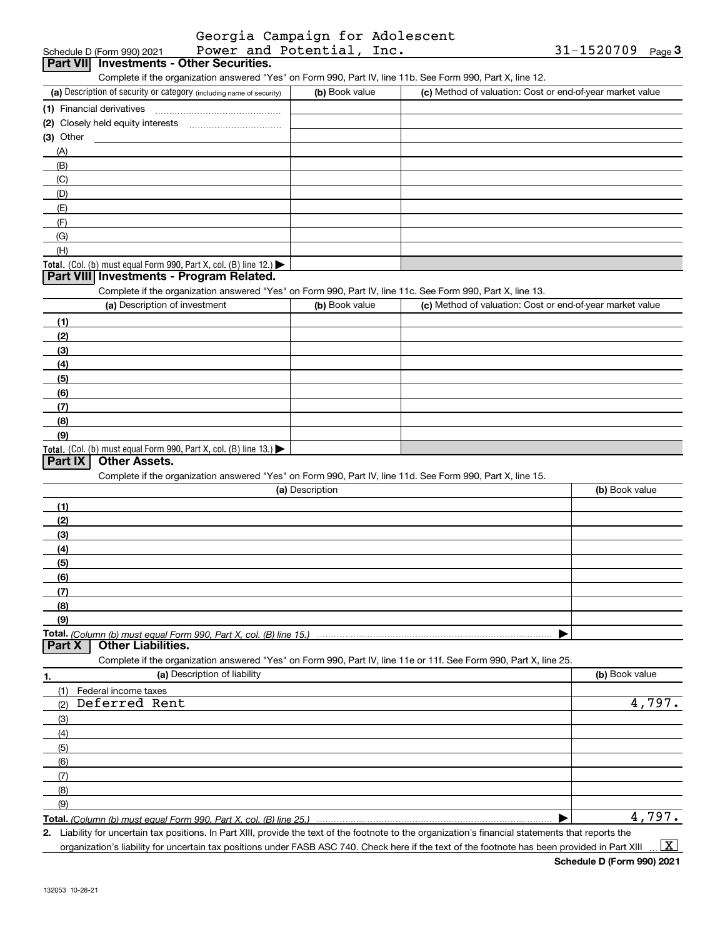|                          | Georgia Campaign for Adolescent |
|--------------------------|---------------------------------|
| Decess and Datantial Two |                                 |

| Schedule D (Form 990) 2021                                                                                        | Power and Potential, Inc. |                                                           | 31-1520709<br>Page $3$ |
|-------------------------------------------------------------------------------------------------------------------|---------------------------|-----------------------------------------------------------|------------------------|
| <b>Investments - Other Securities.</b><br><b>Part VIII</b>                                                        |                           |                                                           |                        |
| Complete if the organization answered "Yes" on Form 990, Part IV, line 11b. See Form 990, Part X, line 12.        |                           |                                                           |                        |
| (a) Description of security or category (including name of security)                                              | (b) Book value            | (c) Method of valuation: Cost or end-of-year market value |                        |
| (1) Financial derivatives                                                                                         |                           |                                                           |                        |
|                                                                                                                   |                           |                                                           |                        |
| $(3)$ Other                                                                                                       |                           |                                                           |                        |
| (A)                                                                                                               |                           |                                                           |                        |
| (B)                                                                                                               |                           |                                                           |                        |
| (C)                                                                                                               |                           |                                                           |                        |
| (D)                                                                                                               |                           |                                                           |                        |
| (E)                                                                                                               |                           |                                                           |                        |
| (F)                                                                                                               |                           |                                                           |                        |
| (G)                                                                                                               |                           |                                                           |                        |
| (H)                                                                                                               |                           |                                                           |                        |
| Total. (Col. (b) must equal Form 990, Part X, col. (B) line 12.)                                                  |                           |                                                           |                        |
| Part VIII Investments - Program Related.                                                                          |                           |                                                           |                        |
| Complete if the organization answered "Yes" on Form 990, Part IV, line 11c. See Form 990, Part X, line 13.        |                           |                                                           |                        |
| (a) Description of investment                                                                                     | (b) Book value            | (c) Method of valuation: Cost or end-of-year market value |                        |
|                                                                                                                   |                           |                                                           |                        |
| (1)                                                                                                               |                           |                                                           |                        |
| (2)                                                                                                               |                           |                                                           |                        |
| (3)                                                                                                               |                           |                                                           |                        |
| (4)                                                                                                               |                           |                                                           |                        |
| (5)                                                                                                               |                           |                                                           |                        |
| (6)                                                                                                               |                           |                                                           |                        |
| (7)                                                                                                               |                           |                                                           |                        |
| (8)                                                                                                               |                           |                                                           |                        |
| (9)                                                                                                               |                           |                                                           |                        |
| Total. (Col. (b) must equal Form 990, Part X, col. (B) line 13.)                                                  |                           |                                                           |                        |
| <b>Part IX</b><br><b>Other Assets.</b>                                                                            |                           |                                                           |                        |
| Complete if the organization answered "Yes" on Form 990, Part IV, line 11d. See Form 990, Part X, line 15.        |                           |                                                           |                        |
|                                                                                                                   | (a) Description           |                                                           | (b) Book value         |
| (1)                                                                                                               |                           |                                                           |                        |
| (2)                                                                                                               |                           |                                                           |                        |
| (3)                                                                                                               |                           |                                                           |                        |
| (4)                                                                                                               |                           |                                                           |                        |
| (5)                                                                                                               |                           |                                                           |                        |
| (6)                                                                                                               |                           |                                                           |                        |
| (7)                                                                                                               |                           |                                                           |                        |
| (8)                                                                                                               |                           |                                                           |                        |
| (9)                                                                                                               |                           |                                                           |                        |
|                                                                                                                   |                           |                                                           |                        |
| <b>Part X</b><br><b>Other Liabilities.</b>                                                                        |                           |                                                           |                        |
| Complete if the organization answered "Yes" on Form 990, Part IV, line 11e or 11f. See Form 990, Part X, line 25. |                           |                                                           |                        |
| (a) Description of liability<br>1.                                                                                |                           |                                                           | (b) Book value         |
| (1)<br>Federal income taxes                                                                                       |                           |                                                           |                        |
| Deferred Rent<br>(2)                                                                                              |                           |                                                           | 4,797.                 |
| (3)                                                                                                               |                           |                                                           |                        |
| (4)                                                                                                               |                           |                                                           |                        |
| (5)                                                                                                               |                           |                                                           |                        |
| (6)                                                                                                               |                           |                                                           |                        |
| (7)                                                                                                               |                           |                                                           |                        |
| (8)                                                                                                               |                           |                                                           |                        |
| (9)                                                                                                               |                           |                                                           |                        |
|                                                                                                                   |                           |                                                           | 4,797.                 |
|                                                                                                                   |                           |                                                           |                        |

**2.** Liability for uncertain tax positions. In Part XIII, provide the text of the footnote to the organization's financial statements that reports the organization's liability for uncertain tax positions under FASB ASC 740. Check here if the text of the footnote has been provided in Part XIII

**Schedule D (Form 990) 2021**

 $\vert$  X  $\vert$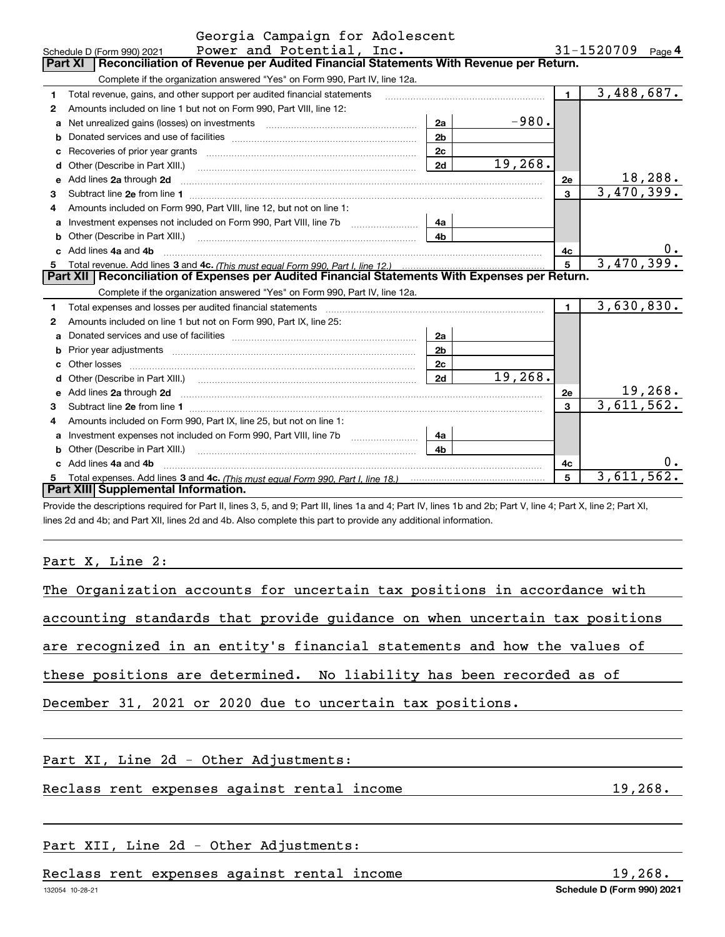|   | Georgia Campaign for Adolescent                                                                                                                                                                                                      |                |         |                |                          |
|---|--------------------------------------------------------------------------------------------------------------------------------------------------------------------------------------------------------------------------------------|----------------|---------|----------------|--------------------------|
|   | Power and Potential, Inc.<br>Schedule D (Form 990) 2021                                                                                                                                                                              |                |         |                | 31-1520709 $_{Page}$ 4   |
|   | Reconciliation of Revenue per Audited Financial Statements With Revenue per Return.<br>Part XI                                                                                                                                       |                |         |                |                          |
|   | Complete if the organization answered "Yes" on Form 990, Part IV, line 12a.                                                                                                                                                          |                |         |                |                          |
| 1 | Total revenue, gains, and other support per audited financial statements                                                                                                                                                             |                |         | $\blacksquare$ | $\overline{3,488,687}$ . |
| 2 | Amounts included on line 1 but not on Form 990, Part VIII, line 12:                                                                                                                                                                  |                |         |                |                          |
| a | Net unrealized gains (losses) on investments [11] matter contracts and the unrealized gains (losses) on investments                                                                                                                  | 2a             | $-980.$ |                |                          |
| b |                                                                                                                                                                                                                                      | 2 <sub>b</sub> |         |                |                          |
|   | Recoveries of prior year grants entertainment control of the state of prior year grants                                                                                                                                              | 2c             |         |                |                          |
| d | Other (Describe in Part XIII.) <b>Construction Contract Construction</b> Chemical Construction Chemical Chemical Chemical Chemical Chemical Chemical Chemical Chemical Chemical Chemical Chemical Chemical Chemical Chemical Chemic  | 2d             | 19,268. |                |                          |
| е | Add lines 2a through 2d                                                                                                                                                                                                              |                |         | 2e             | 18,288.                  |
| 3 |                                                                                                                                                                                                                                      |                |         | 3              | 3,470,399.               |
| 4 | Amounts included on Form 990, Part VIII, line 12, but not on line 1:                                                                                                                                                                 |                |         |                |                          |
| a |                                                                                                                                                                                                                                      | 4a             |         |                |                          |
| b | Other (Describe in Part XIII.) (2000) (2000) (2000) (2010) (2010) (2010) (2010) (2010) (2010) (2010) (2010) (20                                                                                                                      | 4h             |         |                |                          |
|   | Add lines 4a and 4b                                                                                                                                                                                                                  |                |         | 4c             | $0 \cdot$                |
| 5 |                                                                                                                                                                                                                                      |                |         | 5              | 3,470,399.               |
|   | Part XII   Reconciliation of Expenses per Audited Financial Statements With Expenses per Return.                                                                                                                                     |                |         |                |                          |
|   | Complete if the organization answered "Yes" on Form 990, Part IV, line 12a.                                                                                                                                                          |                |         |                |                          |
| 1 |                                                                                                                                                                                                                                      |                |         | $\mathbf{1}$   | 3,630,830.               |
| 2 | Amounts included on line 1 but not on Form 990, Part IX, line 25:                                                                                                                                                                    |                |         |                |                          |
| a |                                                                                                                                                                                                                                      | 2a             |         |                |                          |
|   |                                                                                                                                                                                                                                      | 2 <sub>b</sub> |         |                |                          |
|   |                                                                                                                                                                                                                                      | 2c             |         |                |                          |
| d |                                                                                                                                                                                                                                      | 2d             | 19,268. |                |                          |
| е | Add lines 2a through 2d <b>continuum contract and all contract and all contract and all contract and all contract and all contract and all contract and all contract and all contract and all contract and all contract and all </b> |                |         | 2e             | 19,268.                  |
| 3 |                                                                                                                                                                                                                                      |                |         | 3              | 3,611,562.               |
| 4 | Amounts included on Form 990, Part IX, line 25, but not on line 1:                                                                                                                                                                   |                |         |                |                          |
| a |                                                                                                                                                                                                                                      | 4a             |         |                |                          |
| b | Other (Describe in Part XIII.) <b>Construction Contract Construction</b> Chemistry Chemistry Chemistry Chemistry Chemistry                                                                                                           | 4 <sub>h</sub> |         |                |                          |
|   | Add lines 4a and 4b                                                                                                                                                                                                                  |                |         | 4c             | 0.                       |
| 5 |                                                                                                                                                                                                                                      |                |         | 5              | 3,611,562.               |
|   | Part XIII Supplemental Information.                                                                                                                                                                                                  |                |         |                |                          |

Provide the descriptions required for Part II, lines 3, 5, and 9; Part III, lines 1a and 4; Part IV, lines 1b and 2b; Part V, line 4; Part X, line 2; Part XI, lines 2d and 4b; and Part XII, lines 2d and 4b. Also complete this part to provide any additional information.

#### Part X, Line 2:

| The Organization accounts for uncertain tax positions in accordance with   |
|----------------------------------------------------------------------------|
|                                                                            |
| accounting standards that provide guidance on when uncertain tax positions |
| are recognized in an entity's financial statements and how the values of   |
| these positions are determined. No liability has been recorded as of       |
| December 31, 2021 or 2020 due to uncertain tax positions.                  |
|                                                                            |

Part XI, Line 2d - Other Adjustments:

Reclass rent expenses against rental income 19,268.

# Part XII, Line 2d - Other Adjustments:

Reclass rent expenses against rental income 19,268.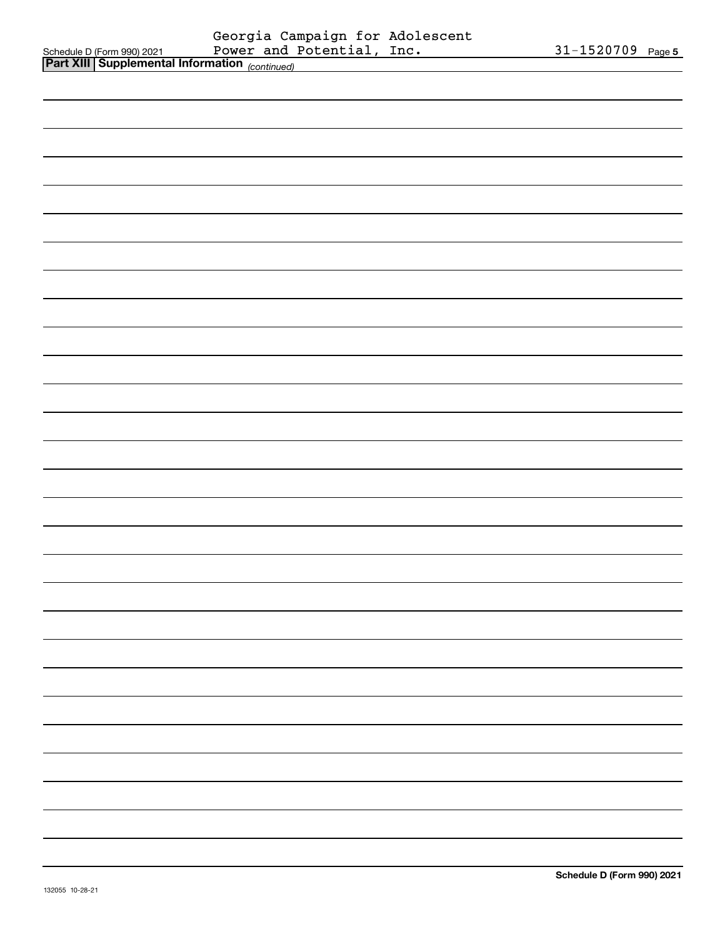|                                                                                          | Georgia Campaign for Adolescent<br>Power and Potential, Inc. |                   |  |
|------------------------------------------------------------------------------------------|--------------------------------------------------------------|-------------------|--|
| Schedule D (Form 990) 2021 Power and 1<br>Part XIII Supplemental Information (continued) |                                                              | 31-1520709 Page 5 |  |
|                                                                                          |                                                              |                   |  |
|                                                                                          |                                                              |                   |  |
|                                                                                          |                                                              |                   |  |
|                                                                                          |                                                              |                   |  |
|                                                                                          |                                                              |                   |  |
|                                                                                          |                                                              |                   |  |
|                                                                                          |                                                              |                   |  |
|                                                                                          |                                                              |                   |  |
|                                                                                          |                                                              |                   |  |
|                                                                                          |                                                              |                   |  |
|                                                                                          |                                                              |                   |  |
|                                                                                          |                                                              |                   |  |
|                                                                                          |                                                              |                   |  |
|                                                                                          |                                                              |                   |  |
|                                                                                          |                                                              |                   |  |
|                                                                                          |                                                              |                   |  |
|                                                                                          |                                                              |                   |  |
|                                                                                          |                                                              |                   |  |
|                                                                                          |                                                              |                   |  |
|                                                                                          |                                                              |                   |  |
|                                                                                          |                                                              |                   |  |
|                                                                                          |                                                              |                   |  |
|                                                                                          |                                                              |                   |  |
|                                                                                          |                                                              |                   |  |
|                                                                                          |                                                              |                   |  |
|                                                                                          |                                                              |                   |  |
|                                                                                          |                                                              |                   |  |
|                                                                                          |                                                              |                   |  |
|                                                                                          |                                                              |                   |  |
|                                                                                          |                                                              |                   |  |
|                                                                                          |                                                              |                   |  |
|                                                                                          |                                                              |                   |  |
|                                                                                          |                                                              |                   |  |
|                                                                                          |                                                              |                   |  |
|                                                                                          |                                                              |                   |  |
|                                                                                          |                                                              |                   |  |
|                                                                                          |                                                              |                   |  |
|                                                                                          |                                                              |                   |  |
|                                                                                          |                                                              |                   |  |
|                                                                                          |                                                              |                   |  |
|                                                                                          |                                                              |                   |  |
|                                                                                          |                                                              |                   |  |
|                                                                                          |                                                              |                   |  |
|                                                                                          |                                                              |                   |  |
|                                                                                          |                                                              |                   |  |
|                                                                                          |                                                              |                   |  |
|                                                                                          |                                                              |                   |  |
|                                                                                          |                                                              |                   |  |
|                                                                                          |                                                              |                   |  |
|                                                                                          |                                                              |                   |  |
|                                                                                          |                                                              |                   |  |
|                                                                                          |                                                              |                   |  |
|                                                                                          |                                                              |                   |  |
|                                                                                          |                                                              |                   |  |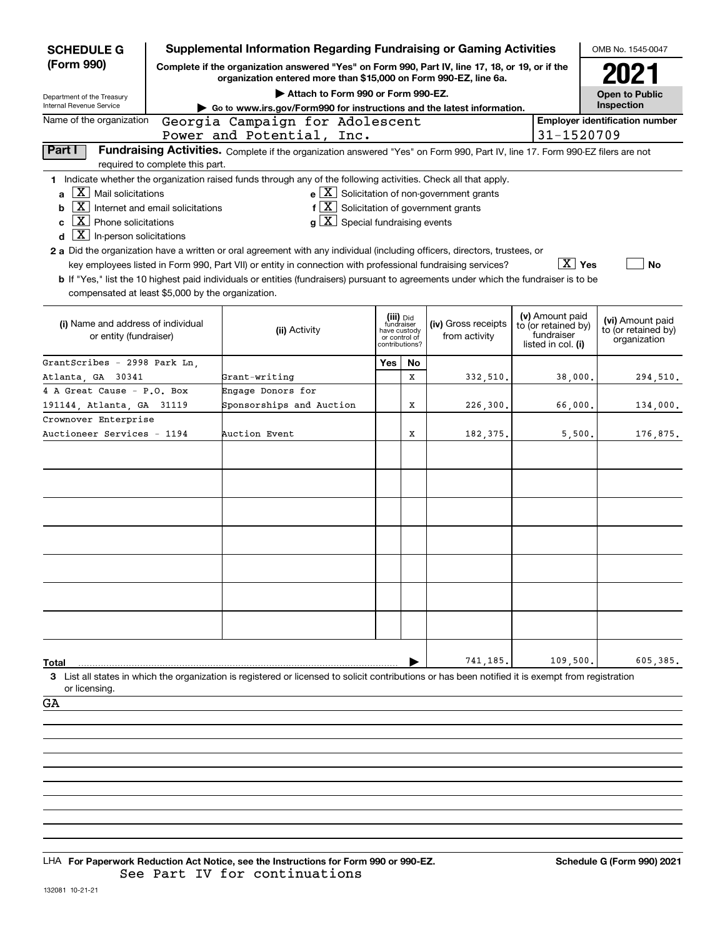| <b>SCHEDULE G</b>                                                                                                                                                                                                           |                                  | <b>Supplemental Information Regarding Fundraising or Gaming Activities</b>                                                                                                                                                                                                                                                                                                                                                                                                                                                                                                                                             |                                                                            |    |                                                       |                                                                            | OMB No. 1545-0047                                       |
|-----------------------------------------------------------------------------------------------------------------------------------------------------------------------------------------------------------------------------|----------------------------------|------------------------------------------------------------------------------------------------------------------------------------------------------------------------------------------------------------------------------------------------------------------------------------------------------------------------------------------------------------------------------------------------------------------------------------------------------------------------------------------------------------------------------------------------------------------------------------------------------------------------|----------------------------------------------------------------------------|----|-------------------------------------------------------|----------------------------------------------------------------------------|---------------------------------------------------------|
| (Form 990)                                                                                                                                                                                                                  |                                  | Complete if the organization answered "Yes" on Form 990, Part IV, line 17, 18, or 19, or if the<br>organization entered more than \$15,000 on Form 990-EZ, line 6a.                                                                                                                                                                                                                                                                                                                                                                                                                                                    |                                                                            |    |                                                       |                                                                            | 2021                                                    |
| Department of the Treasury                                                                                                                                                                                                  |                                  | Attach to Form 990 or Form 990-EZ.                                                                                                                                                                                                                                                                                                                                                                                                                                                                                                                                                                                     |                                                                            |    |                                                       |                                                                            | <b>Open to Public</b>                                   |
| Internal Revenue Service                                                                                                                                                                                                    |                                  | Go to www.irs.gov/Form990 for instructions and the latest information.                                                                                                                                                                                                                                                                                                                                                                                                                                                                                                                                                 |                                                                            |    |                                                       |                                                                            | Inspection                                              |
| Name of the organization                                                                                                                                                                                                    |                                  | Georgia Campaign for Adolescent                                                                                                                                                                                                                                                                                                                                                                                                                                                                                                                                                                                        |                                                                            |    |                                                       |                                                                            | <b>Employer identification number</b>                   |
|                                                                                                                                                                                                                             |                                  | Power and Potential, Inc.                                                                                                                                                                                                                                                                                                                                                                                                                                                                                                                                                                                              |                                                                            |    |                                                       | 31-1520709                                                                 |                                                         |
| Part I                                                                                                                                                                                                                      | required to complete this part.  | Fundraising Activities. Complete if the organization answered "Yes" on Form 990, Part IV, line 17. Form 990-EZ filers are not                                                                                                                                                                                                                                                                                                                                                                                                                                                                                          |                                                                            |    |                                                       |                                                                            |                                                         |
| $\boxed{\text{X}}$ Mail solicitations<br>a<br>  X  <br>b<br>$\boxed{\textbf{X}}$ Phone solicitations<br>C<br>$\lfloor \mathbf{X} \rfloor$ In-person solicitations<br>d<br>compensated at least \$5,000 by the organization. | Internet and email solicitations | 1 Indicate whether the organization raised funds through any of the following activities. Check all that apply.<br>$f\left[\overline{X}\right]$ Solicitation of government grants<br>$g\mid X$ Special fundraising events<br>2 a Did the organization have a written or oral agreement with any individual (including officers, directors, trustees, or<br>key employees listed in Form 990, Part VII) or entity in connection with professional fundraising services?<br><b>b</b> If "Yes," list the 10 highest paid individuals or entities (fundraisers) pursuant to agreements under which the fundraiser is to be |                                                                            |    | $e$ $\boxed{X}$ Solicitation of non-government grants | $\boxed{\text{X}}$ Yes                                                     | <b>No</b>                                               |
| (i) Name and address of individual<br>or entity (fundraiser)                                                                                                                                                                |                                  | (ii) Activity                                                                                                                                                                                                                                                                                                                                                                                                                                                                                                                                                                                                          | (iii) Did<br>fundraiser<br>have custody<br>or control of<br>contributions? |    | (iv) Gross receipts<br>from activity                  | (v) Amount paid<br>to (or retained by)<br>fundraiser<br>listed in col. (i) | (vi) Amount paid<br>to (or retained by)<br>organization |
| GrantScribes - 2998 Park Ln.                                                                                                                                                                                                |                                  |                                                                                                                                                                                                                                                                                                                                                                                                                                                                                                                                                                                                                        | Yes                                                                        | No |                                                       |                                                                            |                                                         |
| Atlanta, GA 30341                                                                                                                                                                                                           |                                  | Grant-writing                                                                                                                                                                                                                                                                                                                                                                                                                                                                                                                                                                                                          |                                                                            | X  | 332,510.                                              | 38,000.                                                                    | 294,510.                                                |
| 4 A Great Cause - P.O. Box                                                                                                                                                                                                  |                                  | Engage Donors for                                                                                                                                                                                                                                                                                                                                                                                                                                                                                                                                                                                                      |                                                                            |    |                                                       |                                                                            |                                                         |
| 191144, Atlanta, GA 31119                                                                                                                                                                                                   |                                  | Sponsorships and Auction                                                                                                                                                                                                                                                                                                                                                                                                                                                                                                                                                                                               |                                                                            | X  | 226,300.                                              | 66,000.                                                                    | 134,000.                                                |
| Crownover Enterprise                                                                                                                                                                                                        |                                  |                                                                                                                                                                                                                                                                                                                                                                                                                                                                                                                                                                                                                        |                                                                            |    |                                                       |                                                                            |                                                         |
| Auctioneer Services - 1194                                                                                                                                                                                                  |                                  | Auction Event                                                                                                                                                                                                                                                                                                                                                                                                                                                                                                                                                                                                          |                                                                            | Х  | 182, 375.                                             | 5,500.                                                                     | 176,875.                                                |
|                                                                                                                                                                                                                             |                                  |                                                                                                                                                                                                                                                                                                                                                                                                                                                                                                                                                                                                                        |                                                                            |    |                                                       |                                                                            |                                                         |
|                                                                                                                                                                                                                             |                                  |                                                                                                                                                                                                                                                                                                                                                                                                                                                                                                                                                                                                                        |                                                                            |    |                                                       |                                                                            |                                                         |
| Total                                                                                                                                                                                                                       |                                  | 3 List all states in which the organization is registered or licensed to solicit contributions or has been notified it is exempt from registration                                                                                                                                                                                                                                                                                                                                                                                                                                                                     |                                                                            |    | 741,185                                               | 109,500.                                                                   | 605,385.                                                |
| or licensing.                                                                                                                                                                                                               |                                  |                                                                                                                                                                                                                                                                                                                                                                                                                                                                                                                                                                                                                        |                                                                            |    |                                                       |                                                                            |                                                         |
| GA                                                                                                                                                                                                                          |                                  |                                                                                                                                                                                                                                                                                                                                                                                                                                                                                                                                                                                                                        |                                                                            |    |                                                       |                                                                            |                                                         |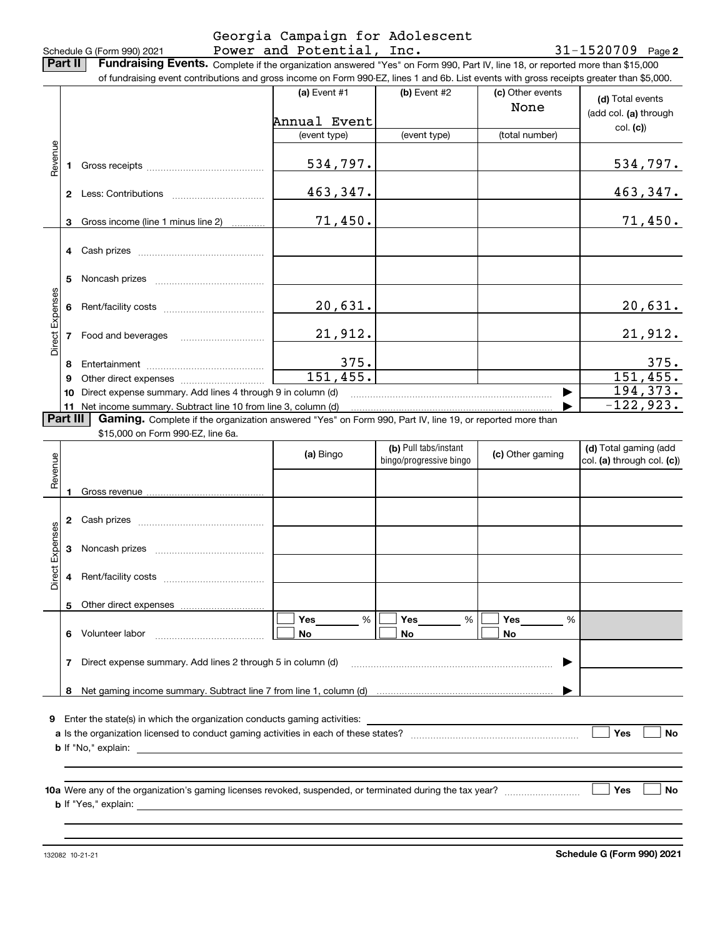**2** Cash prizes ~~~~~~~~~~~~~~~

### Schedule G (Form 990) 2021 Page Power and Potential, Inc. 31-1520709 Georgia Campaign for Adolescent

**2**

**Part II** | Fundraising Events. Complete if the organization answered "Yes" on Form 990, Part IV, line 18, or reported more than \$15,000 of fundraising event contributions and gross income on Form 990-EZ, lines 1 and 6b. List events with gross receipts greater than \$5,000.

|                        |              |                                                                                                                                                                                                                                | (a) Event #1 | $(b)$ Event #2                                   | (c) Other events<br>None | (d) Total events<br>(add col. (a) through           |
|------------------------|--------------|--------------------------------------------------------------------------------------------------------------------------------------------------------------------------------------------------------------------------------|--------------|--------------------------------------------------|--------------------------|-----------------------------------------------------|
|                        |              |                                                                                                                                                                                                                                | Annual Event |                                                  |                          | col. (c)                                            |
|                        |              |                                                                                                                                                                                                                                | (event type) | (event type)                                     | (total number)           |                                                     |
| Revenue                | 1.           |                                                                                                                                                                                                                                | 534,797.     |                                                  |                          | 534,797.                                            |
|                        | $\mathbf{2}$ |                                                                                                                                                                                                                                | 463,347.     |                                                  |                          | 463,347.                                            |
|                        | 3            | Gross income (line 1 minus line 2)                                                                                                                                                                                             | 71,450.      |                                                  |                          | 71,450.                                             |
|                        |              |                                                                                                                                                                                                                                |              |                                                  |                          |                                                     |
|                        | 5            |                                                                                                                                                                                                                                |              |                                                  |                          |                                                     |
|                        | 6            |                                                                                                                                                                                                                                | 20,631.      |                                                  |                          | 20,631.                                             |
| <b>Direct Expenses</b> | 7            | Food and beverages                                                                                                                                                                                                             | 21,912.      |                                                  |                          | 21,912.                                             |
|                        | 8            |                                                                                                                                                                                                                                | 375.         |                                                  |                          | 375.                                                |
|                        | 9            | Other direct expenses of the state of the state of the state of the state of the state of the state of the state of the state of the state of the state of the state of the state of the state of the state of the state of th | 151,455.     |                                                  |                          | 151,455.                                            |
|                        | 10           | Direct expense summary. Add lines 4 through 9 in column (d)                                                                                                                                                                    |              |                                                  |                          | 194, 373.                                           |
|                        |              | 11 Net income summary. Subtract line 10 from line 3, column (d)                                                                                                                                                                |              |                                                  |                          | $\overline{-1}22,923.$                              |
| <b>Part III</b>        |              | <b>Gaming.</b> Complete if the organization answered "Yes" on Form 990, Part IV, line 19, or reported more than                                                                                                                |              |                                                  |                          |                                                     |
|                        |              | \$15,000 on Form 990-EZ, line 6a.                                                                                                                                                                                              |              |                                                  |                          |                                                     |
| Revenue                |              |                                                                                                                                                                                                                                | (a) Bingo    | (b) Pull tabs/instant<br>bingo/progressive bingo | (c) Other gaming         | (d) Total gaming (add<br>col. (a) through col. (c)) |
|                        |              |                                                                                                                                                                                                                                |              |                                                  |                          |                                                     |
|                        |              |                                                                                                                                                                                                                                |              |                                                  |                          |                                                     |
|                        |              |                                                                                                                                                                                                                                |              |                                                  |                          |                                                     |

|                 | з | Noncash prizes                                                                                                     |                |                |                |     |
|-----------------|---|--------------------------------------------------------------------------------------------------------------------|----------------|----------------|----------------|-----|
| Direct Expenses | 4 | Rent/facility costs                                                                                                |                |                |                |     |
|                 | 5 |                                                                                                                    |                |                |                |     |
|                 | 6 | Volunteer labor                                                                                                    | Yes<br>%<br>No | Yes<br>%<br>No | Yes<br>%<br>No |     |
|                 | 7 | Direct expense summary. Add lines 2 through 5 in column (d)                                                        |                |                |                |     |
|                 | 8 |                                                                                                                    |                |                |                |     |
| 9               |   | Enter the state(s) in which the organization conducts gaming activities:                                           |                |                |                |     |
|                 |   | a Is the organization licensed to conduct gaming activities in each of these states?<br><b>b</b> If "No," explain: |                |                |                | Yes |
|                 |   |                                                                                                                    |                |                |                |     |

**10a** Were any of the organization's gaming licenses revoked, suspended, or terminated during the tax year? \_\_\_\_\_\_\_\_\_\_\_\_\_\_\_\_ **b** If "Yes," explain:

132082 10-21-21

**Schedule G (Form 990) 2021**

**Yes**

**No**

**No**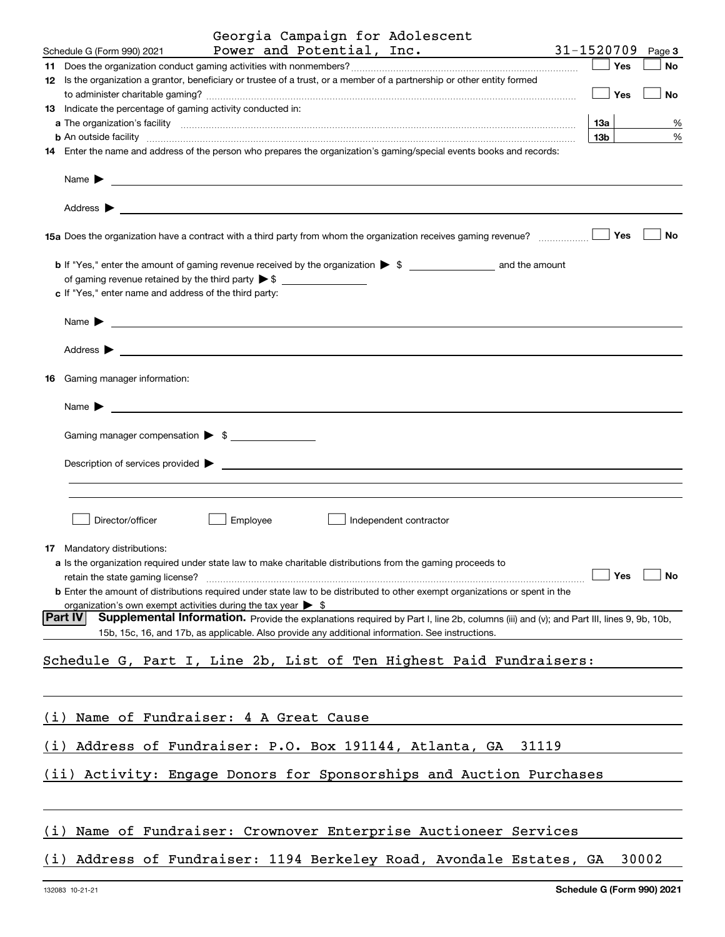| Power and Potential, Inc.<br>31-1520709<br>Schedule G (Form 990) 2021<br>Page 3<br>Yes<br><b>No</b><br>12 Is the organization a grantor, beneficiary or trustee of a trust, or a member of a partnership or other entity formed            |
|--------------------------------------------------------------------------------------------------------------------------------------------------------------------------------------------------------------------------------------------|
|                                                                                                                                                                                                                                            |
|                                                                                                                                                                                                                                            |
| Yes<br>No                                                                                                                                                                                                                                  |
| 13 Indicate the percentage of gaming activity conducted in:<br>13а<br>%                                                                                                                                                                    |
| 13 <sub>b</sub><br>%                                                                                                                                                                                                                       |
| 14 Enter the name and address of the person who prepares the organization's gaming/special events books and records:                                                                                                                       |
| Name $\blacktriangleright$<br><u> 1989 - Johann Harry Harry Harry Harry Harry Harry Harry Harry Harry Harry Harry Harry Harry Harry Harry Harry</u>                                                                                        |
| Address $\blacktriangleright$<br><u> 1989 - Johann Stoff, amerikansk politiker (d. 1989)</u>                                                                                                                                               |
| Yes<br>No<br>15a Does the organization have a contract with a third party from whom the organization receives gaming revenue?                                                                                                              |
| c If "Yes," enter name and address of the third party:                                                                                                                                                                                     |
| Name $\blacktriangleright$<br><u> 1989 - Andrea Station Barbara, amerikan personal personal personal personal personal personal personal personal per</u>                                                                                  |
| Address $\blacktriangleright$                                                                                                                                                                                                              |
| <b>16</b> Gaming manager information:                                                                                                                                                                                                      |
| Name $\blacktriangleright$<br><u> 1989 - Johann John Stone, markin film yn y brenin y brenin y brenin y brenin y brenin y brenin y brenin y br</u>                                                                                         |
| Gaming manager compensation > \$                                                                                                                                                                                                           |
| Description of services provided >                                                                                                                                                                                                         |
|                                                                                                                                                                                                                                            |
| Director/officer<br>Employee<br>Independent contractor                                                                                                                                                                                     |
| 17 Mandatory distributions:                                                                                                                                                                                                                |
| a Is the organization required under state law to make charitable distributions from the gaming proceeds to                                                                                                                                |
| Yes<br>No<br>retain the state gaming license?                                                                                                                                                                                              |
| <b>b</b> Enter the amount of distributions required under state law to be distributed to other exempt organizations or spent in the                                                                                                        |
| organization's own exempt activities during the tax year $\triangleright$ \$<br> Part IV                                                                                                                                                   |
| Supplemental Information. Provide the explanations required by Part I, line 2b, columns (iii) and (v); and Part III, lines 9, 9b, 10b,<br>15b, 15c, 16, and 17b, as applicable. Also provide any additional information. See instructions. |
| Schedule G, Part I, Line 2b, List of Ten Highest Paid Fundraisers:                                                                                                                                                                         |
|                                                                                                                                                                                                                                            |
| Name of Fundraiser: 4 A Great Cause<br>(i)                                                                                                                                                                                                 |
| Address of Fundraiser: P.O. Box 191144, Atlanta, GA<br>31119<br>(i)                                                                                                                                                                        |
| Activity: Engage Donors for Sponsorships and Auction Purchases<br>(iii)                                                                                                                                                                    |
|                                                                                                                                                                                                                                            |
| Name of Fundraiser: Crownover Enterprise Auctioneer Services<br>(i)                                                                                                                                                                        |
| Address of Fundraiser: 1194 Berkeley Road, Avondale Estates, GA<br>30002<br>(i)                                                                                                                                                            |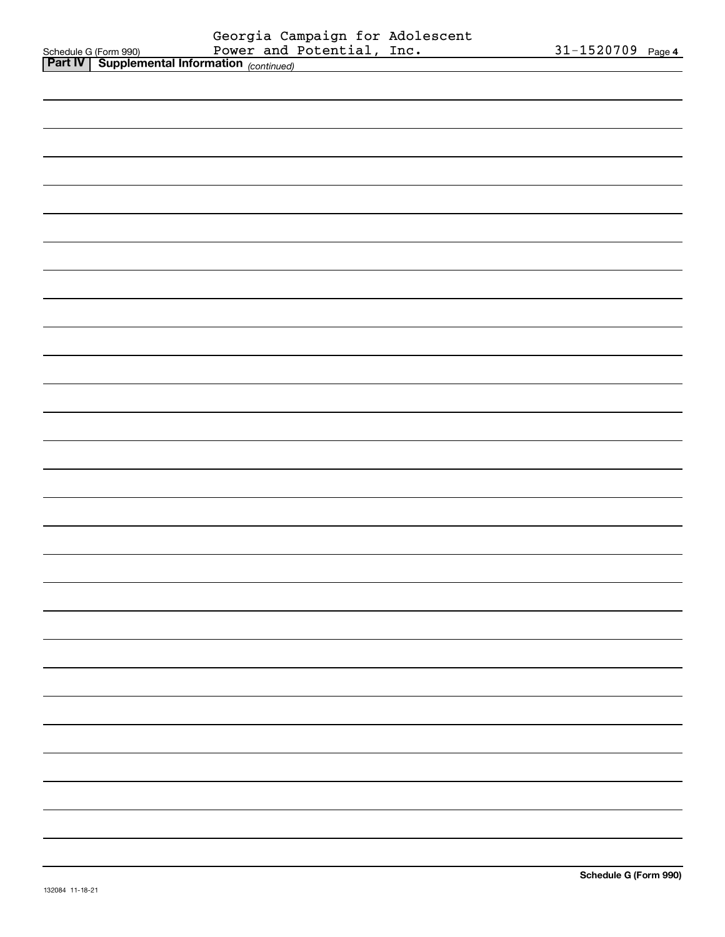|                                                                                                                                    | 31-1520709 Page 4 |
|------------------------------------------------------------------------------------------------------------------------------------|-------------------|
| Schedule G (Form 990) Georgia Campaign for Adolescent<br>Power and Potential, Inc.<br>Part IV Supplemental Information (continued) |                   |
|                                                                                                                                    |                   |
|                                                                                                                                    |                   |
|                                                                                                                                    |                   |
|                                                                                                                                    |                   |
|                                                                                                                                    |                   |
|                                                                                                                                    |                   |
|                                                                                                                                    |                   |
|                                                                                                                                    |                   |
|                                                                                                                                    |                   |
|                                                                                                                                    |                   |
|                                                                                                                                    |                   |
|                                                                                                                                    |                   |
|                                                                                                                                    |                   |
|                                                                                                                                    |                   |
|                                                                                                                                    |                   |
|                                                                                                                                    |                   |
|                                                                                                                                    |                   |
|                                                                                                                                    |                   |
|                                                                                                                                    |                   |
|                                                                                                                                    |                   |
|                                                                                                                                    |                   |
|                                                                                                                                    |                   |
|                                                                                                                                    |                   |
|                                                                                                                                    |                   |
|                                                                                                                                    |                   |
|                                                                                                                                    |                   |
|                                                                                                                                    |                   |
|                                                                                                                                    |                   |
|                                                                                                                                    |                   |
|                                                                                                                                    |                   |
|                                                                                                                                    |                   |
|                                                                                                                                    |                   |
|                                                                                                                                    |                   |
|                                                                                                                                    |                   |
|                                                                                                                                    |                   |
|                                                                                                                                    |                   |
|                                                                                                                                    |                   |
|                                                                                                                                    |                   |
|                                                                                                                                    |                   |
|                                                                                                                                    |                   |
|                                                                                                                                    |                   |
|                                                                                                                                    |                   |
|                                                                                                                                    |                   |
|                                                                                                                                    |                   |
|                                                                                                                                    |                   |
|                                                                                                                                    |                   |
|                                                                                                                                    |                   |
|                                                                                                                                    |                   |
|                                                                                                                                    |                   |
|                                                                                                                                    |                   |
|                                                                                                                                    |                   |
|                                                                                                                                    |                   |
|                                                                                                                                    |                   |
|                                                                                                                                    |                   |
|                                                                                                                                    |                   |
|                                                                                                                                    |                   |
|                                                                                                                                    |                   |
|                                                                                                                                    |                   |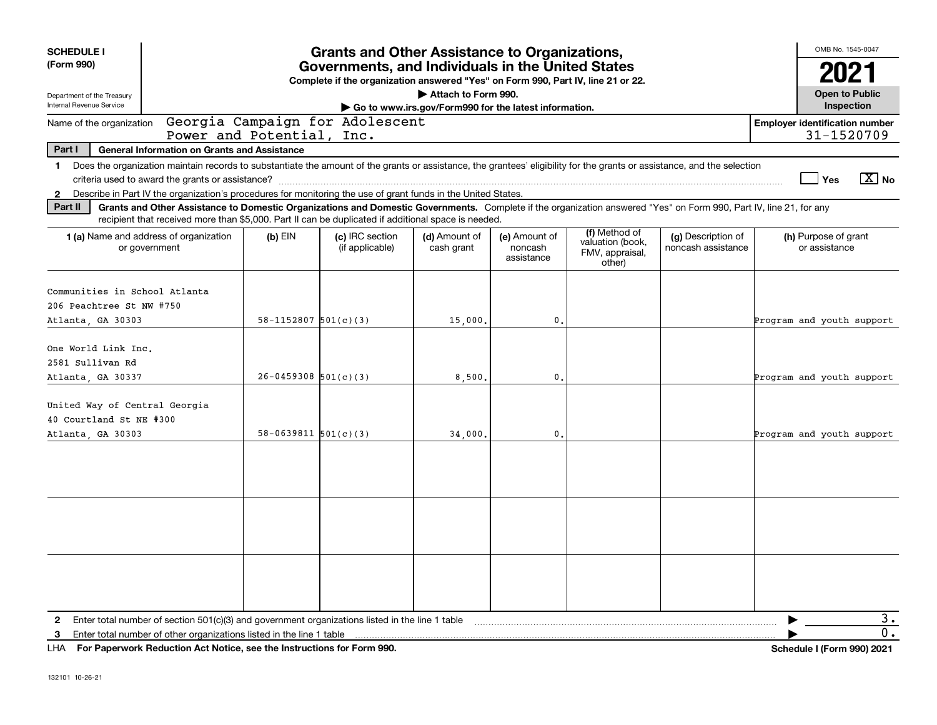| <b>SCHEDULE I</b>                                                              |                                                                                                                                                                                                                                                                                           |                            | <b>Grants and Other Assistance to Organizations,</b>                                                                                  |                                                                              |                                        |                                                                |                                          | OMB No. 1545-0047                                   |               |
|--------------------------------------------------------------------------------|-------------------------------------------------------------------------------------------------------------------------------------------------------------------------------------------------------------------------------------------------------------------------------------------|----------------------------|---------------------------------------------------------------------------------------------------------------------------------------|------------------------------------------------------------------------------|----------------------------------------|----------------------------------------------------------------|------------------------------------------|-----------------------------------------------------|---------------|
| (Form 990)                                                                     |                                                                                                                                                                                                                                                                                           |                            | Governments, and Individuals in the United States<br>Complete if the organization answered "Yes" on Form 990, Part IV, line 21 or 22. |                                                                              |                                        |                                                                |                                          | 2021                                                |               |
| Department of the Treasury<br>Internal Revenue Service                         |                                                                                                                                                                                                                                                                                           |                            |                                                                                                                                       | Attach to Form 990.<br>Go to www.irs.gov/Form990 for the latest information. |                                        |                                                                |                                          | <b>Open to Public</b><br>Inspection                 |               |
| Name of the organization                                                       |                                                                                                                                                                                                                                                                                           | Power and Potential, Inc.  | Georgia Campaign for Adolescent                                                                                                       |                                                                              |                                        |                                                                |                                          | <b>Employer identification number</b><br>31-1520709 |               |
| Part I                                                                         | <b>General Information on Grants and Assistance</b>                                                                                                                                                                                                                                       |                            |                                                                                                                                       |                                                                              |                                        |                                                                |                                          |                                                     |               |
| $\mathbf 1$<br>$\mathbf{2}$                                                    | Does the organization maintain records to substantiate the amount of the grants or assistance, the grantees' eligibility for the grants or assistance, and the selection<br>Describe in Part IV the organization's procedures for monitoring the use of grant funds in the United States. |                            |                                                                                                                                       |                                                                              |                                        |                                                                |                                          | Yes                                                 | $\sqrt{X}$ No |
| Part II                                                                        | Grants and Other Assistance to Domestic Organizations and Domestic Governments. Complete if the organization answered "Yes" on Form 990, Part IV, line 21, for any<br>recipient that received more than \$5,000. Part II can be duplicated if additional space is needed.                 |                            |                                                                                                                                       |                                                                              |                                        |                                                                |                                          |                                                     |               |
|                                                                                | 1 (a) Name and address of organization<br>or government                                                                                                                                                                                                                                   | $(b)$ EIN                  | (c) IRC section<br>(if applicable)                                                                                                    | (d) Amount of<br>cash grant                                                  | (e) Amount of<br>noncash<br>assistance | (f) Method of<br>valuation (book,<br>FMV, appraisal,<br>other) | (g) Description of<br>noncash assistance | (h) Purpose of grant<br>or assistance               |               |
| Communities in School Atlanta<br>206 Peachtree St NW #750<br>Atlanta, GA 30303 |                                                                                                                                                                                                                                                                                           | $58 - 1152807$ $501(c)(3)$ |                                                                                                                                       | 15,000.                                                                      | 0.                                     |                                                                |                                          | Program and youth support                           |               |
| One World Link Inc.<br>2581 Sullivan Rd<br>Atlanta, GA 30337                   |                                                                                                                                                                                                                                                                                           | $26 - 0459308$ 501(c)(3)   |                                                                                                                                       | 8,500                                                                        | 0.                                     |                                                                |                                          | Program and youth support                           |               |
| United Way of Central Georgia<br>40 Courtland St NE #300<br>Atlanta, GA 30303  |                                                                                                                                                                                                                                                                                           | $58 - 0639811$ $501(c)(3)$ |                                                                                                                                       | 34,000.                                                                      | 0.                                     |                                                                |                                          | Program and youth support                           |               |
|                                                                                |                                                                                                                                                                                                                                                                                           |                            |                                                                                                                                       |                                                                              |                                        |                                                                |                                          |                                                     |               |
|                                                                                |                                                                                                                                                                                                                                                                                           |                            |                                                                                                                                       |                                                                              |                                        |                                                                |                                          |                                                     |               |
|                                                                                |                                                                                                                                                                                                                                                                                           |                            |                                                                                                                                       |                                                                              |                                        |                                                                |                                          |                                                     |               |
| 2                                                                              | Enter total number of section 501(c)(3) and government organizations listed in the line 1 table<br>3 Enter total number of other organizations listed in the line 1 table                                                                                                                 |                            |                                                                                                                                       |                                                                              |                                        |                                                                |                                          | ▶                                                   | 3.<br>0.      |

**For Paperwork Reduction Act Notice, see the Instructions for Form 990. Schedule I (Form 990) 2021** LHA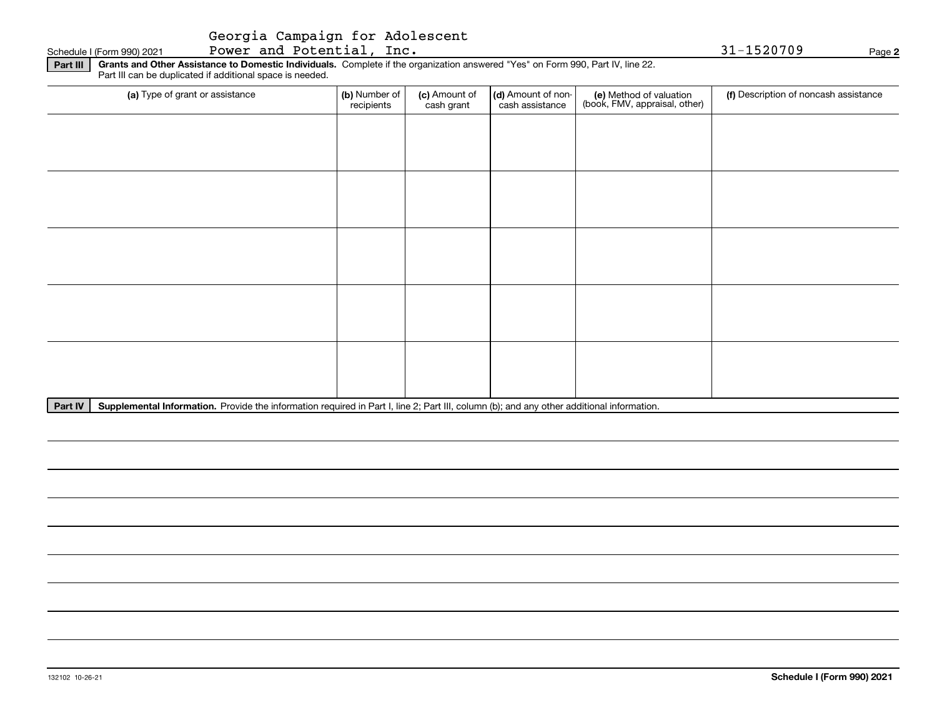#### Schedule I (Form 990) 2021 Page Power and Potential, Inc. 31-1520709

**2**

**Part III Grants and Other Assistance to Domestic Individuals.**  Complete if the organization answered "Yes" on Form 990, Part IV, line 22. Part III can be duplicated if additional space is needed.

| (a) Type of grant or assistance | (b) Number of<br>recipients | (c) Amount of<br>cash grant | (d) Amount of non-<br>cash assistance | (e) Method of valuation<br>(book, FMV, appraisal, other) | (f) Description of noncash assistance |
|---------------------------------|-----------------------------|-----------------------------|---------------------------------------|----------------------------------------------------------|---------------------------------------|
|                                 |                             |                             |                                       |                                                          |                                       |
|                                 |                             |                             |                                       |                                                          |                                       |
|                                 |                             |                             |                                       |                                                          |                                       |
|                                 |                             |                             |                                       |                                                          |                                       |
|                                 |                             |                             |                                       |                                                          |                                       |
|                                 |                             |                             |                                       |                                                          |                                       |
|                                 |                             |                             |                                       |                                                          |                                       |
|                                 |                             |                             |                                       |                                                          |                                       |
|                                 |                             |                             |                                       |                                                          |                                       |
|                                 |                             |                             |                                       |                                                          |                                       |

Part IV | Supplemental Information. Provide the information required in Part I, line 2; Part III, column (b); and any other additional information.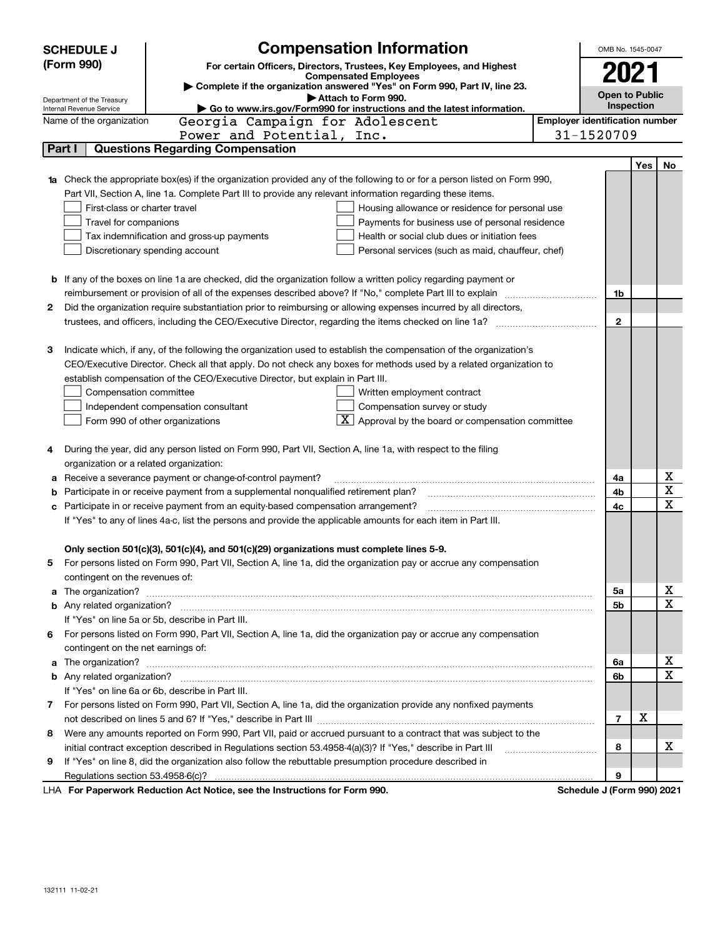|    | <b>SCHEDULE J</b>                       | <b>Compensation Information</b>                                                                                                                                                                                                      | OMB No. 1545-0047                     |     |             |
|----|-----------------------------------------|--------------------------------------------------------------------------------------------------------------------------------------------------------------------------------------------------------------------------------------|---------------------------------------|-----|-------------|
|    | (Form 990)                              | For certain Officers, Directors, Trustees, Key Employees, and Highest                                                                                                                                                                |                                       |     |             |
|    |                                         | <b>Compensated Employees</b>                                                                                                                                                                                                         | 2021                                  |     |             |
|    | Department of the Treasury              | Complete if the organization answered "Yes" on Form 990, Part IV, line 23.<br>Attach to Form 990.                                                                                                                                    | <b>Open to Public</b>                 |     |             |
|    | Internal Revenue Service                | Go to www.irs.gov/Form990 for instructions and the latest information.                                                                                                                                                               | Inspection                            |     |             |
|    | Name of the organization                | Georgia Campaign for Adolescent                                                                                                                                                                                                      | <b>Employer identification number</b> |     |             |
|    |                                         | Power and Potential, Inc.                                                                                                                                                                                                            | 31-1520709                            |     |             |
|    | Part I                                  | <b>Questions Regarding Compensation</b>                                                                                                                                                                                              |                                       |     |             |
|    |                                         |                                                                                                                                                                                                                                      |                                       | Yes | No          |
|    |                                         | Check the appropriate box(es) if the organization provided any of the following to or for a person listed on Form 990,                                                                                                               |                                       |     |             |
|    |                                         | Part VII, Section A, line 1a. Complete Part III to provide any relevant information regarding these items.                                                                                                                           |                                       |     |             |
|    | First-class or charter travel           | Housing allowance or residence for personal use                                                                                                                                                                                      |                                       |     |             |
|    | Travel for companions                   | Payments for business use of personal residence                                                                                                                                                                                      |                                       |     |             |
|    |                                         | Health or social club dues or initiation fees<br>Tax indemnification and gross-up payments                                                                                                                                           |                                       |     |             |
|    |                                         | Discretionary spending account<br>Personal services (such as maid, chauffeur, chef)                                                                                                                                                  |                                       |     |             |
|    |                                         |                                                                                                                                                                                                                                      |                                       |     |             |
| b  |                                         | If any of the boxes on line 1a are checked, did the organization follow a written policy regarding payment or                                                                                                                        |                                       |     |             |
|    |                                         | reimbursement or provision of all of the expenses described above? If "No," complete Part III to explain                                                                                                                             | 1b                                    |     |             |
| 2  |                                         | Did the organization require substantiation prior to reimbursing or allowing expenses incurred by all directors,                                                                                                                     |                                       |     |             |
|    |                                         |                                                                                                                                                                                                                                      | $\mathbf{2}$                          |     |             |
|    |                                         |                                                                                                                                                                                                                                      |                                       |     |             |
| з  |                                         | Indicate which, if any, of the following the organization used to establish the compensation of the organization's                                                                                                                   |                                       |     |             |
|    |                                         | CEO/Executive Director. Check all that apply. Do not check any boxes for methods used by a related organization to                                                                                                                   |                                       |     |             |
|    |                                         | establish compensation of the CEO/Executive Director, but explain in Part III.                                                                                                                                                       |                                       |     |             |
|    | Compensation committee                  | Written employment contract                                                                                                                                                                                                          |                                       |     |             |
|    |                                         | Compensation survey or study<br>Independent compensation consultant<br>Approval by the board or compensation committee                                                                                                               |                                       |     |             |
|    |                                         | Form 990 of other organizations                                                                                                                                                                                                      |                                       |     |             |
| 4  |                                         | During the year, did any person listed on Form 990, Part VII, Section A, line 1a, with respect to the filing                                                                                                                         |                                       |     |             |
|    | organization or a related organization: |                                                                                                                                                                                                                                      |                                       |     |             |
| а  |                                         | Receive a severance payment or change-of-control payment?                                                                                                                                                                            | 4a                                    |     | х           |
| b  |                                         | Participate in or receive payment from a supplemental nonqualified retirement plan?                                                                                                                                                  | 4b                                    |     | $\mathbf X$ |
|    |                                         | Participate in or receive payment from an equity-based compensation arrangement?                                                                                                                                                     | 4с                                    |     | $\mathbf X$ |
|    |                                         | If "Yes" to any of lines 4a-c, list the persons and provide the applicable amounts for each item in Part III.                                                                                                                        |                                       |     |             |
|    |                                         |                                                                                                                                                                                                                                      |                                       |     |             |
|    |                                         | Only section 501(c)(3), 501(c)(4), and 501(c)(29) organizations must complete lines 5-9.                                                                                                                                             |                                       |     |             |
| 5  |                                         | For persons listed on Form 990, Part VII, Section A, line 1a, did the organization pay or accrue any compensation                                                                                                                    |                                       |     |             |
|    | contingent on the revenues of:          |                                                                                                                                                                                                                                      |                                       |     |             |
| a  |                                         | The organization? <b>With the contract of the contract of the contract of the contract of the contract of the contract of the contract of the contract of the contract of the contract of the contract of the contract of the co</b> | 5a                                    |     | х           |
|    |                                         |                                                                                                                                                                                                                                      | 5b                                    |     | $\mathbf X$ |
|    |                                         | If "Yes" on line 5a or 5b, describe in Part III.                                                                                                                                                                                     |                                       |     |             |
| 6. |                                         | For persons listed on Form 990, Part VII, Section A, line 1a, did the organization pay or accrue any compensation                                                                                                                    |                                       |     |             |
|    | contingent on the net earnings of:      |                                                                                                                                                                                                                                      |                                       |     |             |
| a  |                                         |                                                                                                                                                                                                                                      | 6a                                    |     | х           |
|    |                                         |                                                                                                                                                                                                                                      | 6b                                    |     | X           |
|    |                                         | If "Yes" on line 6a or 6b, describe in Part III.                                                                                                                                                                                     |                                       |     |             |
|    |                                         | 7 For persons listed on Form 990, Part VII, Section A, line 1a, did the organization provide any nonfixed payments                                                                                                                   |                                       |     |             |
|    |                                         |                                                                                                                                                                                                                                      | 7                                     | х   |             |
| 8  |                                         | Were any amounts reported on Form 990, Part VII, paid or accrued pursuant to a contract that was subject to the                                                                                                                      |                                       |     |             |
|    |                                         | initial contract exception described in Regulations section 53.4958-4(a)(3)? If "Yes," describe in Part III                                                                                                                          | 8                                     |     | х           |
| 9  |                                         | If "Yes" on line 8, did the organization also follow the rebuttable presumption procedure described in                                                                                                                               |                                       |     |             |
|    |                                         |                                                                                                                                                                                                                                      | 9                                     |     |             |
|    |                                         | LHA For Paperwork Reduction Act Notice, see the Instructions for Form 990.                                                                                                                                                           | Schedule J (Form 990) 2021            |     |             |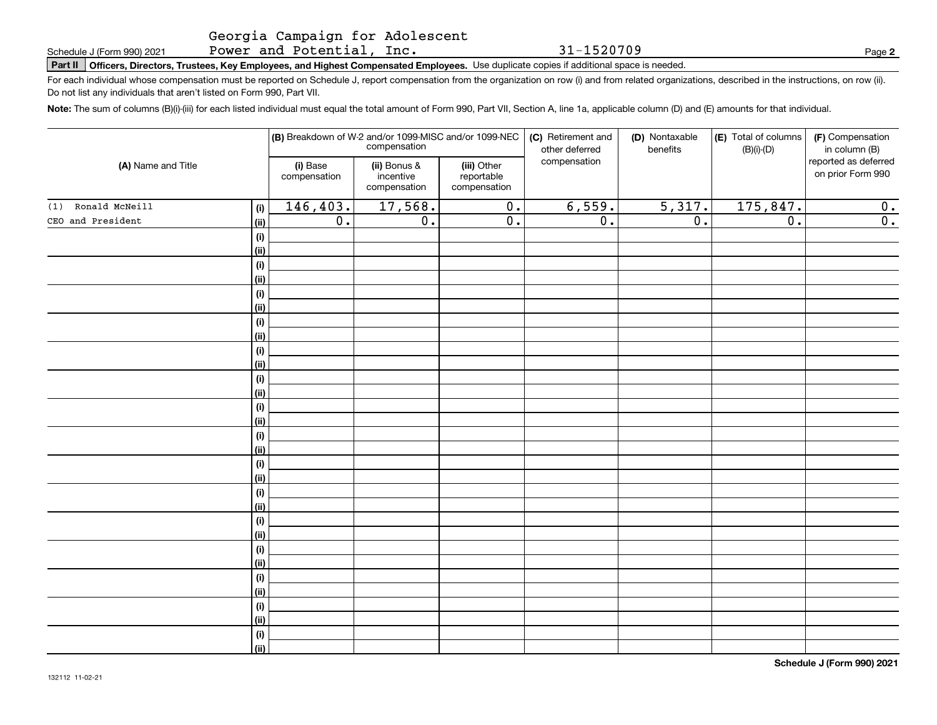Georgia Campaign for Adolescent Power and Potential, Inc.

31-1520709

**2**

**Part II Officers, Directors, Trustees, Key Employees, and Highest Compensated Employees.**  Schedule J (Form 990) 2021 Page Use duplicate copies if additional space is needed.

For each individual whose compensation must be reported on Schedule J, report compensation from the organization on row (i) and from related organizations, described in the instructions, on row (ii). Do not list any individuals that aren't listed on Form 990, Part VII.

**Note:**  The sum of columns (B)(i)-(iii) for each listed individual must equal the total amount of Form 990, Part VII, Section A, line 1a, applicable column (D) and (E) amounts for that individual.

|                       |                    |                          | compensation                              | (B) Breakdown of W-2 and/or 1099-MISC and/or 1099-NEC | (C) Retirement and<br>other deferred | (D) Nontaxable<br>benefits | (E) Total of columns<br>$(B)(i)-(D)$ | (F) Compensation<br>in column (B)         |
|-----------------------|--------------------|--------------------------|-------------------------------------------|-------------------------------------------------------|--------------------------------------|----------------------------|--------------------------------------|-------------------------------------------|
| (A) Name and Title    |                    | (i) Base<br>compensation | (ii) Bonus &<br>incentive<br>compensation | (iii) Other<br>reportable<br>compensation             | compensation                         |                            |                                      | reported as deferred<br>on prior Form 990 |
| Ronald McNeill<br>(1) | (i)                | 146, 403.                | 17,568.                                   | $\overline{0}$ .                                      | 6,559.                               | 5,317.                     | 175,847.                             | 0.                                        |
| CEO and President     | (ii)               | $\overline{0}$ .         | $\overline{0}$ .                          | $\overline{0}$ .                                      | $\overline{0}$ .                     | $\overline{0}$ .           | $\overline{0}$ .                     | $\overline{0}$ .                          |
|                       | $(\sf{i})$         |                          |                                           |                                                       |                                      |                            |                                      |                                           |
|                       | (ii)               |                          |                                           |                                                       |                                      |                            |                                      |                                           |
|                       | $(\sf{i})$         |                          |                                           |                                                       |                                      |                            |                                      |                                           |
|                       | (ii)               |                          |                                           |                                                       |                                      |                            |                                      |                                           |
|                       | $(\sf{i})$         |                          |                                           |                                                       |                                      |                            |                                      |                                           |
|                       | (ii)               |                          |                                           |                                                       |                                      |                            |                                      |                                           |
|                       | $(\sf{i})$         |                          |                                           |                                                       |                                      |                            |                                      |                                           |
|                       | (ii)               |                          |                                           |                                                       |                                      |                            |                                      |                                           |
|                       | $(\sf{i})$         |                          |                                           |                                                       |                                      |                            |                                      |                                           |
|                       | (ii)               |                          |                                           |                                                       |                                      |                            |                                      |                                           |
|                       | $(\sf{i})$         |                          |                                           |                                                       |                                      |                            |                                      |                                           |
|                       | (ii)               |                          |                                           |                                                       |                                      |                            |                                      |                                           |
|                       | $(\sf{i})$         |                          |                                           |                                                       |                                      |                            |                                      |                                           |
|                       | (ii)               |                          |                                           |                                                       |                                      |                            |                                      |                                           |
|                       | $(\sf{i})$<br>(ii) |                          |                                           |                                                       |                                      |                            |                                      |                                           |
|                       | $(\sf{i})$         |                          |                                           |                                                       |                                      |                            |                                      |                                           |
|                       | (ii)               |                          |                                           |                                                       |                                      |                            |                                      |                                           |
|                       | $(\sf{i})$         |                          |                                           |                                                       |                                      |                            |                                      |                                           |
|                       | (ii)               |                          |                                           |                                                       |                                      |                            |                                      |                                           |
|                       | $(\sf{i})$         |                          |                                           |                                                       |                                      |                            |                                      |                                           |
|                       | (ii)               |                          |                                           |                                                       |                                      |                            |                                      |                                           |
|                       | $(\sf{i})$         |                          |                                           |                                                       |                                      |                            |                                      |                                           |
|                       | (ii)               |                          |                                           |                                                       |                                      |                            |                                      |                                           |
|                       | $(\sf{i})$         |                          |                                           |                                                       |                                      |                            |                                      |                                           |
|                       | (ii)               |                          |                                           |                                                       |                                      |                            |                                      |                                           |
|                       | $(\sf{i})$         |                          |                                           |                                                       |                                      |                            |                                      |                                           |
|                       | (ii)               |                          |                                           |                                                       |                                      |                            |                                      |                                           |
|                       | $(\sf{i})$         |                          |                                           |                                                       |                                      |                            |                                      |                                           |
|                       | (ii)               |                          |                                           |                                                       |                                      |                            |                                      |                                           |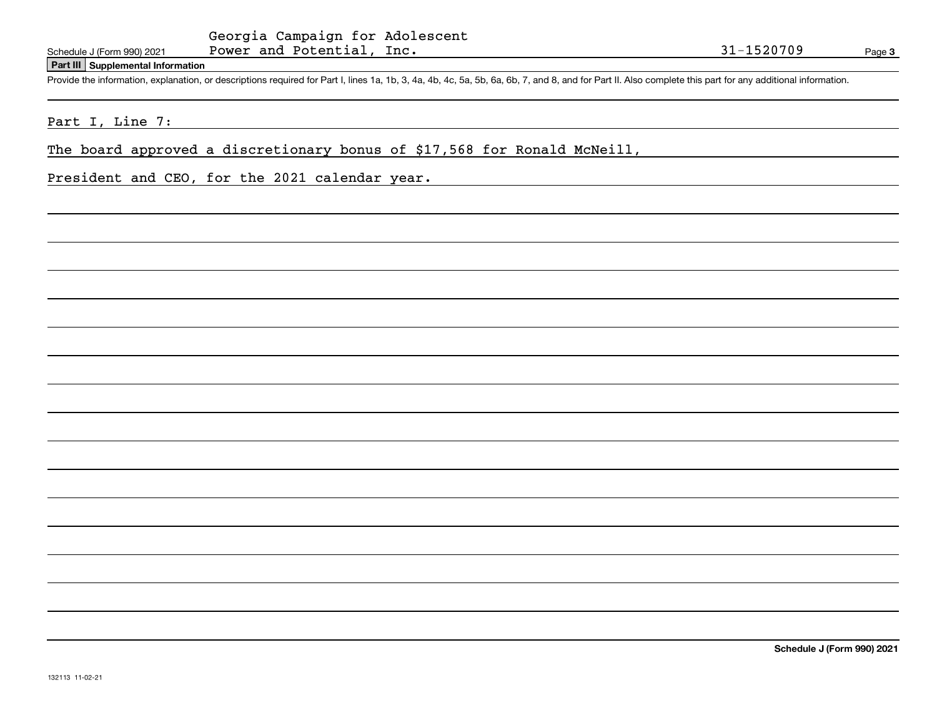#### **Part III Supplemental Information**

Schedule J (Form 990) 2021 Power and Potential, Inc.<br>
Part III Supplemental Information<br>
Provide the information, explanation, or descriptions required for Part I, lines 1a, 1b, 3, 4a, 4b, 4c, 5a, 5b, 6a, 6b, 7, and 8, and

Part I, Line 7:

The board approved a discretionary bonus of \$17,568 for Ronald McNeill,

President and CEO, for the 2021 calendar year.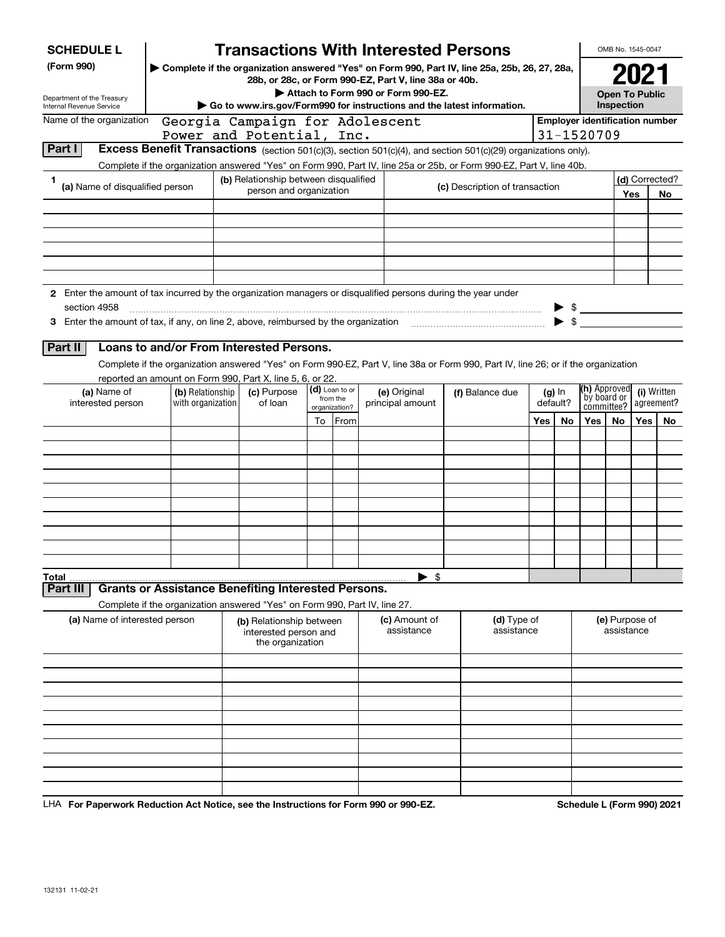| <b>SCHEDULE L</b>                                                                                                             |                                       |                                                                                                                                                                                                                                                                                         |                                                                                                                                 |          |                       | <b>Transactions With Interested Persons</b>                                                                                                                            |  |                                |     |                          |                                           | OMB No. 1545-0047            |     |                           |
|-------------------------------------------------------------------------------------------------------------------------------|---------------------------------------|-----------------------------------------------------------------------------------------------------------------------------------------------------------------------------------------------------------------------------------------------------------------------------------------|---------------------------------------------------------------------------------------------------------------------------------|----------|-----------------------|------------------------------------------------------------------------------------------------------------------------------------------------------------------------|--|--------------------------------|-----|--------------------------|-------------------------------------------|------------------------------|-----|---------------------------|
| (Form 990)<br>Department of the Treasury<br>Internal Revenue Service                                                          |                                       | Complete if the organization answered "Yes" on Form 990, Part IV, line 25a, 25b, 26, 27, 28a,<br>28b, or 28c, or Form 990-EZ, Part V, line 38a or 40b.<br>Attach to Form 990 or Form 990-EZ.<br>$\triangleright$ Go to www.irs.gov/Form990 for instructions and the latest information. |                                                                                                                                 |          |                       |                                                                                                                                                                        |  |                                |     |                          | <b>Open To Public</b><br>Inspection       |                              |     |                           |
| Name of the organization                                                                                                      |                                       |                                                                                                                                                                                                                                                                                         | Georgia Campaign for Adolescent                                                                                                 |          |                       |                                                                                                                                                                        |  |                                |     |                          | <b>Employer identification number</b>     |                              |     |                           |
| Part I                                                                                                                        |                                       |                                                                                                                                                                                                                                                                                         | Power and Potential, Inc.                                                                                                       |          |                       | <b>Excess Benefit Transactions</b> (section 501(c)(3), section 501(c)(4), and section 501(c)(29) organizations only).                                                  |  |                                |     |                          | 31-1520709                                |                              |     |                           |
|                                                                                                                               |                                       |                                                                                                                                                                                                                                                                                         |                                                                                                                                 |          |                       | Complete if the organization answered "Yes" on Form 990, Part IV, line 25a or 25b, or Form 990-EZ, Part V, line 40b.                                                   |  |                                |     |                          |                                           |                              |     |                           |
|                                                                                                                               |                                       |                                                                                                                                                                                                                                                                                         | (b) Relationship between disqualified                                                                                           |          |                       |                                                                                                                                                                        |  |                                |     |                          |                                           |                              |     | (d) Corrected?            |
| (a) Name of disqualified person                                                                                               |                                       |                                                                                                                                                                                                                                                                                         | person and organization                                                                                                         |          |                       |                                                                                                                                                                        |  | (c) Description of transaction |     |                          |                                           |                              | Yes | No.                       |
|                                                                                                                               |                                       |                                                                                                                                                                                                                                                                                         |                                                                                                                                 |          |                       |                                                                                                                                                                        |  |                                |     |                          |                                           |                              |     |                           |
|                                                                                                                               |                                       |                                                                                                                                                                                                                                                                                         |                                                                                                                                 |          |                       |                                                                                                                                                                        |  |                                |     |                          |                                           |                              |     |                           |
|                                                                                                                               |                                       |                                                                                                                                                                                                                                                                                         |                                                                                                                                 |          |                       |                                                                                                                                                                        |  |                                |     |                          |                                           |                              |     |                           |
| 2 Enter the amount of tax incurred by the organization managers or disqualified persons during the year under<br>section 4958 |                                       |                                                                                                                                                                                                                                                                                         |                                                                                                                                 |          |                       |                                                                                                                                                                        |  |                                |     |                          | $\frac{1}{2}$                             |                              |     |                           |
| 3 Enter the amount of tax, if any, on line 2, above, reimbursed by the organization                                           |                                       |                                                                                                                                                                                                                                                                                         |                                                                                                                                 |          |                       |                                                                                                                                                                        |  |                                |     | $\blacktriangleright$ \$ |                                           |                              |     |                           |
| Part II<br>(a) Name of<br>interested person                                                                                   | (b) Relationship<br>with organization |                                                                                                                                                                                                                                                                                         | Loans to and/or From Interested Persons.<br>reported an amount on Form 990, Part X, line 5, 6, or 22.<br>(c) Purpose<br>of loan | from the | (d) Loan to or        | Complete if the organization answered "Yes" on Form 990-EZ, Part V, line 38a or Form 990, Part IV, line 26; or if the organization<br>(e) Original<br>principal amount |  | (f) Balance due                |     | (g) In<br>default?       | (h) Approved<br>by board or<br>committee? |                              |     | (i) Written<br>agreement? |
|                                                                                                                               |                                       |                                                                                                                                                                                                                                                                                         |                                                                                                                                 | To       | organization?<br>From |                                                                                                                                                                        |  |                                | Yes | No                       | Yes                                       | No.                          | Yes | No                        |
|                                                                                                                               |                                       |                                                                                                                                                                                                                                                                                         |                                                                                                                                 |          |                       |                                                                                                                                                                        |  |                                |     |                          |                                           |                              |     |                           |
|                                                                                                                               |                                       |                                                                                                                                                                                                                                                                                         |                                                                                                                                 |          |                       |                                                                                                                                                                        |  |                                |     |                          |                                           |                              |     |                           |
|                                                                                                                               |                                       |                                                                                                                                                                                                                                                                                         |                                                                                                                                 |          |                       |                                                                                                                                                                        |  |                                |     |                          |                                           |                              |     |                           |
|                                                                                                                               |                                       |                                                                                                                                                                                                                                                                                         |                                                                                                                                 |          |                       |                                                                                                                                                                        |  |                                |     |                          |                                           |                              |     |                           |
|                                                                                                                               |                                       |                                                                                                                                                                                                                                                                                         |                                                                                                                                 |          |                       |                                                                                                                                                                        |  |                                |     |                          |                                           |                              |     |                           |
|                                                                                                                               |                                       |                                                                                                                                                                                                                                                                                         |                                                                                                                                 |          |                       |                                                                                                                                                                        |  |                                |     |                          |                                           |                              |     |                           |
|                                                                                                                               |                                       |                                                                                                                                                                                                                                                                                         |                                                                                                                                 |          |                       |                                                                                                                                                                        |  |                                |     |                          |                                           |                              |     |                           |
|                                                                                                                               |                                       |                                                                                                                                                                                                                                                                                         |                                                                                                                                 |          |                       |                                                                                                                                                                        |  |                                |     |                          |                                           |                              |     |                           |
| Total                                                                                                                         |                                       |                                                                                                                                                                                                                                                                                         |                                                                                                                                 |          |                       | $\blacktriangleright$ \$                                                                                                                                               |  |                                |     |                          |                                           |                              |     |                           |
| Part III                                                                                                                      |                                       |                                                                                                                                                                                                                                                                                         | <b>Grants or Assistance Benefiting Interested Persons.</b>                                                                      |          |                       |                                                                                                                                                                        |  |                                |     |                          |                                           |                              |     |                           |
| (a) Name of interested person                                                                                                 |                                       |                                                                                                                                                                                                                                                                                         | Complete if the organization answered "Yes" on Form 990, Part IV, line 27.                                                      |          |                       |                                                                                                                                                                        |  |                                |     |                          |                                           |                              |     |                           |
|                                                                                                                               |                                       |                                                                                                                                                                                                                                                                                         | (b) Relationship between<br>interested person and<br>the organization                                                           |          |                       | (c) Amount of<br>assistance                                                                                                                                            |  | (d) Type of<br>assistance      |     |                          |                                           | (e) Purpose of<br>assistance |     |                           |
|                                                                                                                               |                                       |                                                                                                                                                                                                                                                                                         |                                                                                                                                 |          |                       |                                                                                                                                                                        |  |                                |     |                          |                                           |                              |     |                           |
|                                                                                                                               |                                       |                                                                                                                                                                                                                                                                                         |                                                                                                                                 |          |                       |                                                                                                                                                                        |  |                                |     |                          |                                           |                              |     |                           |
|                                                                                                                               |                                       |                                                                                                                                                                                                                                                                                         |                                                                                                                                 |          |                       |                                                                                                                                                                        |  |                                |     |                          |                                           |                              |     |                           |
|                                                                                                                               |                                       |                                                                                                                                                                                                                                                                                         |                                                                                                                                 |          |                       |                                                                                                                                                                        |  |                                |     |                          |                                           |                              |     |                           |
|                                                                                                                               |                                       |                                                                                                                                                                                                                                                                                         |                                                                                                                                 |          |                       |                                                                                                                                                                        |  |                                |     |                          |                                           |                              |     |                           |
|                                                                                                                               |                                       |                                                                                                                                                                                                                                                                                         |                                                                                                                                 |          |                       |                                                                                                                                                                        |  |                                |     |                          |                                           |                              |     |                           |
|                                                                                                                               |                                       |                                                                                                                                                                                                                                                                                         |                                                                                                                                 |          |                       |                                                                                                                                                                        |  |                                |     |                          |                                           |                              |     |                           |
|                                                                                                                               |                                       |                                                                                                                                                                                                                                                                                         |                                                                                                                                 |          |                       |                                                                                                                                                                        |  |                                |     |                          |                                           |                              |     |                           |

**For Paperwork Reduction Act Notice, see the Instructions for Form 990 or 990-EZ. Schedule L (Form 990) 2021** LHA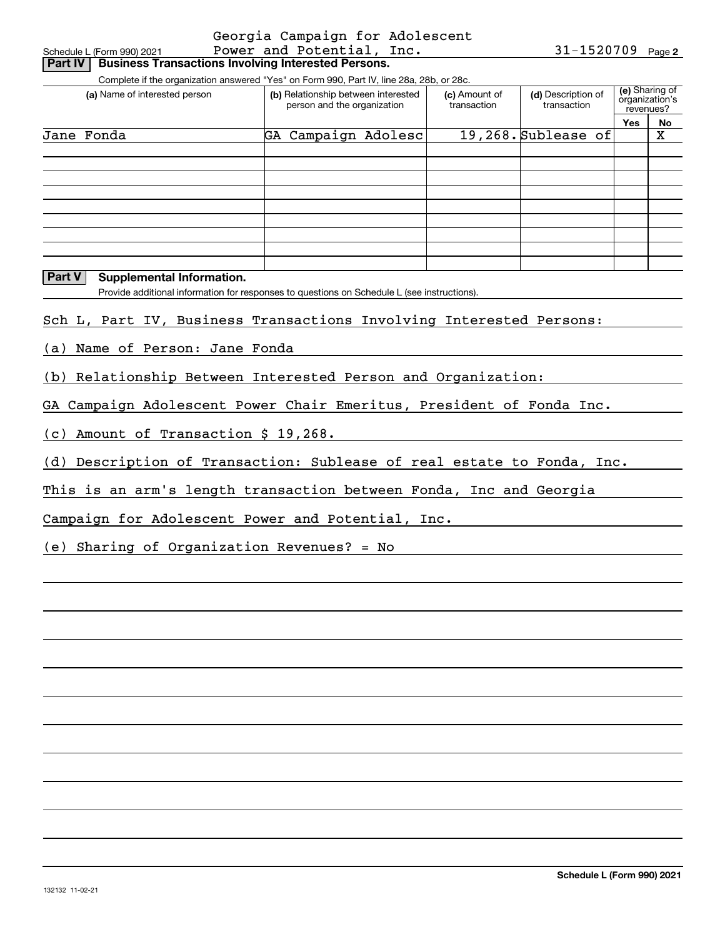|                                                                                             | Georgia Campaign for Adolescent     |               |                       |                |                |
|---------------------------------------------------------------------------------------------|-------------------------------------|---------------|-----------------------|----------------|----------------|
| Schedule L (Form 990) 2021                                                                  | Power and Potential, Inc.           |               | $31 - 1520709$ Page 2 |                |                |
| <b>Business Transactions Involving Interested Persons.</b><br><b>Part IV</b>                |                                     |               |                       |                |                |
| Complete if the organization answered "Yes" on Form 990, Part IV, line 28a, 28b, or 28c.    |                                     |               |                       |                |                |
| (a) Name of interested person                                                               | (b) Relationship between interested | (c) Amount of | (d) Description of    | organization's | (e) Sharing of |
|                                                                                             | person and the organization         | transaction   | transaction           | revenues?      |                |
|                                                                                             |                                     |               |                       | Yes            | No             |
| Jane Fonda                                                                                  | GA Campaign Adolesc                 |               | 19,268. Sublease of   |                | X              |
|                                                                                             |                                     |               |                       |                |                |
|                                                                                             |                                     |               |                       |                |                |
|                                                                                             |                                     |               |                       |                |                |
|                                                                                             |                                     |               |                       |                |                |
|                                                                                             |                                     |               |                       |                |                |
|                                                                                             |                                     |               |                       |                |                |
|                                                                                             |                                     |               |                       |                |                |
|                                                                                             |                                     |               |                       |                |                |
| <b>Part V</b><br>Supplemental Information.                                                  |                                     |               |                       |                |                |
| Provide additional information for responses to questions on Schedule L (see instructions). |                                     |               |                       |                |                |
|                                                                                             |                                     |               |                       |                |                |
| Sch L, Part IV, Business Transactions Involving Interested Persons:                         |                                     |               |                       |                |                |
|                                                                                             |                                     |               |                       |                |                |
| (a) Name of Person: Jane Fonda                                                              |                                     |               |                       |                |                |
|                                                                                             |                                     |               |                       |                |                |
| (b) Relationship Between Interested Person and Organization:                                |                                     |               |                       |                |                |
|                                                                                             |                                     |               |                       |                |                |
| GA Campaign Adolescent Power Chair Emeritus, President of Fonda Inc.                        |                                     |               |                       |                |                |
|                                                                                             |                                     |               |                       |                |                |
| (c) Amount of Transaction \$ 19,268.                                                        |                                     |               |                       |                |                |
|                                                                                             |                                     |               |                       |                |                |
| (d) Description of Transaction: Sublease of real estate to Fonda, Inc.                      |                                     |               |                       |                |                |
|                                                                                             |                                     |               |                       |                |                |
| This is an arm's length transaction between Fonda, Inc and Georgia                          |                                     |               |                       |                |                |
|                                                                                             |                                     |               |                       |                |                |
| Campaign for Adolescent Power and Potential, Inc.                                           |                                     |               |                       |                |                |
| (e) Sharing of Organization Revenues? = No                                                  |                                     |               |                       |                |                |
|                                                                                             |                                     |               |                       |                |                |
|                                                                                             |                                     |               |                       |                |                |
|                                                                                             |                                     |               |                       |                |                |
|                                                                                             |                                     |               |                       |                |                |
|                                                                                             |                                     |               |                       |                |                |
|                                                                                             |                                     |               |                       |                |                |
|                                                                                             |                                     |               |                       |                |                |
|                                                                                             |                                     |               |                       |                |                |
|                                                                                             |                                     |               |                       |                |                |
|                                                                                             |                                     |               |                       |                |                |
|                                                                                             |                                     |               |                       |                |                |
|                                                                                             |                                     |               |                       |                |                |
|                                                                                             |                                     |               |                       |                |                |
|                                                                                             |                                     |               |                       |                |                |
|                                                                                             |                                     |               |                       |                |                |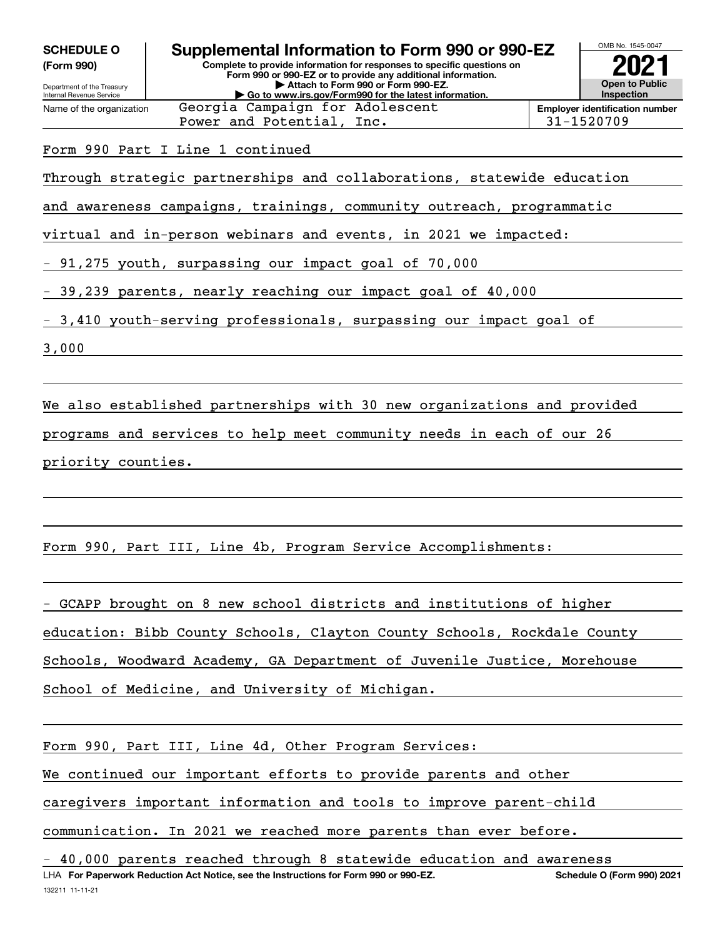| <b>SCHEDULE O</b><br>(Form 990)<br>Department of the Treasury<br><b>Internal Revenue Service</b>           | Supplemental Information to Form 990 or 990-EZ<br>Complete to provide information for responses to specific questions on<br>Form 990 or 990-EZ or to provide any additional information.<br>Attach to Form 990 or Form 990-EZ.<br>Go to www.irs.gov/Form990 for the latest information. |                                       |  |  |  |  |  |
|------------------------------------------------------------------------------------------------------------|-----------------------------------------------------------------------------------------------------------------------------------------------------------------------------------------------------------------------------------------------------------------------------------------|---------------------------------------|--|--|--|--|--|
| Name of the organization                                                                                   | Georgia Campaign for Adolescent                                                                                                                                                                                                                                                         | <b>Employer identification number</b> |  |  |  |  |  |
|                                                                                                            | Power and Potential, Inc.                                                                                                                                                                                                                                                               | 31-1520709                            |  |  |  |  |  |
| Form 990 Part I Line 1 continued<br>Through strategic partnerships and collaborations, statewide education |                                                                                                                                                                                                                                                                                         |                                       |  |  |  |  |  |
|                                                                                                            | and awareness campaigns, trainings, community outreach, programmatic                                                                                                                                                                                                                    |                                       |  |  |  |  |  |
| virtual and in-person webinars and events, in 2021 we impacted:                                            |                                                                                                                                                                                                                                                                                         |                                       |  |  |  |  |  |
|                                                                                                            | - 91,275 youth, surpassing our impact goal of 70,000                                                                                                                                                                                                                                    |                                       |  |  |  |  |  |
|                                                                                                            | - 39,239 parents, nearly reaching our impact goal of 40,000                                                                                                                                                                                                                             |                                       |  |  |  |  |  |

- 3,410 youth-serving professionals, surpassing our impact goal of

3,000

We also established partnerships with 30 new organizations and provided

programs and services to help meet community needs in each of our 26 priority counties.

Form 990, Part III, Line 4b, Program Service Accomplishments:

- GCAPP brought on 8 new school districts and institutions of higher education: Bibb County Schools, Clayton County Schools, Rockdale County Schools, Woodward Academy, GA Department of Juvenile Justice, Morehouse School of Medicine, and University of Michigan.

| Form 990, Part III, Line 4d, Other Program Services:                 |
|----------------------------------------------------------------------|
| We continued our important efforts to provide parents and other      |
| caregivers important information and tools to improve parent-child   |
| communication. In 2021 we reached more parents than ever before.     |
| - 10 000 parents reached through 8 statewide education and awareness |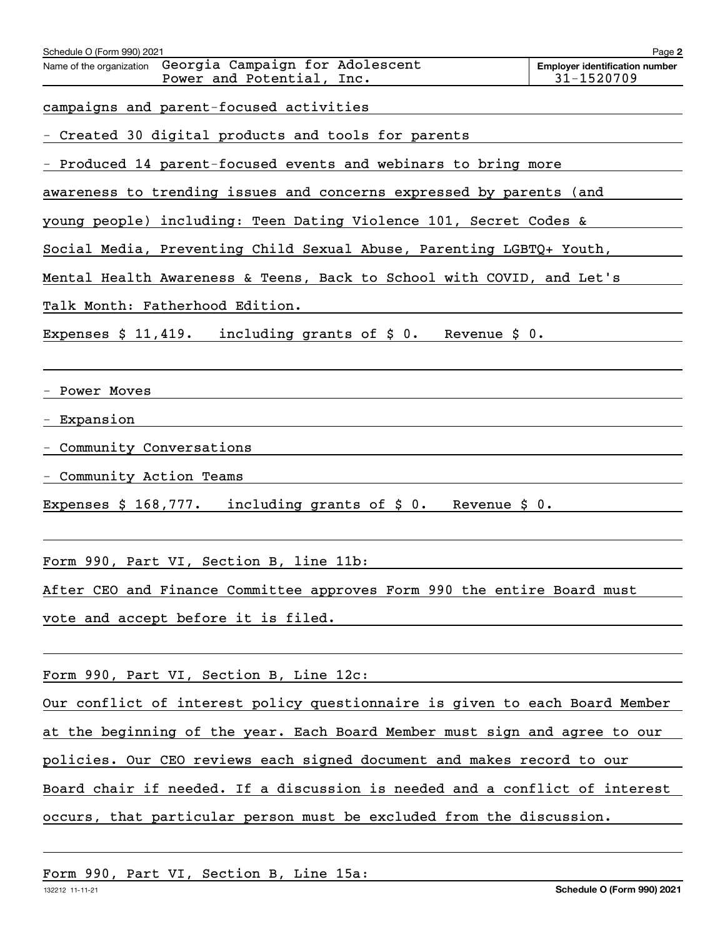| Schedule O (Form 990) 2021                                                               | Page 2                                              |
|------------------------------------------------------------------------------------------|-----------------------------------------------------|
| Georgia Campaign for Adolescent<br>Name of the organization<br>Power and Potential, Inc. | <b>Employer identification number</b><br>31-1520709 |
|                                                                                          |                                                     |
| campaigns and parent-focused activities                                                  |                                                     |
| Created 30 digital products and tools for parents                                        |                                                     |
| Produced 14 parent-focused events and webinars to bring more                             |                                                     |
| awareness to trending issues and concerns expressed by parents (and                      |                                                     |
| young people) including: Teen Dating Violence 101, Secret Codes &                        |                                                     |
| Social Media, Preventing Child Sexual Abuse, Parenting LGBTQ+ Youth,                     |                                                     |
| Mental Health Awareness & Teens, Back to School with COVID, and Let's                    |                                                     |
| Talk Month: Fatherhood Edition.                                                          |                                                     |
| including grants of $\sharp$ 0.<br>Expenses $$11,419.$<br>Revenue $$0.$                  |                                                     |
|                                                                                          |                                                     |
| Power Moves                                                                              |                                                     |
| Expansion                                                                                |                                                     |
| Community Conversations                                                                  |                                                     |
| Community Action Teams                                                                   |                                                     |
| including grants of $\sharp$ 0.<br>Revenue $\sharp$ 0.<br>Expenses $$168,777.$           |                                                     |
|                                                                                          |                                                     |
| Form 990, Part VI, Section B, line 11b:                                                  |                                                     |
|                                                                                          |                                                     |
| After CEO and Finance Committee approves Form 990 the entire Board must                  |                                                     |
| vote and accept before it is filed.                                                      |                                                     |
|                                                                                          |                                                     |
| Form 990, Part VI, Section B, Line 12c:                                                  |                                                     |
| Our conflict of interest policy questionnaire is given to each Board Member              |                                                     |
| at the beginning of the year. Each Board Member must sign and agree to our               |                                                     |
| policies. Our CEO reviews each signed document and makes record to our                   |                                                     |
| Board chair if needed. If a discussion is needed and a conflict of interest              |                                                     |
| occurs, that particular person must be excluded from the discussion.                     |                                                     |
|                                                                                          |                                                     |
|                                                                                          |                                                     |

Form 990, Part VI, Section B, Line 15a: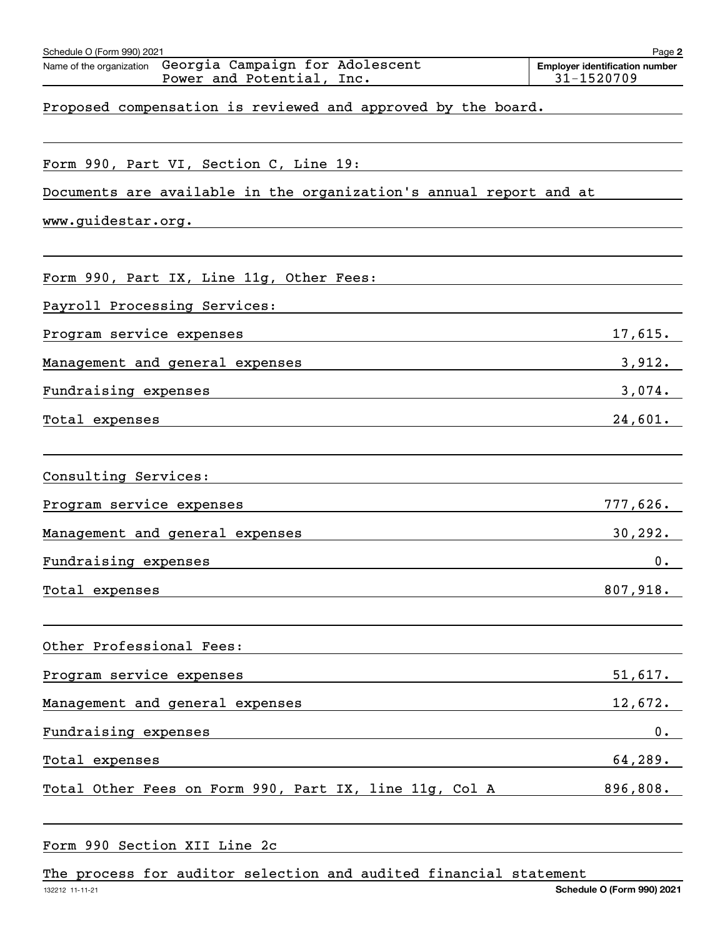| Schedule O (Form 990) 2021                                                            | Page 2                                              |
|---------------------------------------------------------------------------------------|-----------------------------------------------------|
| Name of the organization Georgia Campaign for Adolescent<br>Power and Potential, Inc. | <b>Employer identification number</b><br>31-1520709 |
| Proposed compensation is reviewed and approved by the board.                          |                                                     |
| Form 990, Part VI, Section C, Line 19:                                                |                                                     |
| Documents are available in the organization's annual report and at                    |                                                     |
| www.guidestar.org.                                                                    |                                                     |
| Form 990, Part IX, Line 11g, Other Fees:                                              |                                                     |
| Payroll Processing Services:                                                          |                                                     |
| Program service expenses                                                              | 17,615.                                             |
| Management and general expenses                                                       | 3,912.                                              |
| Fundraising expenses                                                                  | 3,074.                                              |
| Total expenses                                                                        | 24,601.                                             |
|                                                                                       |                                                     |
| Consulting Services:                                                                  |                                                     |
| Program service expenses                                                              | 777,626.                                            |
| Management and general expenses                                                       | 30, 292.                                            |
| Fundraising expenses                                                                  | $0_{\cdot}$                                         |
| Total expenses                                                                        | 807,918.                                            |
|                                                                                       |                                                     |
| Other Professional Fees:                                                              |                                                     |
| Program service expenses                                                              | 51,617.                                             |
| Management and general expenses                                                       | 12,672.                                             |
| Fundraising expenses                                                                  | 0.                                                  |
| Total expenses                                                                        | 64,289.                                             |
| Total Other Fees on Form 990, Part IX, line 11g, Col A                                | 896,808.                                            |

Form 990 Section XII Line 2c

The process for auditor selection and audited financial statement